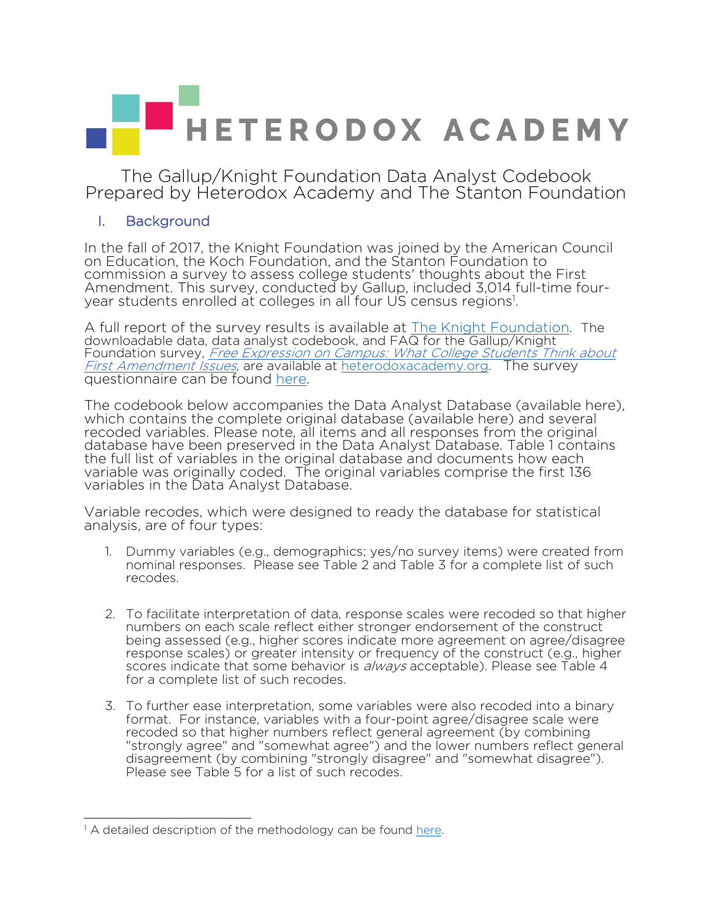# HETERODOX ACADEMY

The Gallup/Knight Foundation Data Analyst Codebook Prepared by Heterodox Academy and The Stanton Foundation

#### I. Background

In the fall of 2017, the Knight Foundation was joined by the American Council on Education, the Koch Foundation, and the Stanton Foundation to commission a survey to assess college students' thoughts about the First Amendment. This survey, conducted by Gallup, included 3,014 full-time fouryear students enrolled at colleges in all four US census regions<sup>1</sup>.

A full report of the survey results is available at The Knight Foundation. The downloadable data, data analyst codebook, and FAQ for the Gallup/Knight Foundation survey, Free Expression on Campus: What College Students Think about First Amendment Issues, are available at heterodoxacademy.org. The survey questionnaire can be found here.

The codebook below accompanies the Data Analyst Database (available here), which contains the complete original database (available here) and several recoded variables. Please note, all items and all responses from the original database have been preserved in the Data Analyst Database. Table 1 contains the full list of variables in the original database and documents how each variable was originally coded. The original variables comprise the first 136 variables in the Data Analyst Database.

Variable recodes, which were designed to ready the database for statistical analysis, are of four types:

- 1. Dummy variables (e.g., demographics; yes/no survey items) were created from nominal responses. Please see Table 2 and Table 3 for a complete list of such recodes.
- 2. To facilitate interpretation of data, response scales were recoded so that higher numbers on each scale reflect either stronger endorsement of the construct being assessed (e.g., higher scores indicate more agreement on agree/disagree response scales) or greater intensity or frequency of the construct (e.g., higher scores indicate that some behavior is *always* acceptable). Please see Table 4 for a complete list of such recodes.
- 3. To further ease interpretation, some variables were also recoded into a binary format. For instance, variables with a four-point agree/disagree scale were recoded so that higher numbers reflect general agreement (by combining "strongly agree" and "somewhat agree") and the lower numbers reflect general disagreement (by combining "strongly disagree" and "somewhat disagree"). Please see Table 5 for a list of such recodes.

 $\overline{a}$ 

<sup>&</sup>lt;sup>1</sup> A detailed description of the methodology can be found here.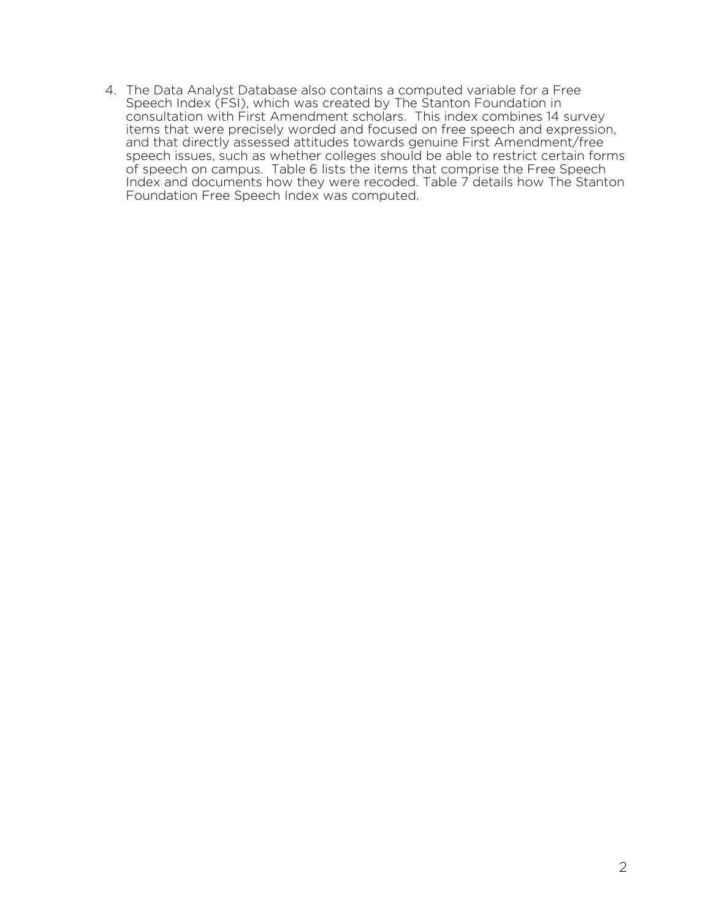4. The Data Analyst Database also contains a computed variable for a Free Speech Index (FSI), which was created by The Stanton Foundation in consultation with First Amendment scholars. This index combines 14 survey items that were precisely worded and focused on free speech and expression, and that directly assessed attitudes towards genuine First Amendment/free speech issues, such as whether colleges should be able to restrict certain forms of speech on campus. Table 6 lists the items that comprise the Free Speech Index and documents how they were recoded. Table 7 details how The Stanton Foundation Free Speech Index was computed.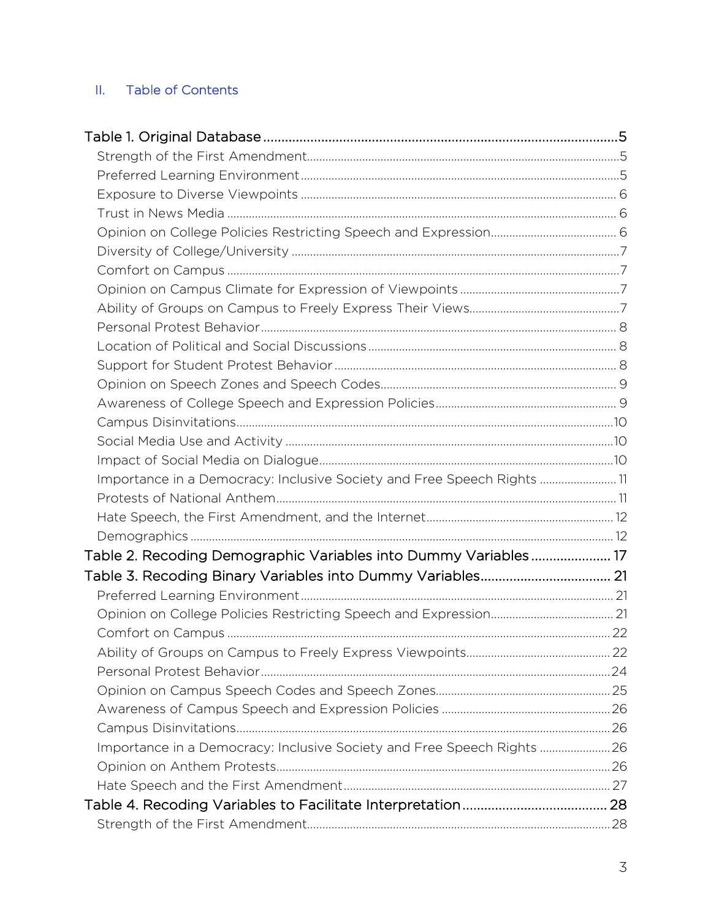#### II. Table of Contents

| Importance in a Democracy: Inclusive Society and Free Speech Rights 11  |  |
|-------------------------------------------------------------------------|--|
|                                                                         |  |
|                                                                         |  |
|                                                                         |  |
| Table 2. Recoding Demographic Variables into Dummy Variables 17         |  |
| Table 3. Recoding Binary Variables into Dummy Variables 21              |  |
|                                                                         |  |
|                                                                         |  |
|                                                                         |  |
|                                                                         |  |
|                                                                         |  |
|                                                                         |  |
|                                                                         |  |
|                                                                         |  |
| Importance in a Democracy: Inclusive Society and Free Speech Rights  26 |  |
|                                                                         |  |
|                                                                         |  |
|                                                                         |  |
|                                                                         |  |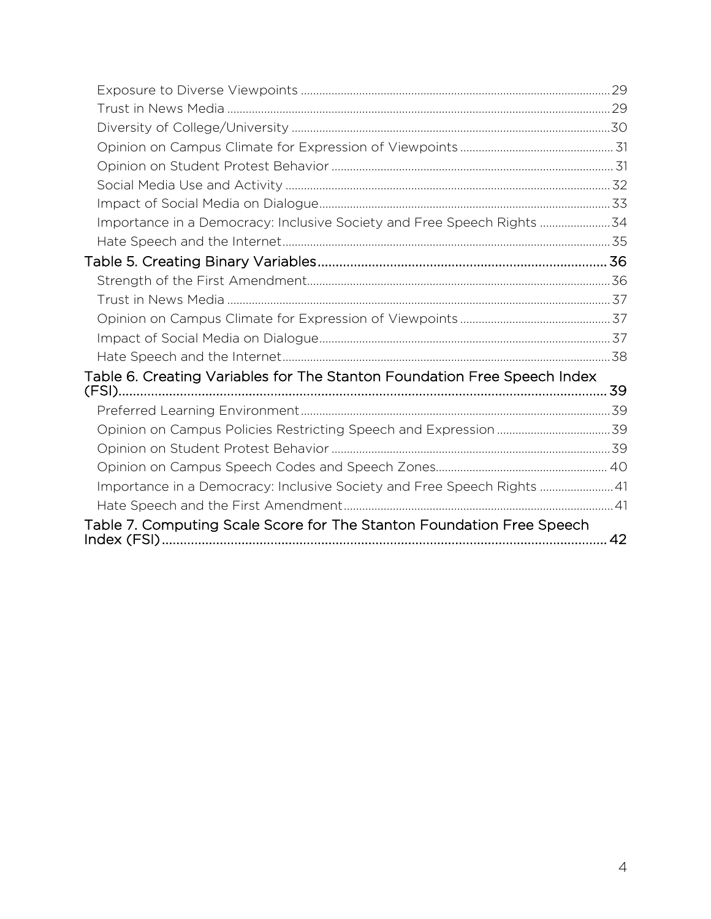| Importance in a Democracy: Inclusive Society and Free Speech Rights 34   |  |
|--------------------------------------------------------------------------|--|
|                                                                          |  |
|                                                                          |  |
|                                                                          |  |
|                                                                          |  |
|                                                                          |  |
|                                                                          |  |
|                                                                          |  |
| Table 6. Creating Variables for The Stanton Foundation Free Speech Index |  |
|                                                                          |  |
|                                                                          |  |
|                                                                          |  |
|                                                                          |  |
| Importance in a Democracy: Inclusive Society and Free Speech Rights  41  |  |
|                                                                          |  |
| Table 7. Computing Scale Score for The Stanton Foundation Free Speech    |  |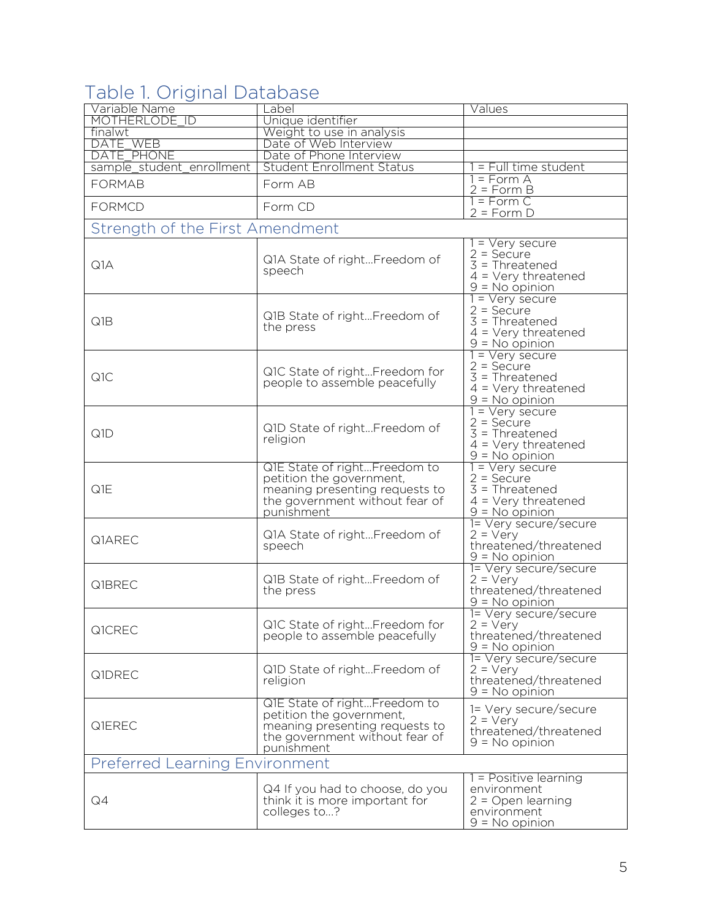## Table 1. Original Database

| Variable Name                         | _abel                                                                                                                                      | Values                                                                                           |
|---------------------------------------|--------------------------------------------------------------------------------------------------------------------------------------------|--------------------------------------------------------------------------------------------------|
| MOTHERLODE ID                         | Unique identifier                                                                                                                          |                                                                                                  |
| finalwt<br>DATE WEB                   | Weight to use in analysis<br>Date of Web Interview                                                                                         |                                                                                                  |
| DATE PHONE                            | Date of Phone Interview                                                                                                                    |                                                                                                  |
| sample student enrollment             | <b>Student Enrollment Status</b>                                                                                                           | = Full time student                                                                              |
| <b>FORMAB</b>                         | Form AB                                                                                                                                    | 1 = Form A<br>$2 = Form B$                                                                       |
| <b>FORMCD</b>                         | Form CD                                                                                                                                    | $= Form C$<br>$2 = Form D$                                                                       |
| Strength of the First Amendment       |                                                                                                                                            |                                                                                                  |
| Q1A                                   | Q1A State of rightFreedom of<br>speech                                                                                                     | = Very secure<br>$2 =$ Secure<br>$3$ = Threatened<br>$4 =$ Very threatened<br>$9 = No$ opinion   |
| Q1B                                   | Q1B State of rightFreedom of<br>the press                                                                                                  | = Very secure<br>$2 =$ Secure<br>$3$ = Threatened<br>$4 =$ Very threatened<br>$9 = No$ opinion   |
| Q <sub>1</sub> C                      | Q1C State of rightFreedom for<br>people to assemble peacefully                                                                             | = Very secure<br>$2 =$ Secure<br>$3$ = Threatened<br>$4 =$ Very threatened<br>$9 = No$ opinion   |
| Q1D                                   | Q1D State of rightFreedom of<br>religion                                                                                                   | 1 = Very secure<br>$2 =$ Secure<br>$3$ = Threatened<br>$4 =$ Very threatened<br>$9 = No$ opinion |
| Q1E                                   | Q1E State of rightFreedom to<br>petition the government,<br>meaning presenting requests to<br>the government without fear of<br>punishment | 1 = Very secure<br>$2 =$ Secure<br>$3$ = Threatened<br>$4 =$ Very threatened<br>$9 = No$ opinion |
| Q1AREC                                | Q1A State of rightFreedom of<br>speech                                                                                                     | 1= Very secure/secure<br>$2 = V$ ery<br>threatened/threatened<br>$9 = No$ opinion                |
| Q1BREC                                | Q1B State of rightFreedom of<br>the press                                                                                                  | 1= Very secure/secure<br>$2 = Very$<br>threatened/threatened<br><u>9 = No opinion</u>            |
| Q1CREC                                | Q1C State of rightFreedom for<br>people to assemble peacefully                                                                             | 1= Very secure/secure<br>$2 = Very$<br>threatened/threatened<br>$9 = No$ opinion                 |
| Q1DREC                                | Q1D State of rightFreedom of<br>religion                                                                                                   | 1= Very secure/secure<br>$2 = \sqrt{e}ry$<br>threatened/threatened<br>$9 = No$ opinion           |
| Q1EREC                                | Q1E State of rightFreedom to<br>petition the government,<br>meaning presenting requests to<br>the government without fear of<br>punishment | 1= Very secure/secure<br>$2 = \text{Very}$<br>threatened/threatened<br>$9 = No$ opinion          |
| <b>Preferred Learning Environment</b> |                                                                                                                                            |                                                                                                  |
| Q4                                    | Q4 If you had to choose, do you<br>think it is more important for<br>colleges to?                                                          | 1 = Positive learning<br>environment<br>$2 =$ Open learning<br>environment<br>$9 = No$ opinion   |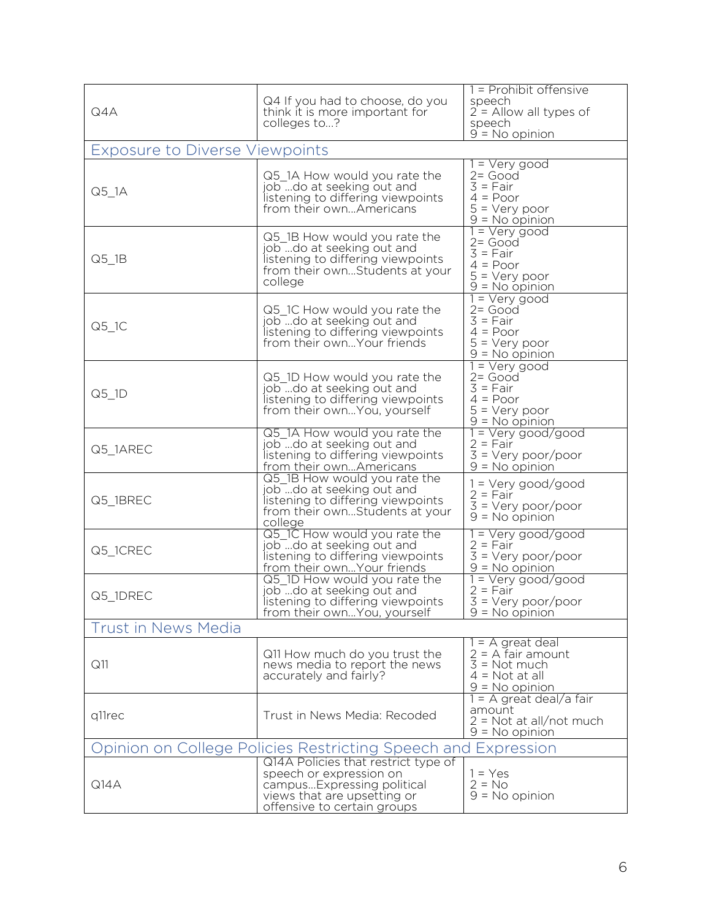| Q4A                                   | Q4 If you had to choose, do you<br>think it is more important for<br>colleges to?                                                                          | 1 = Prohibit offensive<br>speech<br>$2 =$ Allow all types of<br>speech<br>$9 = No$ opinion                  |
|---------------------------------------|------------------------------------------------------------------------------------------------------------------------------------------------------------|-------------------------------------------------------------------------------------------------------------|
| <b>Exposure to Diverse Viewpoints</b> |                                                                                                                                                            |                                                                                                             |
| $Q5$ <sup>1</sup> A                   | Q5 1A How would you rate the<br>job do at seeking out and<br>listening to differing viewpoints<br>from their ownAmericans                                  | 1 = Very good<br>$2 = Good$<br>$3 = Fair$<br>$4 = Poor$<br>$5 = Very poor$<br>$9 = No$ opinion              |
| $Q5_l$ 1B                             | Q5_1B How would you rate the<br>jobdo at seeking out and<br>listening to differing viewpoints<br>from their ownStudents at your<br>college                 | $1 = \sqrt{y}$ good<br>$2 = Good$<br>$3 = Fair$<br>$4 = Poor$<br>$5 = Very poor$<br>$9 = No$ opinion        |
| $Q5_l$ <sup>1</sup> C                 | Q5_1C How would you rate the<br>job do at seeking out and<br>listening to differing viewpoints<br>from their own Your friends                              | $1 = \sqrt{y}$ good<br>$2 = Good$<br>$3 = Fair$<br>$4 = Poor$<br>$5 = \text{Very poor}$<br>$9 = No$ opinion |
| $Q5$ <sup>1D</sup>                    | Q5 1D How would you rate the<br>job do at seeking out and<br>listening to differing viewpoints<br>from their own You, yourself                             | $1 = \sqrt{y}$ good<br>$2 = Good$<br>$3 = Fair$<br>$4 = Poor$<br>$5 = \text{Very poor}$<br>$9 = No$ opinion |
| Q5 1AREC                              | Q5 1A How would you rate the<br>job do at seeking out and<br>listening to differing viewpoints<br>from their ownAmericans                                  | 1 = Very good/good<br>$2 = Fair$<br>$3 = \text{Very poor/poor}$<br>$9 = No$ opinion                         |
| Q5 1BREC                              | Q5_1B How would you rate the<br>job do at seeking out and<br>listening to differing viewpoints<br>from their ownStudents at your<br>college                | $1 = \text{Very good/good}$<br>$2 = Fair$<br>$3 = \text{Very poor/poor}$<br>$9 = No$ opinion                |
| Q5_1CREC                              | Q5_1C How would you rate the<br>job do at seeking out and<br>listening to differing viewpoints<br>from their own Your friends                              | $1 = \text{Very good/good}$<br>$2 = Fair$<br>$3 = \text{Very poor/poor}$<br>$9 = No$ opinion                |
| Q5 1DREC                              | Q5_1D How would you rate the<br>job do at seeking out and<br>listening to differing viewpoints<br>from their ownYou, yourself                              | 1 = Very good/good<br>$2 = Fair$<br>$3 = Very poor/poor$<br>$9 = No$ opinion                                |
| <b>Trust in News Media</b>            |                                                                                                                                                            |                                                                                                             |
| Q11                                   | Q11 How much do you trust the<br>news media to report the news<br>accurately and fairly?                                                                   | $=$ A great deal<br>$2 = A$ fair amount<br>$3 = Not much$<br>$4 = Not at all$<br>$9 = No$ opinion           |
| q11rec                                | Trust in News Media: Recoded                                                                                                                               | $=$ A great deal/a fair<br>amount<br>$2 = Not at all/not much$<br>$9 = No$ opinion                          |
|                                       | Opinion on College Policies Restricting Speech and Expression                                                                                              |                                                                                                             |
| Q14A                                  | Q14A Policies that restrict type of<br>speech or expression on<br>campusExpressing political<br>views that are upsetting or<br>offensive to certain groups | $1 = Yes$<br>$2 = No$<br>$9 = No$ opinion                                                                   |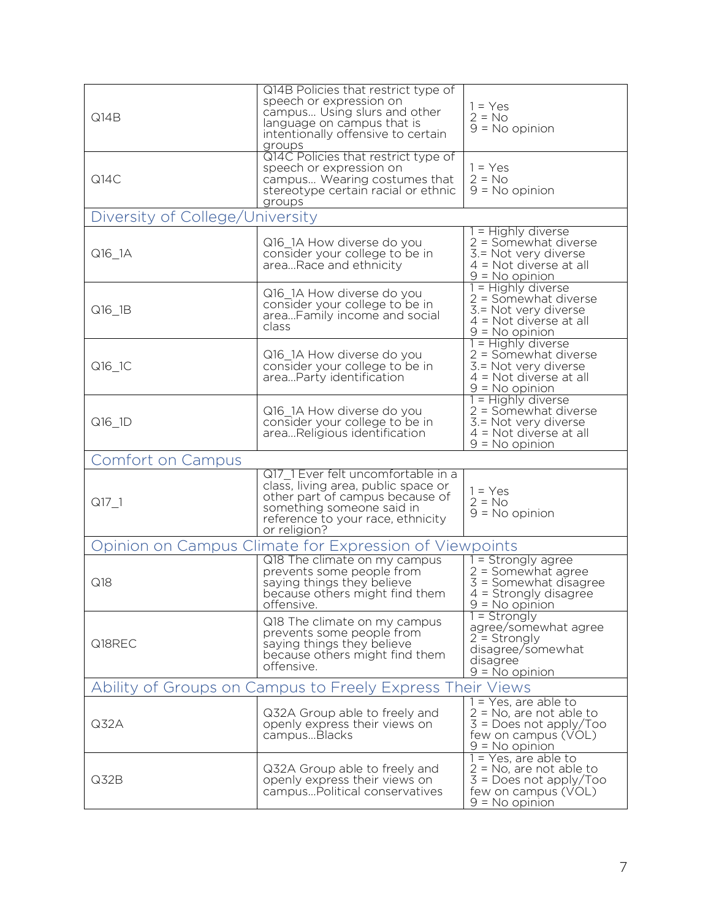| Q14B                                                      | Q14B Policies that restrict type of<br>speech or expression on<br>campus Using slurs and other<br>language on campus that is<br>intentionally offensive to certain<br>groups                   | $1 = Yes$<br>$2 = No$<br>$9 = No$ opinion                                                                                     |
|-----------------------------------------------------------|------------------------------------------------------------------------------------------------------------------------------------------------------------------------------------------------|-------------------------------------------------------------------------------------------------------------------------------|
| Q14C                                                      | Q14C Policies that restrict type of<br>speech or expression on<br>campus Wearing costumes that<br>stereotype certain racial or ethnic<br>groups                                                | $1 = Yes$<br>$2 = No$<br>$9 = No$ opinion                                                                                     |
| Diversity of College/L                                    | Jniversity                                                                                                                                                                                     |                                                                                                                               |
| Q16_1A                                                    | Q16_1A How diverse do you<br>consider your college to be in<br>areaRace and ethnicity                                                                                                          | 1 = Highly diverse<br>$2 =$ Somewhat diverse<br>3.= Not very diverse<br>$4 = Not$ diverse at all<br>$9 = No$ opinion          |
| Q16 1B                                                    | Q16_1A How diverse do you<br>consider your college to be in<br>areaFamily income and social<br>class                                                                                           | 1 = Highly diverse<br>2 = Somewhat diverse<br>3. = Not very diverse<br>$4 = Not$ diverse at all<br>$9 = No$ opinion           |
| Q16_1C                                                    | Q16_1A How diverse do you<br>consider your college to be in<br>areaParty identification                                                                                                        | 1 = Highly diverse<br>2 = Somewhat diverse<br>3. = Not very diverse<br>$4 = Not$ diverse at all<br>$9 = No$ opinion           |
| Q16_1D                                                    | Q16_1A How diverse do you<br>consider your college to be in<br>areaReligious identification                                                                                                    | 1 = Highly diverse<br>2 = Somewhat diverse<br>3. = Not very diverse<br>$4 = Not$ diverse at all<br>$9 = No$ opinion           |
| Comfort on Campus                                         |                                                                                                                                                                                                |                                                                                                                               |
| $Q17_1$                                                   | Q17 1 Ever felt uncomfortable in a<br>class, living area, public space or<br>other part of campus because of<br>something someone said in<br>reference to your race, ethnicity<br>or religion? | $1 = Yes$<br>$2 = No$<br>$9 = No$ opinion                                                                                     |
|                                                           | Opinion on Campus Climate for Expression of Viewpoints                                                                                                                                         |                                                                                                                               |
| Q18                                                       | Q18 The climate on my campus<br>prevents some people from<br>saying things they believe<br>because others might find them<br>offensive.                                                        | $1 =$ Strongly agree<br>$2 =$ Somewhat agree<br>$3 =$ Somewhat disagree<br>$4 =$ Strongly disagree<br>$9 = No$ opinion        |
| Q18REC                                                    | Q18 The climate on my campus<br>prevents some people from<br>saying things they believe<br>because others might find them<br>offensive.                                                        | $1 =$ Strongly<br>agree/somewhat agree<br>$2 =$ Strongly<br>disagree/somewhat<br>disagree<br>$9 = No$ opinion                 |
| Ability of Groups on Campus to Freely Express Their Views |                                                                                                                                                                                                |                                                                                                                               |
| Q32A                                                      | Q32A Group able to freely and<br>openly express their views on<br>campusBlacks                                                                                                                 | 1 = Yes, are able to<br>$2 = No$ , are not able to<br>$3 = Does not apply/ Too$<br>few on campus (VOL)<br>$9 = No$ opinion    |
| Q32B                                                      | Q32A Group able to freely and<br>openly express their views on<br>campusPolitical conservatives                                                                                                | $1 = Yes$ , are able to<br>$2 = No$ , are not able to<br>$3 = Does not apply/ Too$<br>few on campus (VOL)<br>$9 = No$ opinion |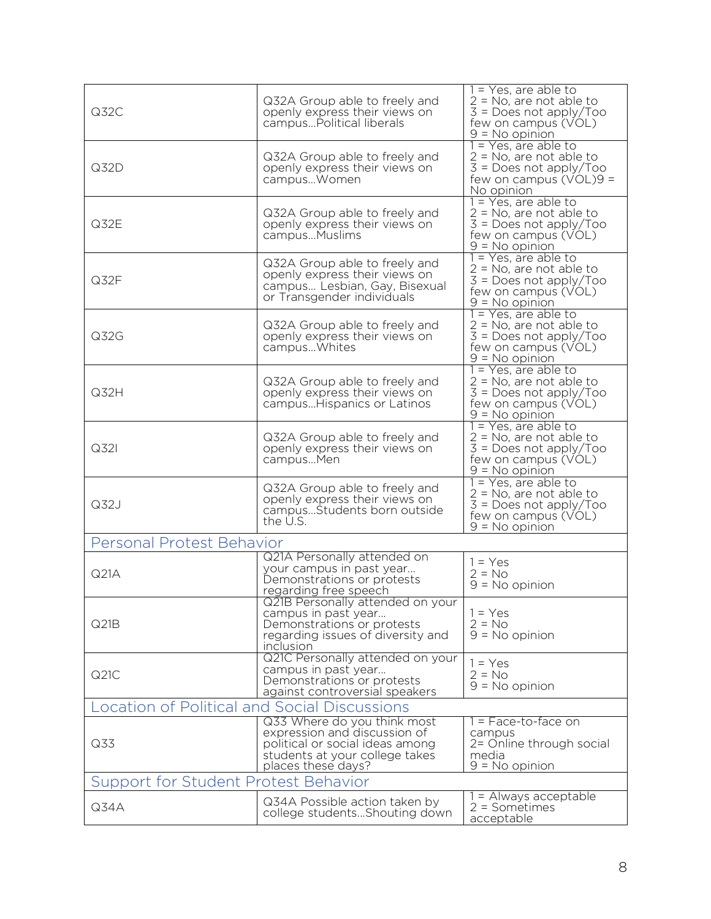|                                                     |                                                                 | $1 = Yes$ , are able to                               |
|-----------------------------------------------------|-----------------------------------------------------------------|-------------------------------------------------------|
|                                                     | Q32A Group able to freely and                                   | $2 = No$ , are not able to                            |
| Q32C                                                | openly express their views on<br>campusPolitical liberals       | $3 = Does not apply/ Too$<br>few on campus (VOL)      |
|                                                     |                                                                 | $9 = No$ opinion                                      |
|                                                     |                                                                 | 1 = Yes, are able to                                  |
|                                                     | Q32A Group able to freely and                                   | $2 = No$ , are not able to                            |
| Q32D                                                | openly express their views on                                   | $3 = Does not apply/ Too$                             |
|                                                     | campusWomen                                                     | few on campus $(VOL)9 =$<br>No opinion                |
|                                                     |                                                                 | 1 = Yes, are able to                                  |
|                                                     | Q32A Group able to freely and                                   | $2 = No$ , are not able to                            |
| Q32E                                                | openly express their views on                                   | $3 = Does not apply/ Too$                             |
|                                                     | campus Muslims                                                  | few on campus (VOL)                                   |
|                                                     |                                                                 | $9 = No$ opinion<br>$1 = Yes$ , are able to           |
|                                                     | Q32A Group able to freely and                                   | $2 = No$ , are not able to                            |
| Q32F                                                | openly express their views on<br>campus Lesbian, Gay, Bisexual  | $3 = Does not apply/ Too$                             |
|                                                     | or Transgender individuals                                      | few on campus (VOL)                                   |
|                                                     |                                                                 | $9 = No$ opinion<br>1 = Yes, are able to              |
|                                                     | Q32A Group able to freely and                                   | $2 = No$ , are not able to                            |
| Q32G                                                | openly express their views on                                   | $3 = Does not apply/ Too$                             |
|                                                     | campus Whites                                                   | few on campus (VOL)                                   |
|                                                     |                                                                 | $9 = N_0$ opinion                                     |
|                                                     | Q32A Group able to freely and                                   | $1 = Yes$ , are able to<br>$2 = No$ , are not able to |
| Q32H                                                | openly express their views on                                   | $3 = Does not apply/Too$                              |
|                                                     | campusHispanics or Latinos                                      | few on campus (VOL)                                   |
|                                                     |                                                                 | $9 = No$ opinion                                      |
|                                                     | Q32A Group able to freely and                                   | 1 = Yes, are able to<br>$2 = No$ , are not able to    |
| Q321                                                | openly express their views on                                   | $3 = Does not apply/ Too$                             |
|                                                     | campusMen                                                       | few on campus (VOL)                                   |
|                                                     |                                                                 | $9 = No$ opinion                                      |
|                                                     | Q32A Group able to freely and                                   | $1 = Yes$ , are able to<br>$2 = No$ , are not able to |
| Q32J                                                | openly express their views on                                   | $3 = Does not apply/ Too$                             |
|                                                     | campusStudents born outside<br>the U.S.                         | few on campus (VOL)                                   |
|                                                     |                                                                 | $9 = No$ opinion                                      |
| Personal Protest Behavior                           |                                                                 |                                                       |
|                                                     | Q21A Personally attended on                                     | $1 = Yes$                                             |
| Q21A                                                | your campus in past year<br>Demonstrations or protests          | $2 = No$                                              |
|                                                     | regarding free speech                                           | $9 = No$ opinion                                      |
|                                                     | Q21B Personally attended on your                                |                                                       |
|                                                     | campus in past year                                             | $1 = Yes$                                             |
| Q21B                                                | Demonstrations or protests<br>regarding issues of diversity and | $2 = No$<br>$9 = No$ opinion                          |
|                                                     | inclusion                                                       |                                                       |
|                                                     | Q21C Personally attended on your                                | $1 = Yes$                                             |
| Q21C                                                | campus in past year                                             | $2 = No$                                              |
|                                                     | Demonstrations or protests                                      | $9 = No$ opinion                                      |
|                                                     | against controversial speakers                                  |                                                       |
| <b>Location of Political and Social Discussions</b> |                                                                 |                                                       |
|                                                     | Q33 Where do you think most<br>expression and discussion of     | $=$ Face-to-face on<br>campus                         |
| Q33                                                 | political or social ideas among                                 | 2= Online through social                              |
|                                                     | students at your college takes                                  | media                                                 |
|                                                     | places these days?                                              | $9 = No$ opinion                                      |
| Support for Student Protest Behavior                |                                                                 |                                                       |
|                                                     | Q34A Possible action taken by                                   | 1 = Always acceptable                                 |
| Q34A                                                | college studentsShouting down                                   | $2 =$ Sometimes<br>acceptable                         |
|                                                     |                                                                 |                                                       |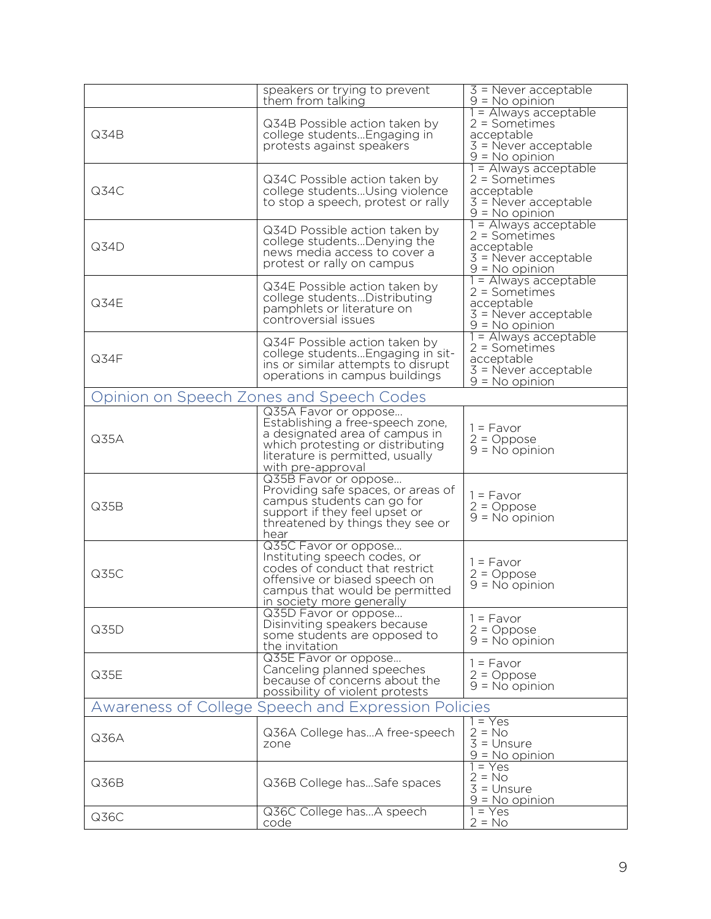|      | speakers or trying to prevent<br>them from talking                                                                                                                                      | $\overline{3}$ = Never acceptable<br>$9 = N_0$ opinion                                               |
|------|-----------------------------------------------------------------------------------------------------------------------------------------------------------------------------------------|------------------------------------------------------------------------------------------------------|
| Q34B | Q34B Possible action taken by<br>college students Engaging in<br>protests against speakers                                                                                              | 1 = Always acceptable<br>$2 =$ Sometimes<br>acceptable<br>$3$ = Never acceptable<br>$9 = No$ opinion |
| Q34C | Q34C Possible action taken by<br>college studentsUsing violence<br>to stop a speech, protest or rally                                                                                   | = Always acceptable<br>$2 =$ Sometimes<br>acceptable<br>$3 =$ Never acceptable<br>$9 = No$ opinion   |
| Q34D | Q34D Possible action taken by<br>college studentsDenying the<br>news media access to cover a<br>protest or rally on campus                                                              | 1 = Always acceptable<br>2 = Sometimes<br>acceptable<br>$3$ = Never acceptable<br>$9 = No$ opinion   |
| Q34E | Q34E Possible action taken by<br>college studentsDistributing<br>pamphlets or literature on<br>controversial issues                                                                     | = Always acceptable<br>$2 =$ Sometimes<br>acceptable<br>$3$ = Never acceptable<br>$9 = No$ opinion   |
| Q34F | Q34F Possible action taken by<br>college students Engaging in sit-<br>ins or similar attempts to disrupt<br>operations in campus buildings                                              | = Always acceptable<br>$2 =$ Sometimes<br>acceptable<br>$3$ = Never acceptable<br>$9 = No$ opinion   |
|      | Opinion on Speech Zones and Speech Codes                                                                                                                                                |                                                                                                      |
| Q35A | Q35A Favor or oppose<br>Establishing a free-speech zone,<br>a designated area of campus in<br>which protesting or distributing<br>literature is permitted, usually<br>with pre-approval | $1 = Favor$<br>$2 = Oppose$<br>$9 = No$ opinion                                                      |
| Q35B | Q35B Favor or oppose<br>Providing safe spaces, or areas of<br>campus students can go for<br>support if they feel upset or<br>threatened by things they see or<br>hear                   | $1 = Favor$<br>$2 = Oppose$<br>$9 = No$ opinion                                                      |
| Q35C | Q35C Favor or oppose<br>Instituting speech codes, or<br>codes of conduct that restrict<br>offensive or biased speech on<br>campus that would be permitted<br>in society more generally  | $1 = Favor$<br>$2 = Oppose$<br>$9 = No$ opinion                                                      |
| Q35D | Q35D Favor or oppose<br>Disinviting speakers because<br>some students are opposed to<br>the invitation                                                                                  | $1 = Favor$<br>$2 = Oppose$<br>$9 = No$ opinion                                                      |
| Q35E | Q35E Favor or oppose<br>Canceling planned speeches<br>because of concerns about the<br>possibility of violent protests                                                                  | $1 = Favor$<br>$2 = Oppose$<br>$9 = No$ opinion                                                      |
|      | Awareness of College Speech and Expression Policies                                                                                                                                     |                                                                                                      |
| Q36A | Q36A College hasA free-speech<br>zone                                                                                                                                                   | $= Yes$<br>$2 = No$<br>$3 =$ Unsure<br>$9 = No$ opinion                                              |
| Q36B | Q36B College hasSafe spaces                                                                                                                                                             | $= Yes$<br>$2 = No$<br>$3 =$ Unsure<br>$9 = No$ opinion                                              |
| Q36C | Q36C College hasA speech<br>code                                                                                                                                                        | $1 = Yes$<br>$2 = No$                                                                                |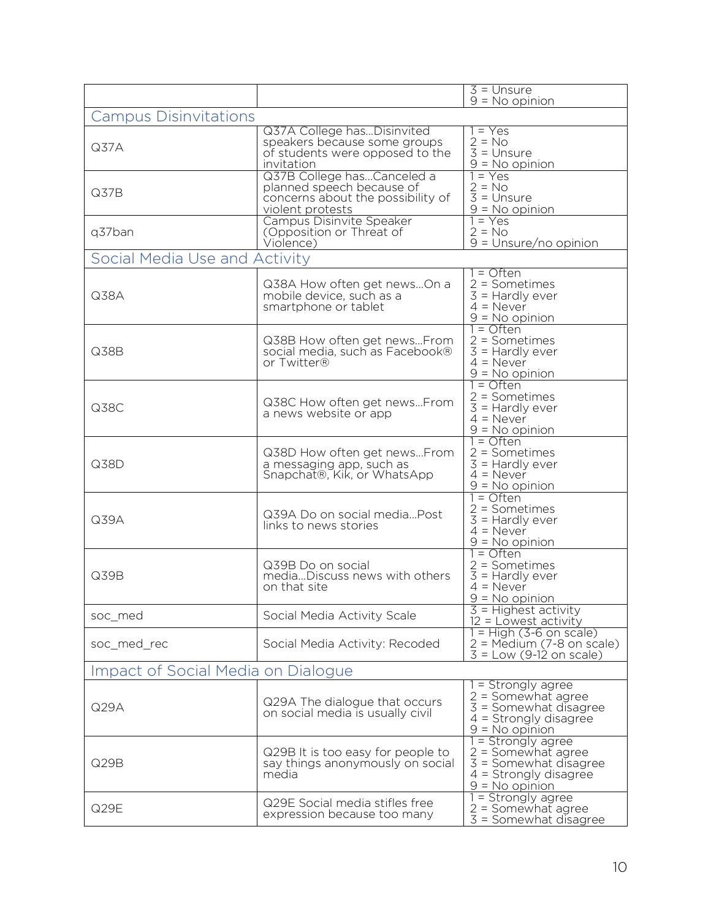|                                    |                                                                                                                  | $3 =$ Unsure                                                                                                        |
|------------------------------------|------------------------------------------------------------------------------------------------------------------|---------------------------------------------------------------------------------------------------------------------|
|                                    |                                                                                                                  | $9 = No$ opinion                                                                                                    |
| <b>Campus Disinvitations</b>       |                                                                                                                  |                                                                                                                     |
| Q37A                               | Q37A College hasDisinvited<br>speakers because some groups<br>of students were opposed to the<br>invitation      | 1 = Yes<br>$2 = No$<br>$3 =$ Unsure<br>$9 = No$ opinion                                                             |
| Q37B                               | Q37B College hasCanceled a<br>planned speech because of<br>concerns about the possibility of<br>violent protests | $= Yes$<br>$2 = No$<br>$3 = Unsure$<br>$9 = No$ opinion                                                             |
| q37ban                             | Campus Disinvite Speaker<br>(Opposition or Threat of<br>Violence)                                                | $1 = Yes$<br>$2 = No$<br>$9 =$ Unsure/no opinion                                                                    |
| Social Media Use and Activity      |                                                                                                                  |                                                                                                                     |
| Q38A                               | Q38A How often get newsOn a<br>mobile device, such as a<br>smartphone or tablet                                  | 1 = Often<br>$2 =$ Sometimes<br>$3 =$ Hardly ever<br>$4 =$ Never<br>$9 = No$ opinion                                |
| Q38B                               | Q38B How often get newsFrom<br>social media, such as Facebook®<br>or Twitter®                                    | $1 =$ Often<br>$2 =$ Sometimes<br>$3 =$ Hardly ever<br>$4 =$ Never<br>$9 = No$ opinion                              |
| Q38C                               | Q38C How often get newsFrom<br>a news website or app                                                             | $=$ Often<br>$2 =$ Sometimes<br>$3 =$ Hardly ever<br>$4 =$ Never<br>$9 = No$ opinion                                |
| Q38D                               | Q38D How often get newsFrom<br>a messaging app, such as<br>Snapchat®, Kik, or WhatsApp                           | $1 =$ Often<br>$2 =$ Sometimes<br>$3 =$ Hardly ever<br>$4 =$ Never<br>$9 = No$ opinion                              |
| Q39A                               | Q39A Do on social mediaPost<br>links to news stories                                                             | $=$ Often<br>$2 =$ Sometimes<br>$3 =$ Hardly ever<br>$4 =$ Never<br>$9 = No$ opinion                                |
| Q39B                               | Q39B Do on social<br>mediaDiscuss news with others<br>on that site                                               | 1 = Often<br>$2 =$ Sometimes<br>$3$ = Hardly ever<br>$4 =$ Never<br>$9 = No$ opinion                                |
| soc_med                            | Social Media Activity Scale                                                                                      | $3$ = Highest activity<br>$12$ = Lowest activity                                                                    |
| soc_med_rec                        | Social Media Activity: Recoded                                                                                   | $1 = High (3-6 on scale)$<br>$2 = Medium (7-8 on scale)$<br>$3 = Low (9-12)$ on scale)                              |
| Impact of Social Media on Dialogue |                                                                                                                  |                                                                                                                     |
| Q29A                               | Q29A The dialogue that occurs<br>on social media is usually civil                                                | = Strongly agree<br>$2 =$ Somewhat agree<br>3 = Somewhat disagree<br>$4 =$ Strongly disagree<br>$9 = No$ opinion    |
| Q29B                               | Q29B It is too easy for people to<br>say things anonymously on social<br>media                                   | = Strongly agree<br>$2 =$ Somewhat agree<br>$3 =$ Somewhat disagree<br>$4 =$ Strongly disagree<br>$9 = N_0$ opinion |
| Q29E                               | Q29E Social media stifles free<br>expression because too many                                                    | = Strongly agree<br>$2 =$ Somewhat agree<br>3 = Somewhat disagree                                                   |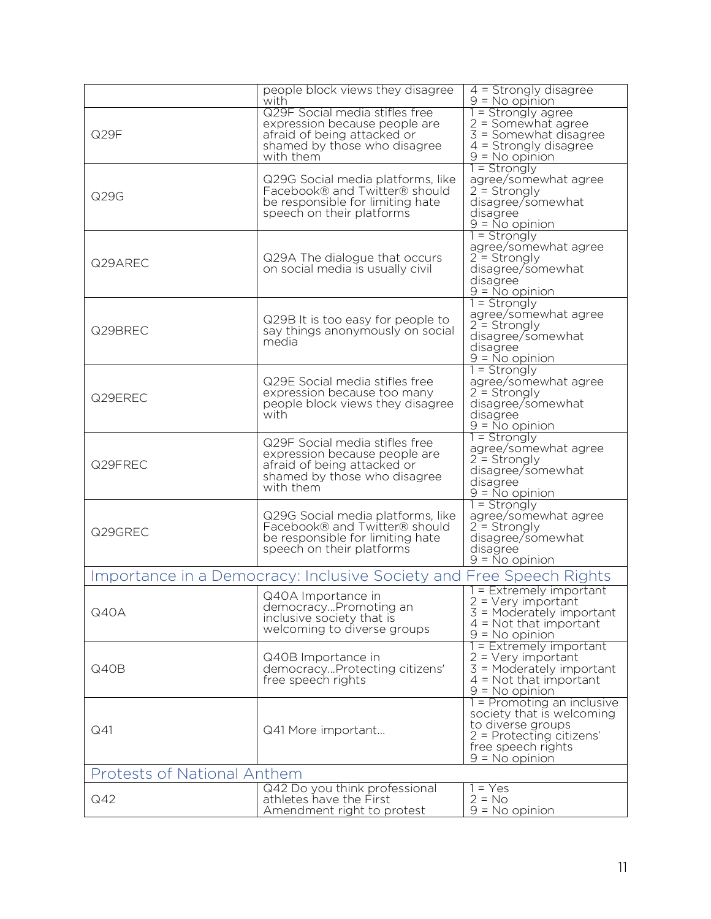|                                    | people block views they disagree<br>with                                                                                                    | $4 =$ Strongly disagree<br>$9 = No$ opinion                                                                                                          |
|------------------------------------|---------------------------------------------------------------------------------------------------------------------------------------------|------------------------------------------------------------------------------------------------------------------------------------------------------|
| Q29F                               | Q29F Social media stifles free<br>expression because people are<br>afraid of being attacked or<br>shamed by those who disagree<br>with them | $1 =$ Strongly agree<br>$2 =$ Somewhat agree<br>3 = Somewhat disagree<br>$4 =$ Strongly disagree<br>$9 = No$ opinion                                 |
| Q29G                               | Q29G Social media platforms, like<br>Facebook® and Twitter® should<br>be responsible for limiting hate<br>speech on their platforms         | 1 = Strongly<br>agree/somewhat agree<br>$2 =$ Strongly<br>disagree/somewhat<br>disagree<br>$9 = \overline{N}$ o opinion                              |
| Q29AREC                            | Q29A The dialogue that occurs<br>on social media is usually civil                                                                           | $1 =$ Strongly<br>agree/somewhat agree<br>$2 =$ Strongly<br>disagree/somewhat<br>disagree<br>$9 = No$ opinion                                        |
| Q29BREC                            | Q29B It is too easy for people to<br>say things anonymously on social<br>media                                                              | $1 =$ Strongly<br>agree/somewhat agree<br>$2 =$ Strongly<br>disagree/somewhat<br>disagree<br>$9 = No$ opinion                                        |
| Q29EREC                            | Q29E Social media stifles free<br>expression because too many<br>people block views they disagree<br>with                                   | $1 =$ Strongly<br>agree/somewhat agree<br>$2 =$ Strongly<br>disagree/somewhat<br>disagree<br>$9 = No$ opinion                                        |
| Q29FREC                            | Q29F Social media stifles free<br>expression because people are<br>afraid of being attacked or<br>shamed by those who disagree<br>with them | $1 =$ Strongly<br>agree/somewhat agree<br>$2 =$ Strongly<br>disagree/somewhat<br>disagree<br>$9 = No$ opinion                                        |
| Q29GREC                            | Q29G Social media platforms, like<br>Facebook® and Twitter® should<br>be responsible for limiting hate<br>speech on their platforms         | $1 =$ Strongly<br>agree/somewhat agree<br>$2 =$ Strongly<br>disagree/somewhat<br>disagree<br>$9 = No$ opinion                                        |
|                                    | Importance in a Democracy: Inclusive Society and Free Speech Rights                                                                         |                                                                                                                                                      |
| Q40A                               | Q40A Importance in<br>democracyPromoting an<br>inclusive society that is<br>welcoming to diverse groups                                     | 1 = Extremely important<br>$2 = \text{Very important}$<br>3 = Moderately important<br>$4 = Not that important$<br>$9 = No$ opinion                   |
| Q40B                               | Q40B Importance in<br>democracyProtecting citizens'<br>free speech rights                                                                   | 1 = Extremely important<br>$2 = Very$ important<br>$3$ = Moderately important<br>$4 = Not that important$<br>$9 = No$ opinion                        |
| Q <sub>41</sub>                    | Q41 More important                                                                                                                          | 1 = Promoting an inclusive<br>society that is welcoming<br>to diverse groups<br>$2$ = Protecting citizens'<br>free speech rights<br>$9 = No$ opinion |
| <b>Protests of National Anthem</b> |                                                                                                                                             |                                                                                                                                                      |
| Q42                                | Q42 Do you think professional<br>athletes have the First<br>Amendment right to protest                                                      | $1 = Yes$<br>$2 = No$<br>$9 = No$ opinion                                                                                                            |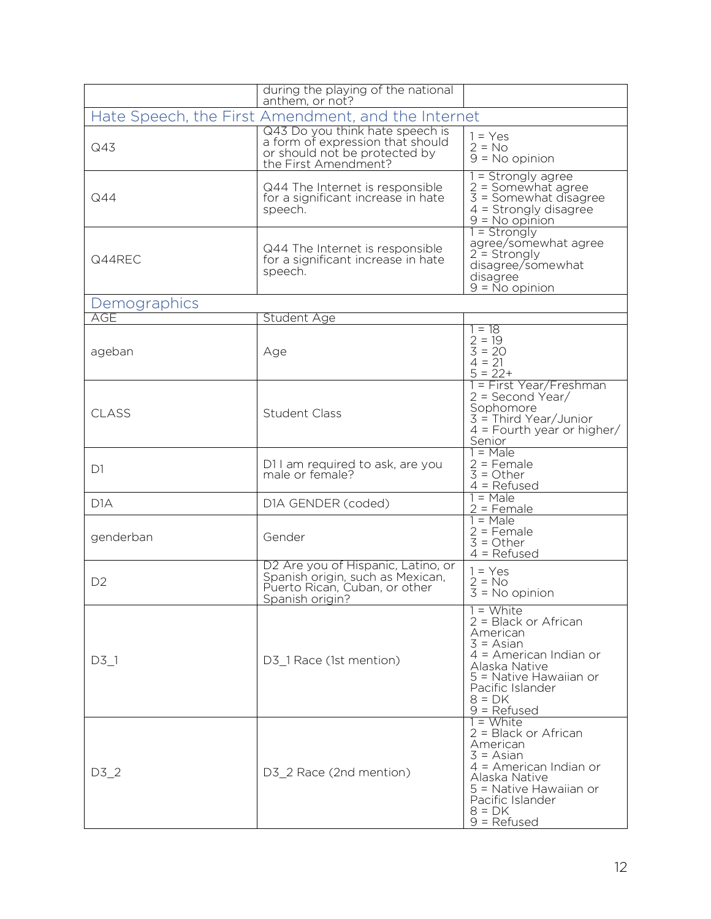|                | during the playing of the national<br>anthem, or not?                                                                        |                                                                                                                                                                                        |
|----------------|------------------------------------------------------------------------------------------------------------------------------|----------------------------------------------------------------------------------------------------------------------------------------------------------------------------------------|
|                | Hate Speech, the First Amendment, and the Internet                                                                           |                                                                                                                                                                                        |
| Q43            | Q43 Do you think hate speech is<br>a form of expression that should<br>or should not be protected by<br>the First Amendment? | $1 = Yes$<br>$2 = No$<br>$9 = No$ opinion                                                                                                                                              |
| Q44            | Q44 The Internet is responsible<br>for a significant increase in hate<br>speech.                                             | 1 = Strongly agree<br>$2 =$ Somewhat agree<br>$3 =$ Somewhat disagree<br>$4 =$ Strongly disagree<br>$9 = No$ opinion                                                                   |
| Q44REC         | Q44 The Internet is responsible<br>for a significant increase in hate<br>speech.                                             | $1 =$ Strongly<br>agree/somewhat agree<br>$2 =$ Strongly<br>disagree/somewhat<br>disagree<br>$9 = No$ opinion                                                                          |
| Demographics   |                                                                                                                              |                                                                                                                                                                                        |
| AGE            | Student Age                                                                                                                  |                                                                                                                                                                                        |
| ageban         | Age                                                                                                                          | $= 18$<br>$2 = 19$<br>$3 = 20$<br>$4 = 21$<br>$5 = 22+$                                                                                                                                |
| CLASS          | <b>Student Class</b>                                                                                                         | 1 = First Year/Freshman<br>$2 = Second Year/$<br>Sophomore<br>$3 =$ Third Year/Junior<br>$4$ = Fourth year or higher/<br>Senior                                                        |
| D <sub>1</sub> | D11 am required to ask, are you<br>male or female?                                                                           | $1 = Male$<br>$2$ = Female<br>$3 = Other$<br>$4 =$ Refused                                                                                                                             |
| D1A            | D1A GENDER (coded)                                                                                                           | $1 = Male$<br>$2$ = Female                                                                                                                                                             |
| genderban      | Gender                                                                                                                       | $1 = Male$<br>$2$ = Female<br>$3 = Other$<br>$4 =$ Refused                                                                                                                             |
| D <sub>2</sub> | D2 Are you of Hispanic, Latino, or<br>Spanish origin, such as Mexican,<br>Puerto Rican, Cuban, or other<br>Spanish origin?   | $1 = Yes$<br>$2 = No$<br>$3 = No$ opinion                                                                                                                                              |
| $D3_1$         | D3_1 Race (1st mention)                                                                                                      | = White<br>$2 = Black$ or African<br>American<br>$3 = Asian$<br>$4$ = American Indian or<br>Alaska Native<br>5 = Native Hawaiian or<br>Pacific Islander<br>$8 = DK$<br>$9$ = Refused   |
| $D3_2$         | D3_2 Race (2nd mention)                                                                                                      | 1 = White<br>$2 = Black$ or African<br>American<br>$3 = Asian$<br>$4$ = American Indian or<br>Alaska Native<br>5 = Native Hawaiian or<br>Pacific Islander<br>$8 = DK$<br>$9 = Refused$ |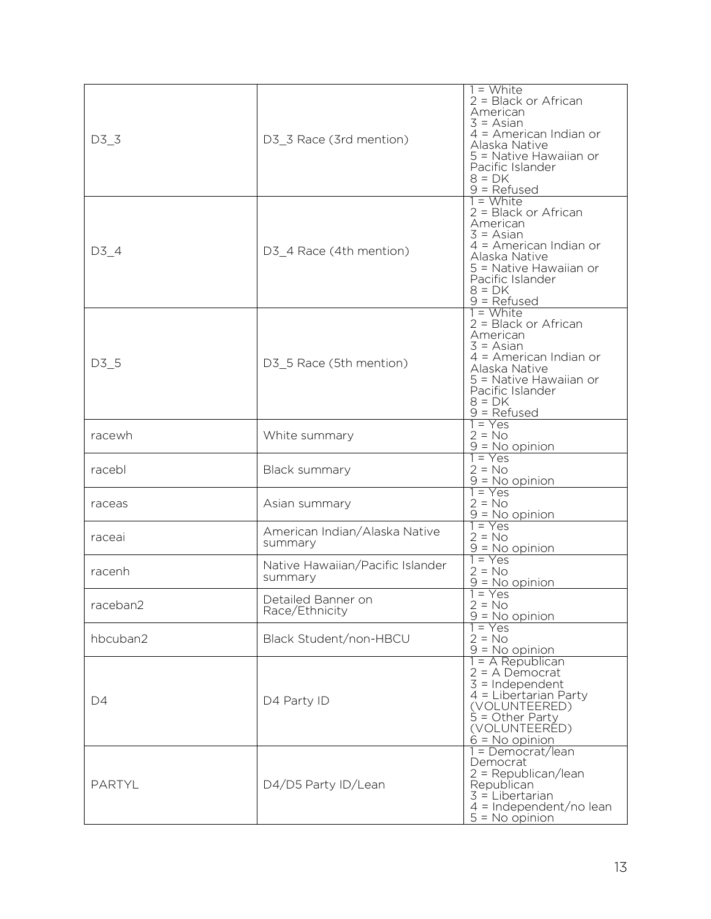| D3 <sub>3</sub> | D3_3 Race (3rd mention)                     | $1 =$ White<br>$2 = Black$ or African<br>American<br>$3 = Asian$<br>$4$ = American Indian or<br>Alaska Native<br>5 = Native Hawaiian or<br>Pacific Islander<br>$8 = DK$<br>$9 =$ Refused |
|-----------------|---------------------------------------------|------------------------------------------------------------------------------------------------------------------------------------------------------------------------------------------|
| $D3_4$          | D3 4 Race (4th mention)                     | $1 =$ White<br>$2 = Black$ or African<br>American<br>$3 = Asian$<br>$4$ = American Indian or<br>Alaska Native<br>5 = Native Hawaiian or<br>Pacific Islander<br>$8 = DK$<br>$9 =$ Refused |
| $D3-5$          | D3_5 Race (5th mention)                     | $1 =$ White<br>2 = Black or African<br>American<br>$3 = Asian$<br>$4$ = American Indian or<br>Alaska Native<br>5 = Native Hawaiian or<br>Pacific Islander<br>$8 = DK$<br>$9 =$ Refused   |
| racewh          | White summary                               | $1 = Yes$<br>$2 = No$<br>$9 = No$ opinion                                                                                                                                                |
| racebl          | Black summary                               | $1 = Yes$<br>$2 = No$<br>$9 = No$ opinion                                                                                                                                                |
| raceas          | Asian summary                               | $1 = Yes$<br>$2 = No$<br>$9 = No$ opinion                                                                                                                                                |
| raceai          | American Indian/Alaska Native<br>summary    | $1 = Yes$<br>$2 = No$<br>$9 = No$ opinion                                                                                                                                                |
| racenh          | Native Hawaiian/Pacific Islander<br>summary | $1 = Yes$<br>$2 = No$<br>$9 = No$ opinion                                                                                                                                                |
| raceban2        | Detailed Banner on<br>Race/Ethnicity        | $1 = Yes$<br>$2 = No$<br>$9 = No$ opinion                                                                                                                                                |
| hbcuban2        | Black Student/non-HBCU                      | $1 = Yes$<br>$2 = No$<br>$9 = No$ opinion                                                                                                                                                |
| D4              | D4 Party ID                                 | $1 = A$ Republican<br>$2 = A$ Democrat<br>$3 =$ Independent<br>$4$ = Libertarian Party<br>(VOLUNTEERED)<br>$\dot{5}$ = Other Party<br>(VOLUNTEERED)<br>$6 = No$ opinion                  |
| <b>PARTYL</b>   | D4/D5 Party ID/Lean                         | 1 = Democrat/lean<br>Democrat<br>$2 = Republican/lean$<br>Republican<br>$3$ = Libertarian<br>$4 =$ Independent/no lean<br>$5 = No$ opinion                                               |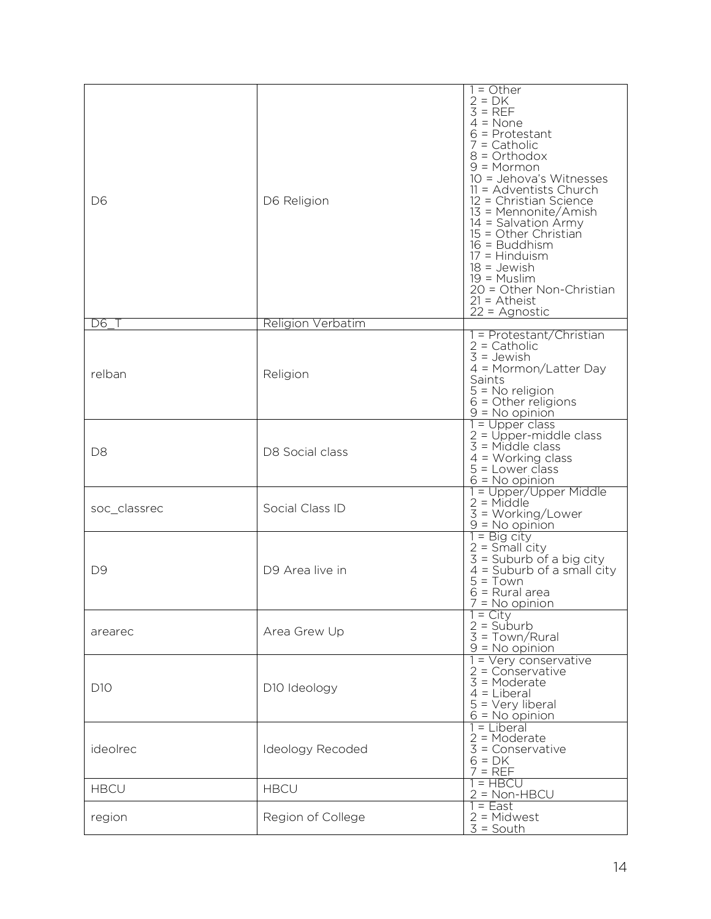| D <sub>6</sub>  | D6 Religion              | $=$ Other<br>$2 = DK$<br>$3 = REF$<br>$4 = None$<br>$6$ = Protestant<br>$7 =$ Catholic<br>$8 = Orthodox$<br>$9 = Mormon$<br>10 = Jehova's Witnesses<br>$11 =$ Adventists Church<br>12 = Christian Science<br>13 = Mennonite/Amish<br>14 = Salvation Army<br>15 = Other Christian<br>$16 =$ Buddhism<br>$17 = Hinduism$<br>$18 =$ Jewish<br>$19 =$ Muslim<br>20 = Other Non-Christian<br>$21 =$ Atheist<br>$22 =$ Agnostic |
|-----------------|--------------------------|---------------------------------------------------------------------------------------------------------------------------------------------------------------------------------------------------------------------------------------------------------------------------------------------------------------------------------------------------------------------------------------------------------------------------|
| D6              | <b>Religion Verbatim</b> |                                                                                                                                                                                                                                                                                                                                                                                                                           |
| relban          | Religion                 | 1 = Protestant/Christian<br>$2 =$ Catholic<br>$3 =$ Jewish<br>$4 = \text{Mormon/Latter Day}$<br>Saints<br>5 = No religion<br>$6 =$ Other religions<br>$9 = No$ opinion                                                                                                                                                                                                                                                    |
| D <sub>8</sub>  | D8 Social class          | $=$ Upper class<br>2 = Upper-middle class<br>3 = Middle class<br>$4 = Working class$<br>$5 =$ Lower class<br>$6 = No$ opinion                                                                                                                                                                                                                                                                                             |
| soc_classrec    | Social Class ID          | 1 = Upper/Upper Middle<br>$2 = Middie$<br>$3 = Working/Lower$<br>$9 = No$ opinion                                                                                                                                                                                                                                                                                                                                         |
| D <sub>9</sub>  | D9 Area live in          | $1 = Big city$<br>$2 =$ Small city<br>$3 =$ Suburb of a big city<br>$4 =$ Suburb of a small city<br>$5 = Town$<br>$6$ = Rural area<br>$\ell$ = No opinion                                                                                                                                                                                                                                                                 |
| arearec         | Area Grew Up             | $=$ City<br>$2 =$ Suburb<br>$3 = Town/Rural$<br>$9 = No$ opinion                                                                                                                                                                                                                                                                                                                                                          |
| D <sub>10</sub> | D10 Ideology             | 1 = Very conservative<br>$2 =$ Conservative<br>$3 =$ Moderate<br>$4 =$ Liberal<br>$5 = \text{Very liberal}$<br>$6 = No$ opinion                                                                                                                                                                                                                                                                                           |
| ideolrec        | Ideology Recoded         | 1 = Liberal<br>$2 =$ Moderate<br>$3 =$ Conservative<br>$6 = DK$<br>$7 = REF$                                                                                                                                                                                                                                                                                                                                              |
| <b>HBCU</b>     | <b>HBCU</b>              | 1 = HBCU<br>$2 = Non-HBCU$                                                                                                                                                                                                                                                                                                                                                                                                |
| region          | Region of College        | 1 = East<br>$2 = Midwest$<br>$3 =$ South                                                                                                                                                                                                                                                                                                                                                                                  |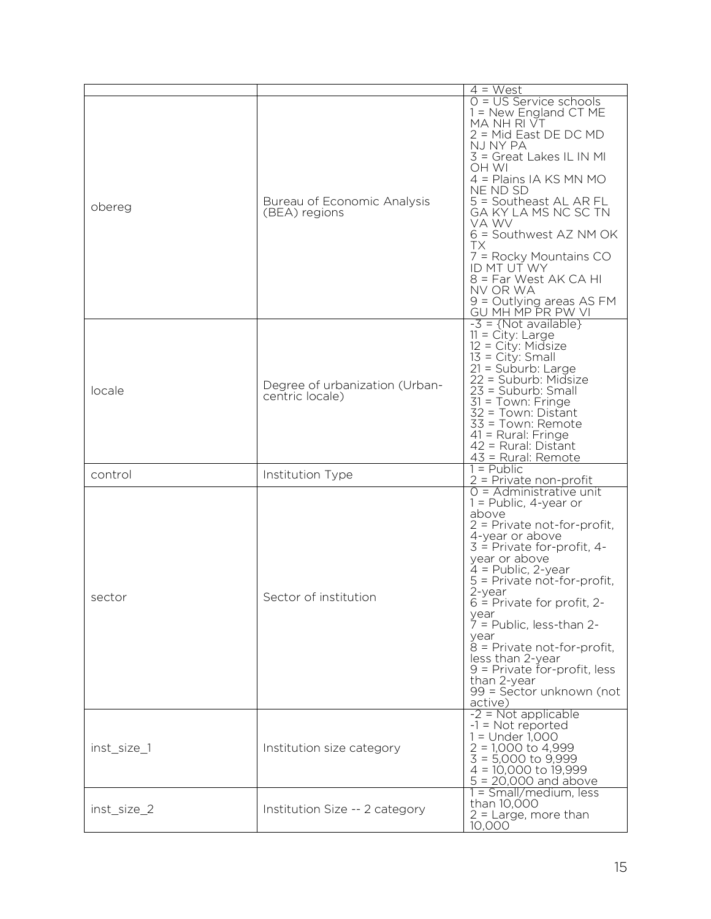|             |                                                   | $4 = West$                                                                                                                                                                                                                                                                                                                                                                                                                                                 |
|-------------|---------------------------------------------------|------------------------------------------------------------------------------------------------------------------------------------------------------------------------------------------------------------------------------------------------------------------------------------------------------------------------------------------------------------------------------------------------------------------------------------------------------------|
| obereg      | Bureau of Economic Analysis<br>(BEA) regions      | $0 = US$ Service schools<br>1 = New England CT ME<br>MA NH RI VT<br>2 = Mid East DE DC MD<br>NJ NY PA<br>3 = Great Lakes IL IN MI<br>OH WI<br>4 = Plains IA KS MN MO<br>NE ND SD<br>5 = Southeast AL AR FL<br>GA KY LA MS NC SC TN<br>VA WV<br>$6 =$ Southwest AZ NM OK<br><b>TX</b><br>7 = Rocky Mountains CO<br>ID MT UT WY<br>8 = Far West AK CA HI<br>NV OR WA<br>$9 =$ Outlying areas AS FM<br>GU MH MP PR PW VI                                      |
| locale      | Degree of urbanization (Urban-<br>centric locale) | $-3 = \{Not available\}$<br>$11 = \text{City: Large}$<br>12 = City: Midsize<br>$13 = City: Small$<br>21 = Suburb: Large<br>22 = Suburb: Midsize<br>23 = Suburb: Small<br>31 = Town: Fringe<br>32 = Town: Distant<br>33 = Town: Remote<br>41 = Rural: Fringe<br>42 = Rural: Distant<br>43 = Rural: Remote                                                                                                                                                   |
| control     | Institution Type                                  | $1 =$ Public<br>2 = Private non-profit                                                                                                                                                                                                                                                                                                                                                                                                                     |
| sector      | Sector of institution                             | $O =$ Administrative unit<br>$1 =$ Public, 4-year or<br>above<br>2 = Private not-for-profit,<br>4-year or above<br>$3$ = Private for-profit, 4-<br>year or above<br>$4 =$ Public, 2-year<br>5 = Private not-for-profit,<br>2-year<br>$6$ = Private for profit, 2-<br>year<br>$7$ = Public, less-than 2-<br>year<br>$8$ = Private not-for-profit,<br>less than 2-year<br>9 = Private for-profit, less<br>than 2-year<br>99 = Sector unknown (not<br>active) |
| inst size 1 | Institution size category                         | $-2$ = Not applicable<br>$-1$ = Not reported<br>$1 =$ Under 1,000<br>$2 = 1,000$ to 4,999<br>$\overline{3} = 5,000$ to 9,999<br>$4 = 10,000$ to $19,999$<br>$5 = 20,000$ and above                                                                                                                                                                                                                                                                         |
| inst_size_2 | Institution Size -- 2 category                    | $1 = Small/medium, less$<br>than 10,000<br>$2$ = Large, more than<br>10,000                                                                                                                                                                                                                                                                                                                                                                                |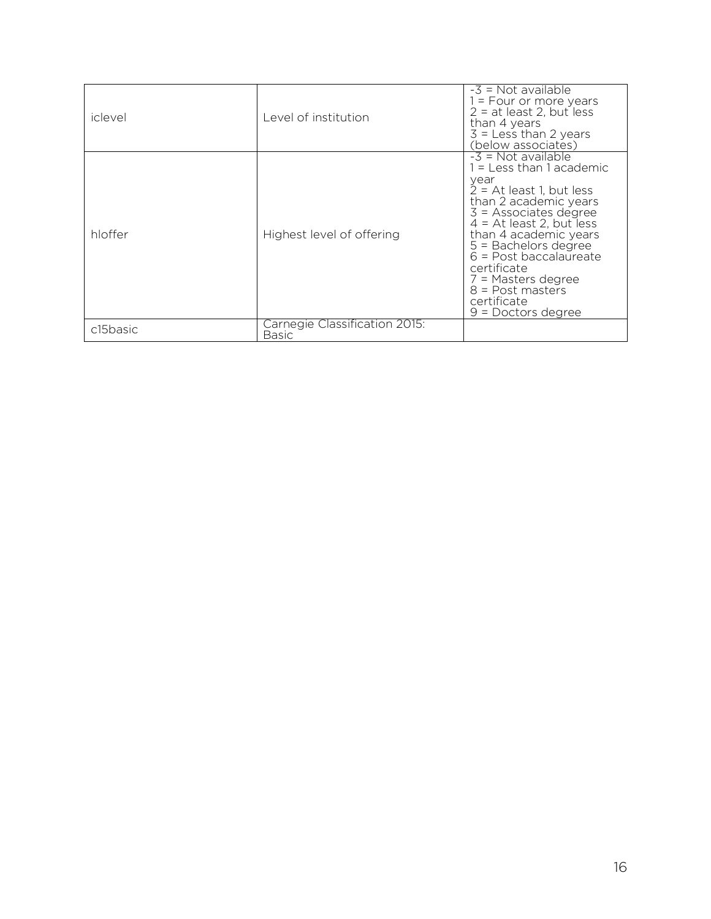| iclevel  | Level of institution.                  | $-3$ = Not available<br>1 = Four or more years<br>$2 = at least 2, but less$<br>than 4 years<br>$3 =$ Less than 2 years<br>(below associates)                                                                                                                                                                                                             |
|----------|----------------------------------------|-----------------------------------------------------------------------------------------------------------------------------------------------------------------------------------------------------------------------------------------------------------------------------------------------------------------------------------------------------------|
| hloffer  | Highest level of offering              | $-3$ = Not available<br>1 = Less than 1 academic<br>year<br>$2 = At least 1, but less$<br>than 2 academic years<br>$3 =$ Associates degree<br>$4 = At least 2, but less$<br>than 4 academic years<br>$5 =$ Bachelors degree<br>$6$ = Post baccalaureate<br>certificate<br>7 = Masters degree<br>$8 =$ Post masters<br>certificate<br>$9 =$ Doctors degree |
| c15basic | Carnegie Classification 2015:<br>Basic |                                                                                                                                                                                                                                                                                                                                                           |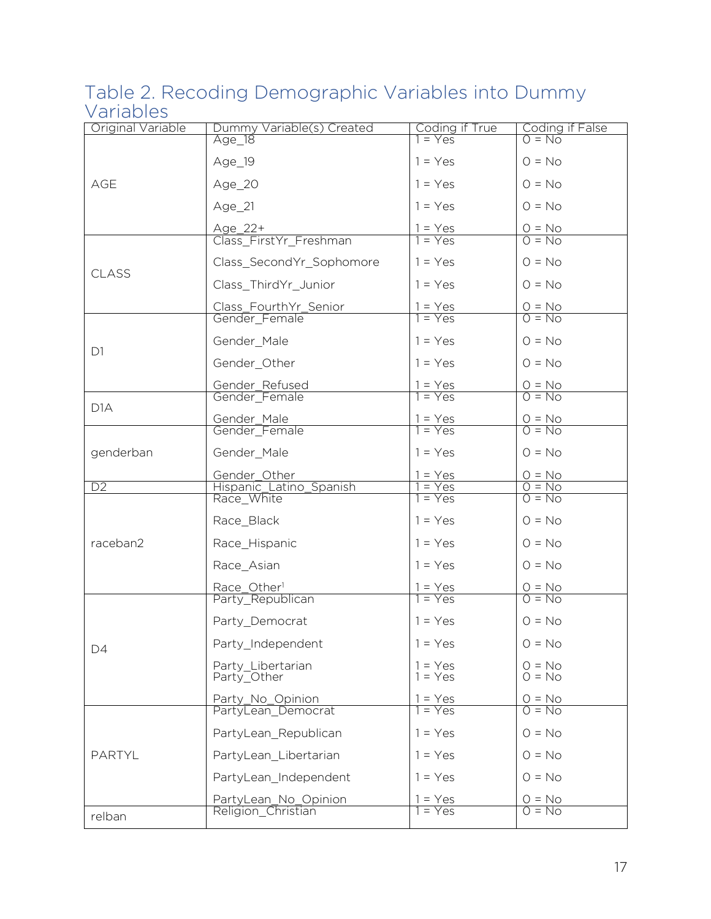### Table 2. Recoding Demographic Variables into Dummy Variables

| Original Variable | Dummy Variable(s) Created                   | Coding if True            | Coding if False<br>0 = No |
|-------------------|---------------------------------------------|---------------------------|---------------------------|
|                   | Age_18                                      | $1 = Yes$                 |                           |
|                   | Age_19                                      | $1 = Yes$                 | $0 = No$                  |
| AGE               | Age_20                                      | $1 = Yes$                 | $O = No$                  |
|                   | Age_21                                      | $1 = Yes$                 | $0 = No$                  |
|                   | <u>Age 22+</u>                              | $1 = Yes$<br>$1 = Yes$    | $\frac{O = No}{O = No}$   |
|                   | Class FirstYr Freshman                      |                           |                           |
| CLASS             | Class_SecondYr_Sophomore                    | $1 = Yes$                 | $O = No$                  |
|                   | Class_ThirdYr_Junior                        | $1 = Yes$                 | $O = No$                  |
|                   | Class_FourthYr_Senior<br>Gender_Female      | $1 = Yes$<br>$1 = Yes$    | $\frac{O = No}{O = No}$   |
|                   |                                             |                           |                           |
| D <sub>1</sub>    | Gender_Male                                 | $1 = Yes$                 | $0 = No$                  |
|                   | Gender_Other                                | $1 = Yes$                 | $0 = No$                  |
|                   | Gender_Refused                              | $1 = Yes$<br>$1 = Yes$    | $\frac{O = No}{O = No}$   |
|                   | Gender_Female                               |                           |                           |
| D <sub>1</sub> A  |                                             |                           |                           |
|                   | Gender_Male<br>Gender_Female                | $1 = Yes$<br>$1 = Yes$    | $\frac{O = No}{O = No}$   |
| genderban         | Gender_Male                                 | $1 = Yes$                 | $0 = No$                  |
|                   | Gender_Other                                | $1 = Yes$                 | $0 = No$                  |
| D2                | Hispanic_Latino_Spanish<br>Race_White       | $=$ Yes<br>$1 = Yes$      | $0 = No$<br>$0 = No$      |
|                   | Race_Black                                  | $1 = Yes$                 | $0 = No$                  |
| raceban2          | Race_Hispanic                               | $1 = Yes$                 | $0 = No$                  |
|                   | Race_Asian                                  | $1 = Yes$                 | $0 = No$                  |
|                   | Race_Other <sup>1</sup><br>Party_Republican | <u>1 = Yes</u><br>1 = Yes | $\frac{O = No}{O = No}$   |
|                   |                                             |                           |                           |
|                   | Party_Democrat                              | $1 = Yes$                 | $0 = No$                  |
| D4                | Party_Independent                           | $1 = Yes$                 | $O = No$                  |
|                   | Party Libertarian<br>Party_Other            | $=$ Yes<br>$1 = Yes$      | $O = No$<br>$O = No$      |
|                   | Party No Opinion                            | $=$ Yes                   |                           |
|                   | PartyLean Democrat                          | $= Yes$                   | $\frac{O = No}{O = No}$   |
|                   | PartyLean Republican                        | $1 = Yes$                 | $0 = No$                  |
| <b>PARTYL</b>     | PartyLean_Libertarian                       | $1 = Yes$                 | $0 = No$                  |
|                   | PartyLean_Independent                       | $1 = Yes$                 | $0 = No$                  |
|                   | PartyLean_No_Opinion                        | $=$ Yes                   | $\frac{O = No}{O = No}$   |
| relban            | Religion Christian                          | $=$ Yes                   |                           |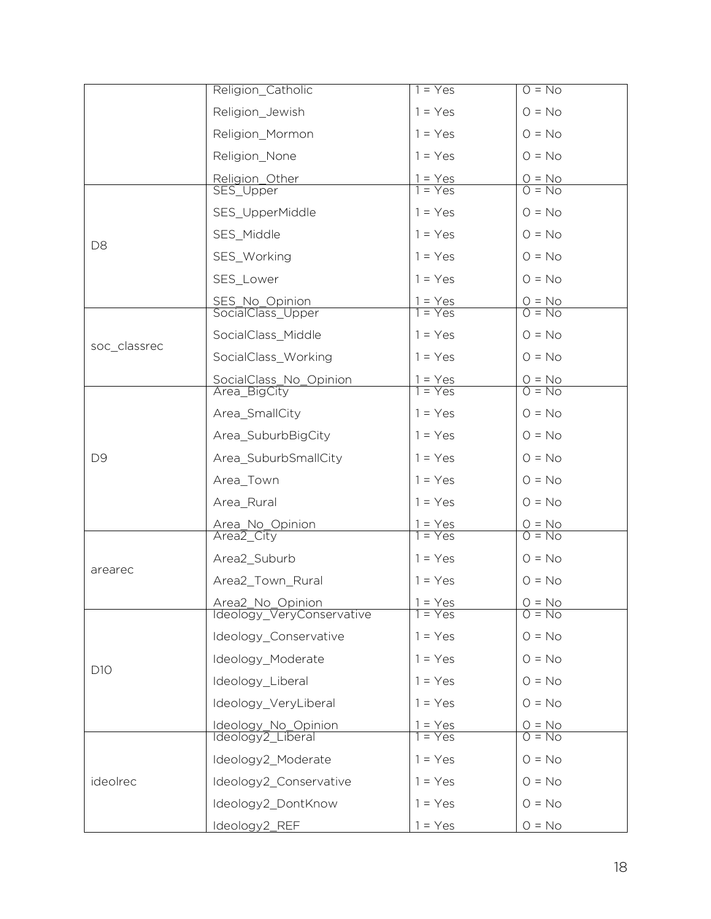|                | Religion_Catholic                             | $1 = Yes$              | $0 = No$                |
|----------------|-----------------------------------------------|------------------------|-------------------------|
|                | Religion_Jewish                               | $1 = Yes$              | $0 = No$                |
|                | Religion_Mormon                               | $1 = Yes$              | $0 = No$                |
|                | Religion_None                                 | $1 = Yes$              | $0 = No$                |
|                | Religion_Other                                | $1 = Yes$<br>$1 = Yes$ | $\frac{O = No}{O = No}$ |
|                | SES_Upper                                     |                        |                         |
|                | SES_UpperMiddle                               | $1 = Yes$              | $0 = No$                |
| D <sub>8</sub> | SES_Middle                                    | $1 = Yes$              | $0 = No$                |
|                | SES_Working                                   | $1 = Yes$              | $0 = No$                |
|                | SES_Lower                                     | $1 = Yes$              | $O = No$                |
|                | SES_No_Opinion                                | $1 = Yes$<br>$1 = Yes$ | $\frac{O = No}{O = No}$ |
|                | SocialClass_Upper                             |                        |                         |
| soc_classrec   | SocialClass_Middle                            | $1 = Yes$              | $0 = No$                |
|                | SocialClass_Working                           | $1 = Yes$              | $O = No$                |
|                | SocialClass_No_Opinion                        | $1 = Yes$<br>$1 = Yes$ | $\frac{O = No}{O = No}$ |
|                | Area_BigCity                                  |                        |                         |
|                | Area_SmallCity                                | $1 = Yes$              | $0 = No$                |
|                | Area_SuburbBigCity                            | $1 = Yes$              | $0 = No$                |
| D <sub>9</sub> | Area_SuburbSmallCity                          | $1 = Yes$              | $O = No$                |
|                | Area_Town                                     | $1 = Yes$              | $0 = No$                |
|                | Area_Rural                                    | $1 = Yes$              | $0 = No$                |
|                | Area_No_Opinion                               | $1 = Yes$<br>$1 = Yes$ | $\frac{O = No}{O = No}$ |
|                | Area <sub>2_City</sub>                        |                        |                         |
| arearec        | Area2_Suburb                                  | $1 = Yes$              | $0 = No$                |
|                | Area2_Town_Rural                              | $1 = Yes$              | $0 = No$                |
|                | Area2_No_Opinion<br>Ideology_VeryConservative | $1 = Yes$              | $\frac{O = No}{O = No}$ |
|                |                                               | $1 = Yes$              |                         |
|                | Ideology_Conservative                         | $1 = Yes$              | $0 = No$                |
| D10            | Ideology_Moderate                             | $1 = Yes$              | $0 = No$                |
|                | Ideology_Liberal                              | $1 = Yes$              | $0 = No$                |
|                | Ideology_VeryLiberal                          | $1 = Yes$              | $0 = No$                |
|                | Ideology_No_Opinion                           | $1 = Yes$              | $\frac{O = No}{O = No}$ |
|                | Ideology2_Liberal                             | $=$ Yes                |                         |
|                | Ideology2_Moderate                            | $1 = Yes$              | $O = No$                |
| ideolrec       | Ideology2_Conservative                        | $1 = Yes$              | $0 = No$                |
|                | Ideology2_DontKnow                            | $1 = Yes$              | $0 = No$                |
|                | Ideology <sub>2_REF</sub>                     | $1 = Yes$              | $0 = No$                |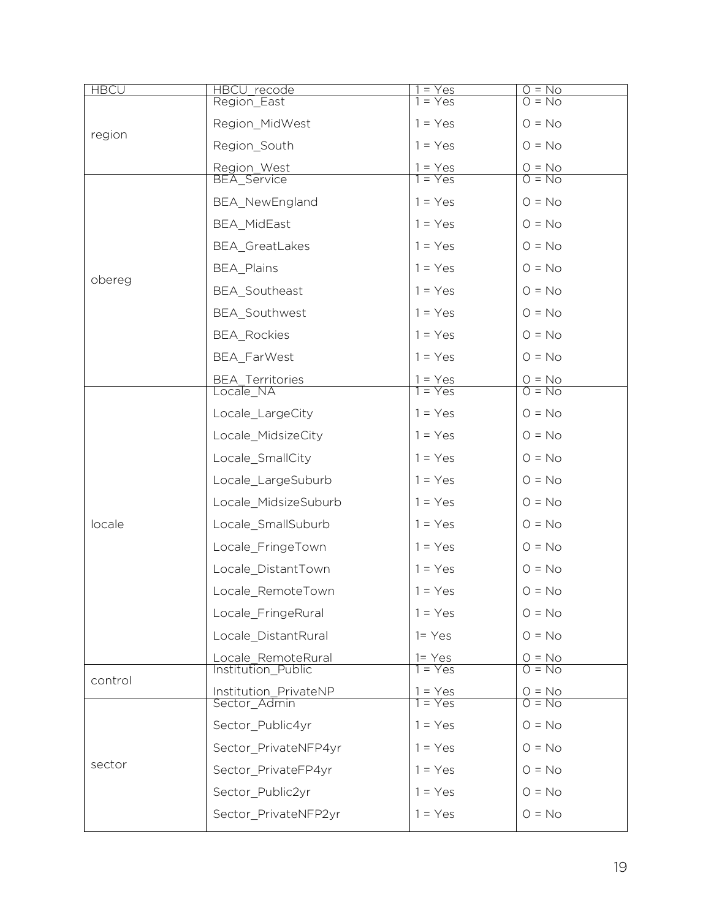| <b>HBCU</b> | <u>HBCU_recode</u>                    | $=$ Yes                |                         |
|-------------|---------------------------------------|------------------------|-------------------------|
|             | Region_East                           | $=$ Yes                | $\frac{O = No}{O = No}$ |
| region      | Region_MidWest                        | $1 = Yes$              | $0 = No$                |
|             | Region South                          | $1 = Yes$              | $0 = No$                |
|             | Region_West                           | $1 = Yes$<br>$= Yes$   | $\frac{O = No}{O = No}$ |
|             | <b>BEA_Service</b>                    |                        |                         |
|             | BEA_NewEngland                        | $1 = Yes$              | $0 = No$                |
|             | <b>BEA MidEast</b>                    | $1 = Yes$              | $O = No$                |
|             | BEA_GreatLakes                        | $1 = Yes$              | $O = No$                |
| obereg      | <b>BEA_Plains</b>                     | $1 = Yes$              | $O = No$                |
|             | BEA_Southeast                         | $1 = Yes$              | $0 = No$                |
|             | <b>BEA</b> Southwest                  | $1 = Yes$              | $O = No$                |
|             | <b>BEA_Rockies</b>                    | $1 = Yes$              | $0 = No$                |
|             | BEA_FarWest                           | $1 = Yes$              | $O = No$                |
|             | BEA_Territories                       | $1 = Yes$              | $\frac{O = No}{O = No}$ |
|             | Locale NA                             | $1 = Yes$              |                         |
|             | Locale_LargeCity                      | $1 = Yes$              | $O = No$                |
|             | Locale_MidsizeCity                    | $1 = Yes$              | $O = No$                |
|             | Locale_SmallCity                      | $1 = Yes$              | $0 = No$                |
|             | Locale_LargeSuburb                    | $1 = Yes$              | $O = No$                |
|             | Locale_MidsizeSuburb                  | $1 = Yes$              | $0 = No$                |
| locale      | Locale_SmallSuburb                    | $1 = Yes$              | $O = No$                |
|             | Locale_FringeTown                     | $1 = Yes$              | $O = No$                |
|             | Locale_DistantTown                    | $1 = Yes$              | $0 = No$                |
|             | Locale_RemoteTown                     | $1 = Yes$              | $0 = No$                |
|             | Locale_FringeRural                    | $1 = Yes$              | $0 = No$                |
|             | Locale_DistantRural                   | $1 = Yes$              | $0 = No$                |
|             | Locale_RemoteRural                    | $1 = Yes$              | $O = No$                |
| control     | Institution Public                    | $1 = Yes$              | $0 = No$                |
|             | Institution_PrivateNP<br>Sector Admin | $1 = Yes$<br>$1 = Yes$ | $0 = No$<br>$0 = No$    |
|             | Sector Public4yr                      | $1 = Yes$              | $0 = No$                |
|             | Sector_PrivateNFP4yr                  | $1 = Yes$              | $O = No$                |
| sector      | Sector_PrivateFP4yr                   | $1 = Yes$              | $O = No$                |
|             | Sector_Public2yr                      | $1 = Yes$              | $O = No$                |
|             | Sector_PrivateNFP2yr                  | $1 = Yes$              | $O = No$                |
|             |                                       |                        |                         |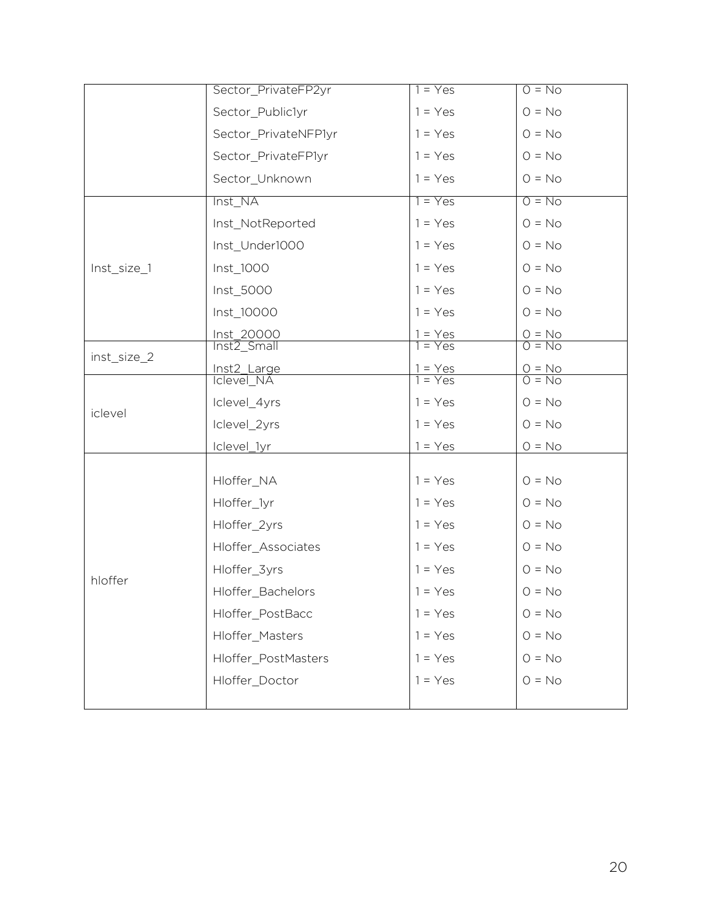|             | Sector_PrivateFP2yr       | $1 = Yes$              | $0 = No$                |
|-------------|---------------------------|------------------------|-------------------------|
|             | Sector_Public1yr          | $1 = Yes$              | $0 = No$                |
|             | Sector_PrivateNFP1yr      | $1 = Yes$              | $0 = No$                |
|             | Sector_PrivateFP1yr       | $1 = Yes$              | $0 = No$                |
|             | Sector_Unknown            | $1 = Yes$              | $0 = No$                |
|             | Inst_NA                   | $1 = Yes$              | $0 = No$                |
|             | Inst_NotReported          | $1 = Yes$              | $0 = No$                |
|             | Inst_Under1000            | $1 = Yes$              | $0 = No$                |
| Inst_size_1 | Inst_1000                 | $1 = Yes$              | $0 = No$                |
|             | Inst_5000                 | $1 = Yes$              | $0 = No$                |
|             | Inst_10000                | $1 = Yes$              | $O = No$                |
|             | Inst_20000<br>Inst2_Small | $1 = Yes$<br>$1 = Yes$ | $\frac{O = No}{O = No}$ |
| inst_size_2 |                           |                        |                         |
|             | Inst2_Large               | $1 = Yes$<br>$1 = Yes$ | $\frac{O = No}{O = No}$ |
| iclevel     | <b>Iclevel_NA</b>         |                        |                         |
|             | Iclevel_4yrs              | $1 = Yes$              | $0 = No$                |
|             | Iclevel_2yrs              | $1 = Yes$              | $0 = No$                |
|             | Iclevel_1yr               | $1 = Yes$              | $0 = No$                |
|             |                           |                        |                         |
|             | Hloffer_NA                | $1 = Yes$              | $0 = No$                |
|             | Hloffer_1yr               | $1 = Yes$              | $0 = No$                |
|             | Hloffer_2yrs              | $1 = Yes$              | $0 = No$                |
|             | Hloffer_Associates        | $1 = Yes$              | $0 = No$                |
| hloffer     | Hloffer_3yrs              | $1 = Yes$              | $0 = No$                |
|             | Hloffer_Bachelors         | $1 = Yes$              | $0 = No$                |
|             | Hloffer_PostBacc          | $1 = Yes$              | $0 = No$                |
|             | Hloffer_Masters           | $1 = Yes$              | $0 = No$                |
|             | Hloffer_PostMasters       | $1 = Yes$              | $0 = No$                |
|             | Hloffer_Doctor            | $1 = Yes$              | $0 = No$                |
|             |                           |                        |                         |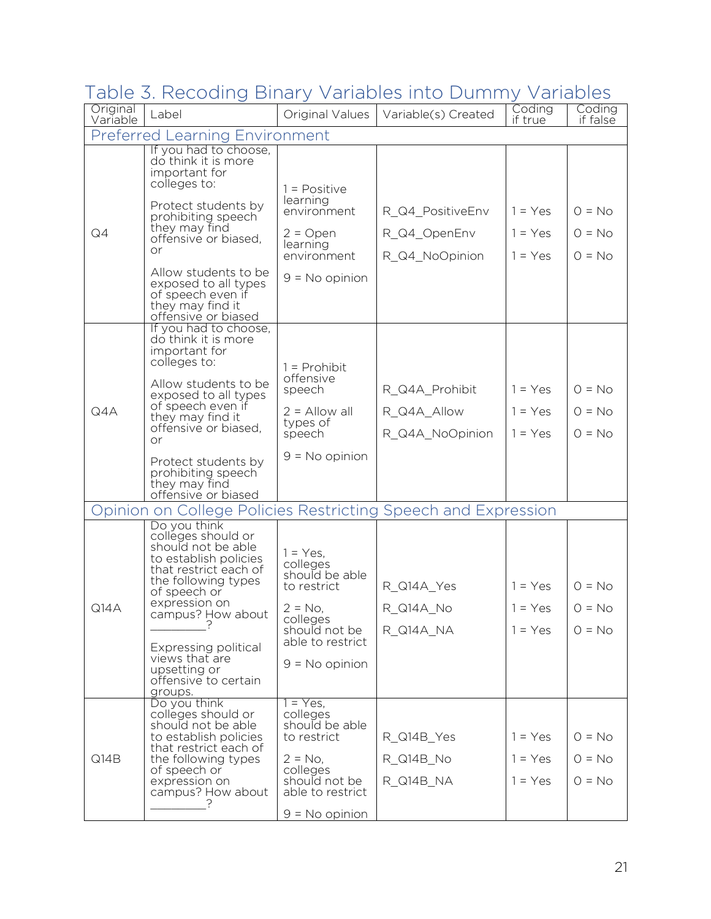| Table 3. Recoding Binary Variables into Dummy Variables |  |  |  |  |
|---------------------------------------------------------|--|--|--|--|
|---------------------------------------------------------|--|--|--|--|

| Original<br>Variable | Label                                                                                                                                                                                                                                                                            | Original Values                                                                                                                             | Variable(s) Created                  | Coding<br>if true                   | Coding<br>if false               |
|----------------------|----------------------------------------------------------------------------------------------------------------------------------------------------------------------------------------------------------------------------------------------------------------------------------|---------------------------------------------------------------------------------------------------------------------------------------------|--------------------------------------|-------------------------------------|----------------------------------|
|                      | <b>Preferred Learning Environment</b>                                                                                                                                                                                                                                            |                                                                                                                                             |                                      |                                     |                                  |
|                      | If you had to choose,<br>do think it is more<br>important for<br>colleges to:<br>Protect students by<br>prohibiting speech<br>they may find                                                                                                                                      | $1 = Positive$<br>learning<br>environment                                                                                                   | R_Q4_PositiveEnv                     | $1 = Yes$                           | $Q = No$                         |
| Q4                   | offensive or biased.<br>or                                                                                                                                                                                                                                                       | $2 =$ Open<br>learning                                                                                                                      | R_Q4_OpenEnv                         | $1 = Yes$                           | $O = No$                         |
|                      | Allow students to be<br>exposed to all types<br>of speech even if<br>they may find it<br>offensive or biased                                                                                                                                                                     | environment<br>$9 = No$ opinion                                                                                                             | R Q4 NoOpinion                       | $1 = Yes$                           | $O = No$                         |
|                      | If you had to choose,<br>do think it is more<br>important for<br>colleges to:                                                                                                                                                                                                    | $1 =$ Prohibit                                                                                                                              |                                      |                                     |                                  |
|                      | Allow students to be<br>exposed to all types<br>of speech even if<br>they may find it<br>offensive or biased.<br>$\alpha$ r                                                                                                                                                      | offensive<br>speech                                                                                                                         | R_Q4A_Prohibit                       | $1 = Yes$                           | $Q = No$                         |
| Q4A                  |                                                                                                                                                                                                                                                                                  | $2 =$ Allow all                                                                                                                             | R Q4A Allow                          | $1 = Yes$                           | $O = No$                         |
|                      |                                                                                                                                                                                                                                                                                  | types of<br>speech                                                                                                                          | R Q4A NoOpinion                      | $1 = Yes$                           | $O = No$                         |
|                      | Protect students by<br>prohibiting speech <sup>1</sup><br>they may find<br>offensive or biased                                                                                                                                                                                   | $9 = No$ opinion                                                                                                                            |                                      |                                     |                                  |
|                      | Opinion on College Policies Restricting Speech and Expression                                                                                                                                                                                                                    |                                                                                                                                             |                                      |                                     |                                  |
| Q14A                 | Do you think<br>colleges should or<br>should not be able<br>to establish policies<br>that restrict each of<br>the following types<br>of speech or<br>expression on<br>campus? How about<br><b>Expressing political</b><br>views that are<br>upsetting or<br>offensive to certain | $1 = Yes$ ,<br>colleges<br>should be able<br>to restrict<br>$2 = No$ .<br>colleges<br>should not be<br>able to restrict<br>$9 = No$ opinion | R_Q14A_Yes<br>R_Q14A_No<br>R_Q14A_NA | $1 = Yes$<br>$1 = Yes$<br>$1 = Yes$ | $O = No$<br>$Q = No$<br>$O = No$ |
|                      | groups.<br>Do you think                                                                                                                                                                                                                                                          | $1 = Yes$ ,                                                                                                                                 |                                      |                                     |                                  |
|                      | colleges should or<br>should not be able<br>to establish policies<br>that restrict each of                                                                                                                                                                                       | colleges<br>should be able<br>to restrict                                                                                                   | R_Q14B_Yes                           | $1 = Yes$                           | $O = No$                         |
| Q14B                 | the following types<br>of speech or                                                                                                                                                                                                                                              | $2 = No$ ,<br>colleges                                                                                                                      | R_Q14B_No                            | $1 = Yes$                           | $O = No$                         |
|                      | expression on<br>campus? How about                                                                                                                                                                                                                                               | should not be<br>able to restrict                                                                                                           | R_Q14B_NA                            | $1 = Yes$                           | $O = No$                         |
|                      |                                                                                                                                                                                                                                                                                  | $9 = No$ opinion                                                                                                                            |                                      |                                     |                                  |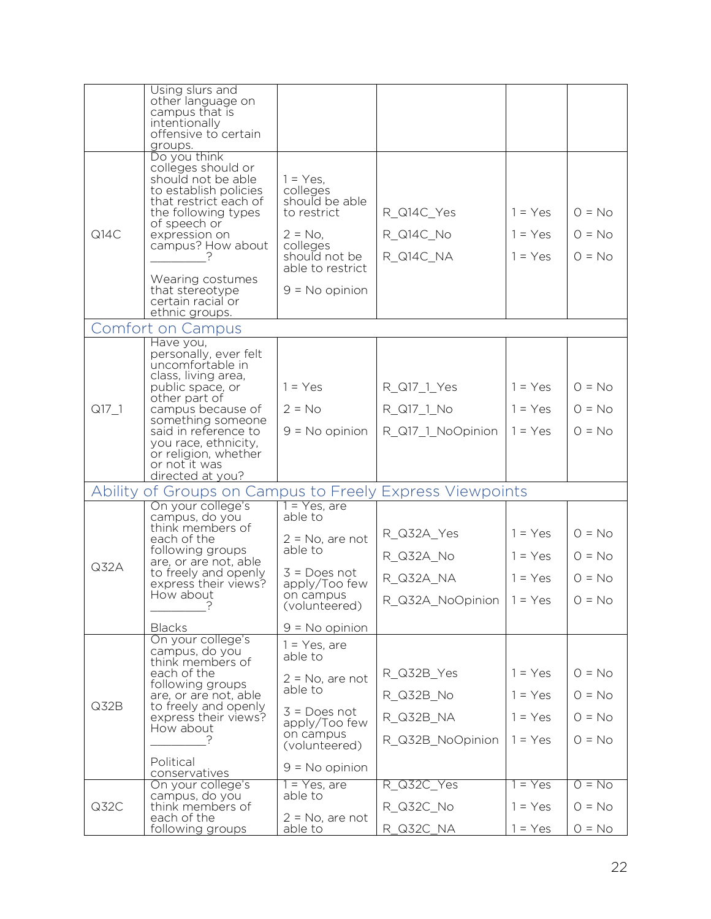|         | Using slurs and<br>other language on<br>campus that is<br>intentionally<br>offensive to certain<br>groups.                                                                                                                          |                                                                                                                                             |                                      |                                     |                                  |
|---------|-------------------------------------------------------------------------------------------------------------------------------------------------------------------------------------------------------------------------------------|---------------------------------------------------------------------------------------------------------------------------------------------|--------------------------------------|-------------------------------------|----------------------------------|
|         | Do you think                                                                                                                                                                                                                        |                                                                                                                                             |                                      |                                     |                                  |
| Q14C    | colleges should or<br>should not be able<br>to establish policies<br>that restrict each of<br>the following types<br>of speech or<br>expression on<br>campus? How about<br>Wearing costumes<br>that stereotype<br>certain racial or | $1 = Yes$ ,<br>colleges<br>should be able<br>to restrict<br>$2 = No$ ,<br>colleges<br>should not be<br>able to restrict<br>$9 = No$ opinion | R_Q14C_Yes<br>R_Q14C_No<br>R_Q14C_NA | $1 = Yes$<br>$1 = Yes$<br>$1 = Yes$ | $O = No$<br>$O = No$<br>$O = No$ |
|         | ethnic groups.                                                                                                                                                                                                                      |                                                                                                                                             |                                      |                                     |                                  |
|         | <b>Comfort on Campus</b>                                                                                                                                                                                                            |                                                                                                                                             |                                      |                                     |                                  |
|         | Have you,<br>personally, ever felt<br>uncomfortable in<br>class, living area,                                                                                                                                                       |                                                                                                                                             |                                      |                                     |                                  |
|         | public space, or<br>other part of<br>campus because of<br>something someone                                                                                                                                                         | $1 = Yes$                                                                                                                                   | R_Q17_1_Yes                          | $1 = Yes$                           | $O = No$                         |
| $Q17_1$ |                                                                                                                                                                                                                                     | $2 = No$                                                                                                                                    | R_Q17_1_No                           | $1 = Yes$                           | $O = No$                         |
|         | said in reference to<br>you race, ethnicity,<br>or religion, whether<br>or not it was                                                                                                                                               | $9 = No$ opinion                                                                                                                            | R_Q17_1_NoOpinion                    | $1 = Yes$                           | $O = No$                         |
|         | directed at you?                                                                                                                                                                                                                    |                                                                                                                                             |                                      |                                     |                                  |
|         | Ability of Groups on Campus to Freely Express Viewpoints<br>On your college's                                                                                                                                                       | 1 = Yes, are                                                                                                                                |                                      |                                     |                                  |
|         | campus, do you                                                                                                                                                                                                                      | able to                                                                                                                                     |                                      |                                     |                                  |
|         | think members of<br>each of the<br>following groups<br>are, or are not, able                                                                                                                                                        | $2 = No$ , are not                                                                                                                          | R_Q32A_Yes                           | $1 = Yes$                           | $O = No$                         |
|         |                                                                                                                                                                                                                                     | able to                                                                                                                                     | R_Q32A_No                            | $1 = Yes$                           | $O = No$                         |
| Q32A    | to freely and openly<br>express their views?                                                                                                                                                                                        | $3 = Does not$<br>apply/Too few                                                                                                             | R_Q32A_NA                            | $1 = Yes$                           | $O = No$                         |
|         | How about<br>?                                                                                                                                                                                                                      | on campus<br>(volunteered)                                                                                                                  | $R_{Q}32A_{N}00$ pinion   1 = Yes    |                                     | $O = No$                         |
|         | <b>Blacks</b>                                                                                                                                                                                                                       | $9 = No$ opinion                                                                                                                            |                                      |                                     |                                  |
|         | On your college's<br>campus, do you<br>think members of                                                                                                                                                                             | $1 = Yes$ , are<br>able to                                                                                                                  |                                      |                                     |                                  |
|         | each of the<br>following groups                                                                                                                                                                                                     | $2 = No$ , are not                                                                                                                          | R_Q32B_Yes                           | $1 = Yes$                           | $Q = No$                         |
| Q32B    | are, or are not, able                                                                                                                                                                                                               | able to                                                                                                                                     | R Q32B No                            | $1 = Yes$                           | $O = No$                         |
|         | to freely and openly<br>express their views?<br>How about                                                                                                                                                                           | $3 = Does not$<br>apply/Too few                                                                                                             | R_Q32B_NA                            | $1 = Yes$                           | $O = No$                         |
|         |                                                                                                                                                                                                                                     | on campus<br>(volunteered)                                                                                                                  | R_Q32B_NoOpinion                     | $1 = Yes$                           | $O = No$                         |
|         | Political<br>conservatives                                                                                                                                                                                                          | $9 = No$ opinion                                                                                                                            |                                      |                                     |                                  |
|         | On your college's                                                                                                                                                                                                                   | $1 = Yes$ , are<br>able to                                                                                                                  | R_Q32C_Yes                           | $= Yes$                             | $0 = No$                         |
| Q32C    | campus, do you<br>think members of<br>each of the                                                                                                                                                                                   | $2 = No$ , are not                                                                                                                          | R_Q32C_No                            | $1 = Yes$                           | $O = No$                         |
|         | following groups                                                                                                                                                                                                                    | able to                                                                                                                                     | R_Q32C_NA                            | $1 = Yes$                           | $O = No$                         |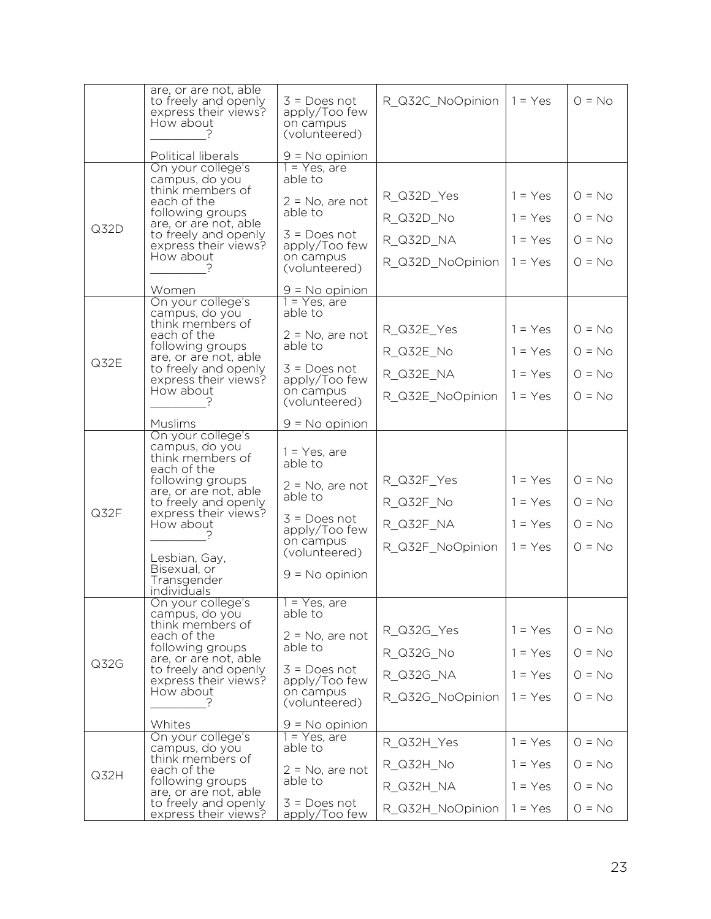|      | are, or are not, able<br>to freely and openly<br>express their views?<br>How about                                                                                                                                                              | $3 = Does not$<br>apply/Too few<br>on campus<br>(volunteered)                                                                                    | R_Q32C_NoOpinion                                         | $1 = Yes$                                        | $O = No$                                     |
|------|-------------------------------------------------------------------------------------------------------------------------------------------------------------------------------------------------------------------------------------------------|--------------------------------------------------------------------------------------------------------------------------------------------------|----------------------------------------------------------|--------------------------------------------------|----------------------------------------------|
|      | Political liberals                                                                                                                                                                                                                              | $9 = No$ opinion                                                                                                                                 |                                                          |                                                  |                                              |
| Q32D | On your college's<br>campus, do you<br>think members of<br>each of the<br>following groups<br>are, or are not, able<br>to freely and openly<br>express their views?<br>How about<br>Women                                                       | 1 = Yes, are<br>able to<br>$2 = No$ , are not<br>able to<br>$3 = Does not$<br>apply/Too few<br>on campus<br>(volunteered)<br>$9 = No$ opinion    | R_Q32D_Yes<br>R_Q32D_No<br>R_Q32D_NA<br>R_Q32D_NoOpinion | $1 = Yes$<br>$1 = Yes$<br>$1 = Yes$<br>$1 = Yes$ | $O = No$<br>$O = No$<br>$O = No$<br>$O = No$ |
| Q32E | On your college's<br>campus, do you<br>think members of<br>each of the<br>following groups<br>are, or are not, able<br>to freely and openly<br>express their views?<br>How about<br><b>Muslims</b>                                              | 1 = Yes, are<br>able to<br>$2 = No$ , are not<br>able to<br>$3 = Does not$<br>apply/Too few<br>on campus<br>(volunteered)<br>$9 = No$ opinion    | R_Q32E_Yes<br>R Q32E No<br>R_Q32E_NA<br>R_Q32E_NoOpinion | $1 = Yes$<br>$1 = Yes$<br>$1 = Yes$<br>$1 = Yes$ | $O = No$<br>$Q = No$<br>$O = No$<br>$O = No$ |
| Q32F | On your college's<br>campus, do you<br>think members of<br>each of the<br>following groups<br>are, or are not, able<br>to freely and openly<br>express their views?<br>How about<br>Lesbian, Gay,<br>Bisexual, or<br>Transgender<br>individuals | $1 = Yes$ , are<br>able to<br>$2 = No$ , are not<br>able to<br>$3 = Does not$<br>apply/Too few<br>on campus<br>(volunteered)<br>$9 = No$ opinion | R_Q32F_Yes<br>R_Q32F_No<br>R_Q32F_NA<br>R_Q32F_NoOpinion | $1 = Yes$<br>$1 = Yes$<br>$1 = Yes$<br>$1 = Yes$ | $Q = No$<br>$O = No$<br>$O = No$<br>$O = No$ |
| Q32G | On your college's<br>campus, do you<br>think members of<br>each of the<br>following groups<br>are, or are not, able<br>to freely and openly<br>express their views?<br>How about<br>Whites                                                      | $1 = Yes$ , are<br>able to<br>$2 = No$ , are not<br>able to<br>$3 = Does not$<br>apply/Too few<br>on campus<br>(volunteered)<br>$9 = No$ opinion | R_Q32G_Yes<br>R Q32G No<br>R_Q32G_NA<br>R Q32G NoOpinion | $1 = Yes$<br>$1 = Yes$<br>$1 = Yes$<br>$1 = Yes$ | $O = No$<br>$O = No$<br>$O = No$<br>$O = No$ |
| Q32H | On your college's<br>campus, do you<br>think members of<br>each of the<br>following groups<br>are, or are not, able<br>to freely and openly<br>express their views?                                                                             | $1 = Yes$ , are<br>able to<br>$2 = No$ , are not<br>able to<br>$3 = Does not$<br>apply/Too few                                                   | R_Q32H_Yes<br>R_Q32H_No<br>R_Q32H_NA<br>R_Q32H_NoOpinion | $1 = Yes$<br>$1 = Yes$<br>$1 = Yes$<br>$1 = Yes$ | $O = No$<br>$O = No$<br>$O = No$<br>$O = No$ |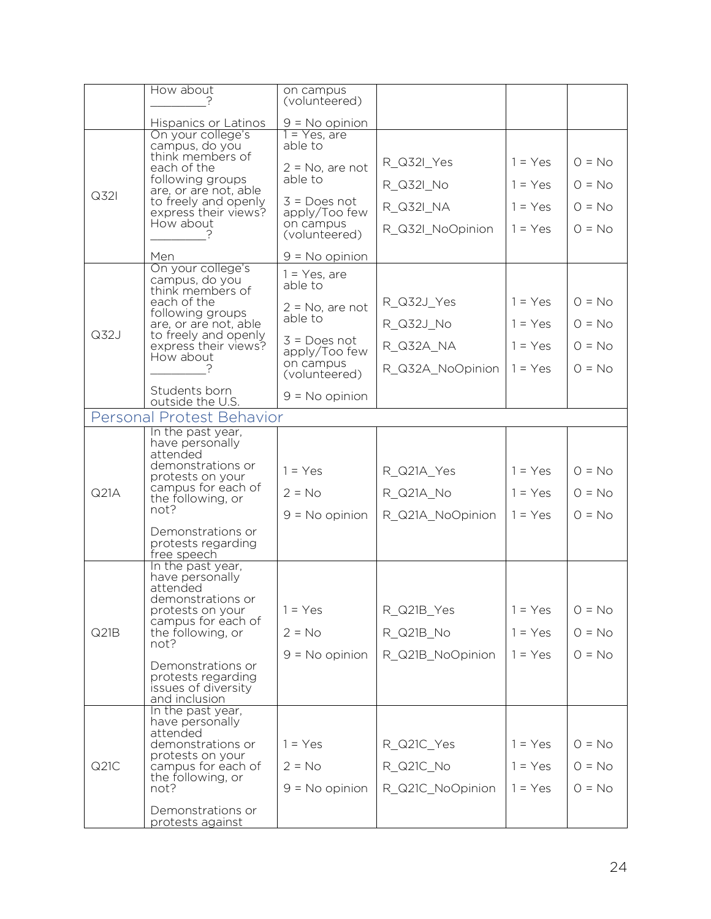|      | How about                                        | on campus<br>(volunteered)      |                  |           |          |
|------|--------------------------------------------------|---------------------------------|------------------|-----------|----------|
|      | Hispanics or Latinos                             | $9 = No$ opinion                |                  |           |          |
|      | On your college's<br>campus, do you              | $1 = Yes$ , are<br>able to      |                  |           |          |
|      | think members of                                 |                                 | R_Q32I_Yes       | $1 = Yes$ | $O = No$ |
|      | each of the<br>following groups                  | $2 = No$ , are not<br>able to   | R_Q32I_No        | $1 = Yes$ | $O = No$ |
| Q32I | are, or are not, able<br>to freely and openly    | $3 = Does not$                  | R Q32I NA        | $1 = Yes$ | $O = No$ |
|      | express their views?<br>How about                | apply/Too few<br>on campus      |                  |           |          |
|      |                                                  | (volunteered)                   | R Q32I NoOpinion | $1 = Yes$ | $O = No$ |
|      | Men                                              | $9 = No$ opinion                |                  |           |          |
|      | On your college's<br>campus, do you              | $1 = Yes$ , are<br>able to      |                  |           |          |
|      | think members of<br>each of the                  | $2 = No$ , are not              | R_Q32J_Yes       | $1 = Yes$ | $Q = No$ |
|      | following groups<br>are, or are not, able        | able to                         | R_Q32J_No        | $1 = Yes$ | $O = No$ |
| Q32J | to freely and openly<br>express their views?     | $3 = Does not$<br>apply/Too few | R_Q32A_NA        | $1 = Yes$ | $O = No$ |
|      | How about                                        | on campus<br>(volunteered)      | R_Q32A_NoOpinion | $1 = Yes$ | $O = No$ |
|      | Students born                                    |                                 |                  |           |          |
|      | outside the U.S.                                 | $9 = No$ opinion                |                  |           |          |
|      | Personal Protest Behavior                        |                                 |                  |           |          |
|      | In the past year,<br>have personally<br>attended |                                 |                  |           |          |
|      | demonstrations or<br>protests on your            | $1 = Yes$                       | R_Q21A_Yes       | $1 = Yes$ | $O = No$ |
| Q21A | campus for each of<br>the following, or          | $2 = No$                        | R_Q21A_No        | $1 = Yes$ | $O = No$ |
|      | not?                                             | $9 = No$ opinion                | R_Q21A_NoOpinion | $1 = Yes$ | $O = No$ |
|      | Demonstrations or<br>protests regarding          |                                 |                  |           |          |
|      | free speech                                      |                                 |                  |           |          |
|      | In the past year,<br>have personally             |                                 |                  |           |          |
|      | attended<br>demonstrations or                    |                                 |                  |           |          |
|      | protests on your<br>campus for each of           | $1 = Yes$                       | R_Q21B_Yes       | $1 = Yes$ | $O = No$ |
| Q21B | the following, or<br>not?                        | $2 = No$                        | R_Q21B_No        | $1 = Yes$ | $O = No$ |
|      |                                                  | $9 = No$ opinion                | R_Q21B_NoOpinion | $1 = Yes$ | $O = No$ |
|      | Demonstrations or<br>protests regarding          |                                 |                  |           |          |
|      | issues of diversity<br>and inclusion             |                                 |                  |           |          |
|      | In the past year,<br>have personally             |                                 |                  |           |          |
|      | attended<br>demonstrations or                    | $1 = Yes$                       | R_Q21C_Yes       | $1 = Yes$ | $O = No$ |
| Q21C | protests on your<br>campus for each of           | $2 = No$                        | R_Q21C_No        | $1 = Yes$ | $O = No$ |
|      | the following, or                                |                                 |                  |           |          |
|      | not?                                             | $9 = No$ opinion                | R_Q21C_NoOpinion | $1 = Yes$ | $O = No$ |
|      | Demonstrations or<br>protests against            |                                 |                  |           |          |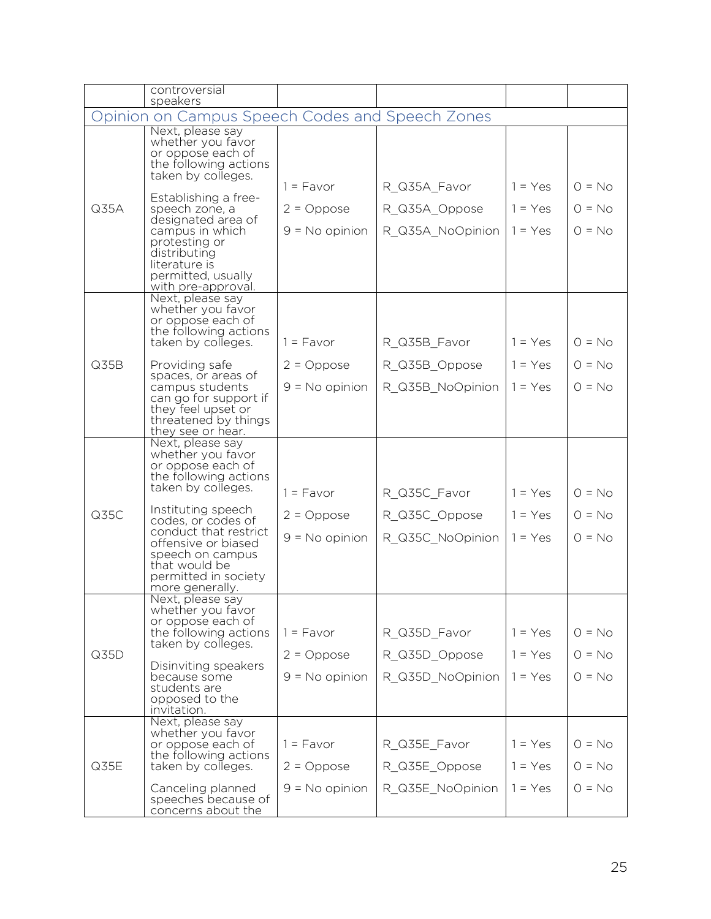|      | controversial<br>speakers                                                                                 |                    |                  |           |          |
|------|-----------------------------------------------------------------------------------------------------------|--------------------|------------------|-----------|----------|
|      | Opinion on Campus Speech Codes and Speech Zones                                                           |                    |                  |           |          |
|      | Next, please say<br>whether you favor<br>or oppose each of<br>the following actions<br>taken by colleges. |                    |                  |           |          |
|      | Establishing a free-                                                                                      | $1 = \text{Favor}$ | R_Q35A_Favor     | $1 = Yes$ | $O = No$ |
| Q35A | speech zone, a<br>designated area of                                                                      | $2 = Oppose$       | R_Q35A_Oppose    | $1 = Yes$ | $O = No$ |
|      | campus in which                                                                                           | $9 = No$ opinion   | R_Q35A_NoOpinion | $1 = Yes$ | $O = No$ |
|      | protesting or<br>distributing<br>literature is<br>permitted, usually<br>with pre-approval.                |                    |                  |           |          |
|      | Next, please say<br>whether you favor                                                                     |                    |                  |           |          |
|      | or oppose each of<br>the following actions                                                                |                    |                  |           |          |
|      | taken by colleges.                                                                                        | $1 = Favor$        | R_Q35B_Favor     | $1 = Yes$ | $O = No$ |
| Q35B | Providing safe                                                                                            | $2 = Oppose$       | R_Q35B_Oppose    | $1 = Yes$ | $O = No$ |
|      | spaces, or areas of<br>campus students                                                                    | $9 = No$ opinion   | R Q35B NoOpinion | $1 = Yes$ | $O = No$ |
|      | can go for support if<br>they feel upset or<br>threatened by things<br>they see or hear.                  |                    |                  |           |          |
|      | Next, please say<br>whether you favor<br>or oppose each of<br>the following actions<br>taken by colleges. | $1 = \text{Favor}$ | R_Q35C_Favor     | $1 = Yes$ | $O = No$ |
| Q35C | Instituting speech                                                                                        | $2 = Oppose$       | R_Q35C_Oppose    | $1 = Yes$ | $O = No$ |
|      | codes, or codes of<br>conduct that restrict                                                               | $9 = No$ opinion   | R_Q35C_NoOpinion | $1 = Yes$ | $O = No$ |
|      | offensive or biased<br>speech on campus<br>that would be<br>permitted in society<br>more generally.       |                    |                  |           |          |
|      | Next, please say<br>whether you favor                                                                     |                    |                  |           |          |
|      | or oppose each of<br>the following actions                                                                | $1 = Favor$        | R_Q35D_Favor     | $1 = Yes$ | $Q = No$ |
| Q35D | taken by colleges.                                                                                        | $2 = Oppose$       | R_Q35D_Oppose    | $1 = Yes$ | $O = No$ |
|      | Disinviting speakers<br>because some                                                                      | $9 = No$ opinion   | R_Q35D_NoOpinion | $1 = Yes$ | $O = No$ |
|      | students are<br>opposed to the                                                                            |                    |                  |           |          |
|      | invitation.<br>Next, please say                                                                           |                    |                  |           |          |
|      | whether you favor<br>or oppose each of                                                                    | $1 = \text{Favor}$ | R_Q35E_Favor     | $1 = Yes$ | $O = No$ |
| Q35E | the following actions<br>taken by colleges.                                                               | $2 = Oppose$       | R_Q35E_Oppose    | $1 = Yes$ | $O = No$ |
|      | Canceling planned                                                                                         | $9 = No$ opinion   | R_Q35E_NoOpinion | $1 = Yes$ | $O = No$ |
|      | speeches because of<br>concerns about the                                                                 |                    |                  |           |          |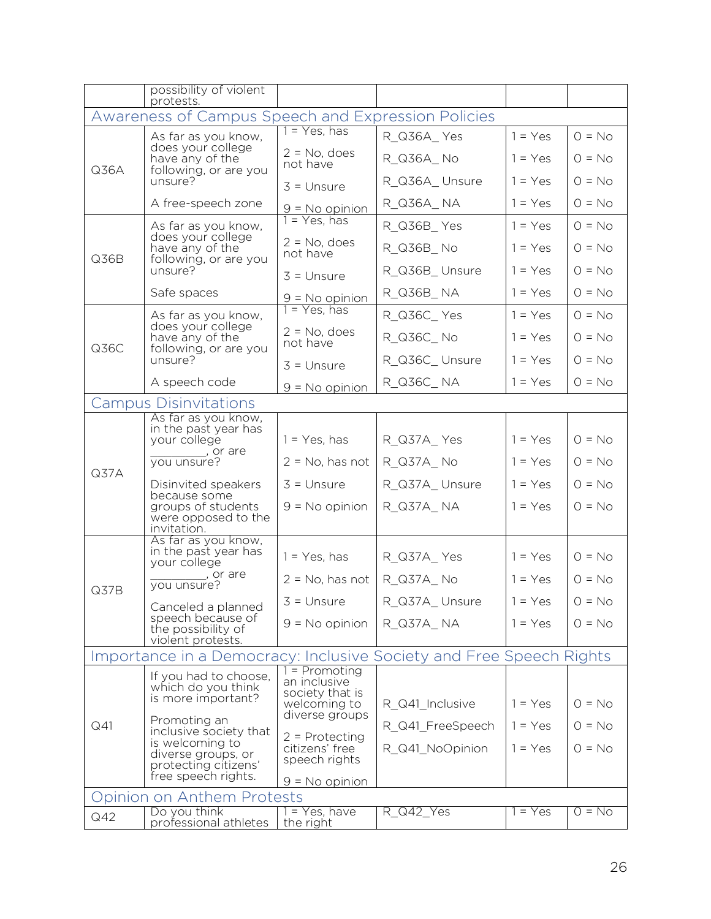|      | possibility of violent<br>protests.                                                                     |                                    |                  |           |          |
|------|---------------------------------------------------------------------------------------------------------|------------------------------------|------------------|-----------|----------|
|      | Awareness of Campus Speech and Expression Policies                                                      |                                    |                  |           |          |
|      | As far as you know,                                                                                     | 1 = Yes, has                       | R_Q36A_Yes       | $1 = Yes$ | $O = No$ |
| Q36A | does your college<br>have any of the<br>following, or are you                                           | $2 = No$ , does<br>not have        | R_Q36A_No        | $1 = Yes$ | $O = No$ |
|      | unsure?                                                                                                 | $3 =$ Unsure                       | R_Q36A_Unsure    | $1 = Yes$ | $O = No$ |
|      | A free-speech zone                                                                                      | $9 = No$ opinion                   | R_Q36A_NA        | $1 = Yes$ | $O = No$ |
|      | As far as you know,                                                                                     | $1 = Yes, has$                     | R_Q36B_Yes       | $1 = Yes$ | $O = No$ |
| Q36B | does your college<br>have any of the<br>following, or are you                                           | $2 = No$ , does<br>not have        | R Q36B No        | $1 = Yes$ | $O = No$ |
|      | unsure?                                                                                                 | $3 =$ Unsure                       | R_Q36B_Unsure    | $1 = Yes$ | $O = No$ |
|      | Safe spaces                                                                                             | $9 = No$ opinion                   | R_Q36B_NA        | $1 = Yes$ | $O = No$ |
|      | As far as you know,                                                                                     | $1 = Yes$ , has                    | R_Q36C_Yes       | $1 = Yes$ | $O = No$ |
| Q36C | does your college<br>have any of the                                                                    | $2 = No$ , does<br>not have        | R_Q36C_No        | $1 = Yes$ | $O = No$ |
|      | following, or are you<br>unsure?                                                                        | $3 =$ Unsure                       | R_Q36C_Unsure    | $1 = Yes$ | $O = No$ |
|      | A speech code                                                                                           | $9 = No$ opinion                   | R_Q36C_NA        | $1 = Yes$ | $O = No$ |
|      | <b>Campus Disinvitations</b>                                                                            |                                    |                  |           |          |
|      | As far as you know,<br>in the past year has<br>your college<br>$\frac{1}{\sqrt{1-\frac{1}{2}}}\$ or are |                                    |                  |           |          |
|      |                                                                                                         | $1 = Yes$ , has                    | R_Q37A_Yes       | $1 = Yes$ | $O = No$ |
| Q37A | you unsure?                                                                                             | $2 = No$ , has not                 | R_Q37A_No        | $1 = Yes$ | $O = No$ |
|      | Disinvited speakers                                                                                     | $3 =$ Unsure                       | R_Q37A_Unsure    | $1 = Yes$ | $O = No$ |
|      | because some<br>groups of students<br>were opposed to the<br>invitation.                                | $9 = No$ opinion                   | R_Q37A_NA        | $1 = Yes$ | $O = No$ |
|      | As far as you know,<br>in the past year has                                                             |                                    |                  |           |          |
|      | your college                                                                                            | $1 = Yes$ , has                    | R_Q37A_Yes       | $1 = Yes$ | $O = No$ |
| Q37B | , or are<br>you unsure?                                                                                 | $2 = No$ , has not                 | R_Q37A_No        | $1 = Yes$ | $O = No$ |
|      | Canceled a planned                                                                                      | $3 =$ Unsure                       | R_Q37A_Unsure    | $1 = Yes$ | $0 = No$ |
|      | speech because of<br>the possibility of<br>violent protests.                                            | $9 = No$ opinion                   | R_Q37A_NA        | $1 = Yes$ | $O = No$ |
|      | Importance in a Democracy: Inclusive Society and Free Speech Rights                                     |                                    |                  |           |          |
|      | If you had to choose,                                                                                   | 1 = Promoting<br>an inclusive      |                  |           |          |
|      | which do you think<br>is more important?                                                                | society that is<br>welcoming to    | R_Q41_Inclusive  | $1 = Yes$ | $O = No$ |
| Q41  | Promoting an                                                                                            | diverse groups                     | R_Q41_FreeSpeech | $1 = Yes$ | $Q = No$ |
|      | inclusive society that<br>is welcoming to                                                               | $2$ = Protecting<br>citizens' free | R Q41 NoOpinion  | $1 = Yes$ | $O = No$ |
|      | diverse groups, or<br>protecting citizens'<br>free speech rights.                                       | speech rights                      |                  |           |          |
|      |                                                                                                         | $9 = No$ opinion                   |                  |           |          |
|      | pinion on Anthem Protests<br>Do you think                                                               | $1 = Yes$ , have                   | R Q42 Yes        | $1 = Yes$ | $O = No$ |
| Q42  | professional athletes                                                                                   | the right                          |                  |           |          |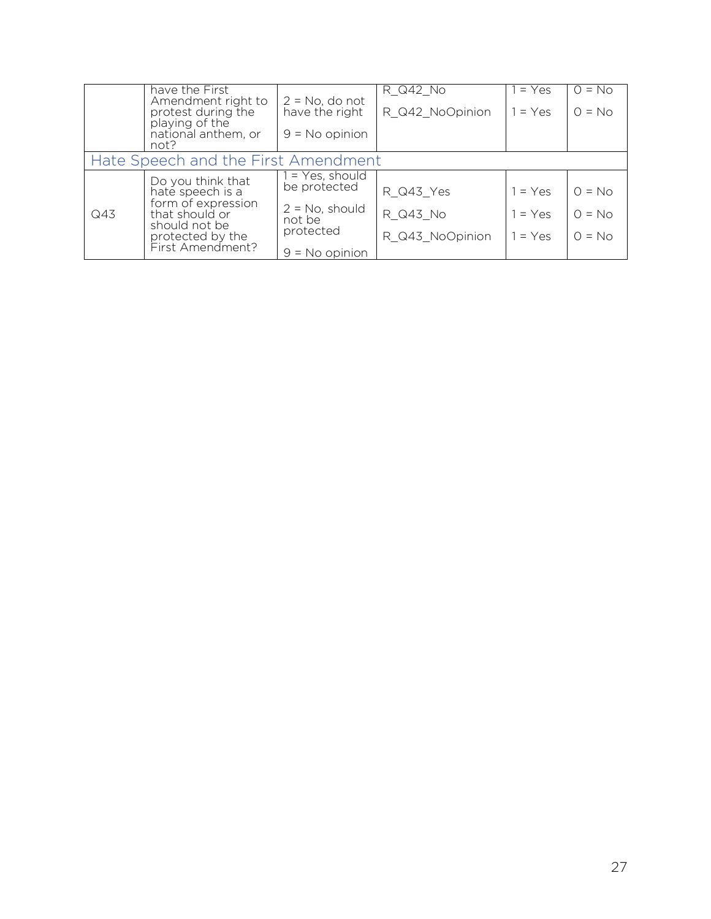|     | have the First                                        |                                     | R Q42 No        | $1 = Yes$ | $O = No$ |
|-----|-------------------------------------------------------|-------------------------------------|-----------------|-----------|----------|
|     | Amendment right to<br>protest during the              | $2 = No$ , do not<br>have the right | R_Q42_NoOpinion | $1 = Yes$ | $O = No$ |
|     | playing of the<br>national anthem, or<br>not?         | $9 = No$ opinion                    |                 |           |          |
|     | Hate Speech and the First Amendment                   |                                     |                 |           |          |
|     | Do you think that<br>hate speech is a                 | $1 = Yes$ , should<br>be protected  | R_Q43_Yes       | $1 = Yes$ | $Q = No$ |
| Q43 | form of expression<br>that should or<br>should not be | $2 = No$ , should<br>not be         | R Q43 No        | $1 = Yes$ | $Q = No$ |
|     | protected by the                                      | protected                           | R Q43 NoOpinion | $1 = Yes$ | $O = No$ |
|     | First Amendment?                                      | $9 = No$ opinion                    |                 |           |          |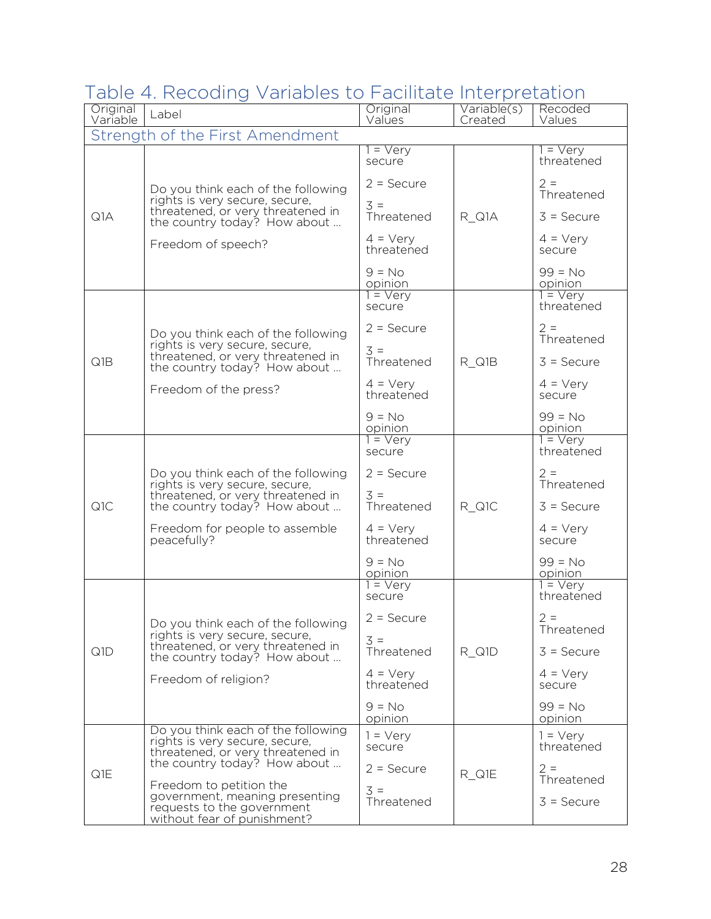## Table 4. Recoding Variables to Facilitate Interpretation

| Original<br>Variable | Label                                                                                                                                     | Original<br>Values               | Variable(s)<br>Created | Recoded<br>Values                  |
|----------------------|-------------------------------------------------------------------------------------------------------------------------------------------|----------------------------------|------------------------|------------------------------------|
|                      | Strength of the First Amendment                                                                                                           |                                  |                        |                                    |
|                      |                                                                                                                                           | $1 = \sqrt{e^{2}}$<br>secure     |                        | $1 = \text{Very}$<br>threatened    |
|                      | Do you think each of the following<br>rights is very secure, secure,<br>threatened, or very threatened in<br>the country today? How about | $2 =$ Secure<br>$3 =$            |                        | $2 =$<br>Threatened                |
| Q1A                  |                                                                                                                                           | Threatened<br>$4 = \text{V}$ ery | $R_Q$ Q1A              | $3 =$ Secure<br>$4 = \text{V}$ ery |
|                      | Freedom of speech?                                                                                                                        | threatened                       |                        | secure                             |
|                      |                                                                                                                                           | $9 = No$<br>opinion              |                        | $99 = No$<br>opinion               |
|                      |                                                                                                                                           | $1 = \text{Very}$<br>secure      |                        | $1 = \sqrt{e^{r}}$<br>threatened   |
|                      | Do you think each of the following<br>rights is very secure, secure,                                                                      | $2 =$ Secure                     |                        | $2 =$<br>Threatened                |
| Q1B                  | threatened, or very threatened in<br>the country today? How about                                                                         | $3 =$<br>Threatened              | R Q1B                  | $3 =$ Secure                       |
|                      | Freedom of the press?                                                                                                                     | $4 = \text{Very}$<br>threatened  |                        | $4 = \text{V}$ ery<br>secure       |
|                      |                                                                                                                                           | $9 = No$<br>opinion              |                        | $99 = No$<br>opinion               |
|                      |                                                                                                                                           | $1 = \sqrt{e^{2}}$<br>secure     |                        | $1 = \text{Very}$<br>threatened    |
|                      | Do you think each of the following<br>rights is very secure, secure,<br>threatened, or very threatened in<br>the country today? How about | $2 =$ Secure                     |                        | $2 =$<br>Threatened                |
| Q <sub>1</sub> C     |                                                                                                                                           | $3 =$<br>Threatened              | $R_Q1C$                | $3 =$ Secure                       |
|                      | Freedom for people to assemble<br>peacefully?                                                                                             | $4 = \text{Very}$<br>threatened  |                        | $4 = \text{V}$ ery<br>secure       |
|                      |                                                                                                                                           | $9 = No$<br>opinion              |                        | $99 = No$<br>opinion               |
|                      |                                                                                                                                           | $1 = \text{Very}$<br>secure      |                        | $1 = \text{Very}$<br>threatened    |
|                      | Do you think each of the following<br>rights is very secure, secure,                                                                      | $2 =$ Secure                     |                        | $2 =$<br>Threatened                |
| Q1D                  | threatened, or very threatened in<br>the country today? How about                                                                         | $3 =$<br>Threatened              | $R_Q1D$                | $3 =$ Secure                       |
|                      | Freedom of religion?                                                                                                                      | $4 = \text{Very}$<br>threatened  |                        | $4 = \text{V}$ ery<br>secure       |
|                      |                                                                                                                                           | $9 = No$<br>opinion              |                        | $99 = No$<br>opinion               |
|                      | Do you think each of the following<br>rights is very secure, secure,<br>threatened, or very threatened in                                 | $1 = \text{Very}$<br>secure      |                        | $1 = \text{Very}$<br>threatened    |
| Q1E                  | the country today? How about                                                                                                              | $2 =$ Secure                     | R_Q1E                  | $2 =$<br>Threatened                |
|                      | Freedom to petition the<br>government, meaning presenting<br>requests to the government<br>without fear of punishment?                    | $3 =$<br>Threatened              |                        | $3 =$ Secure                       |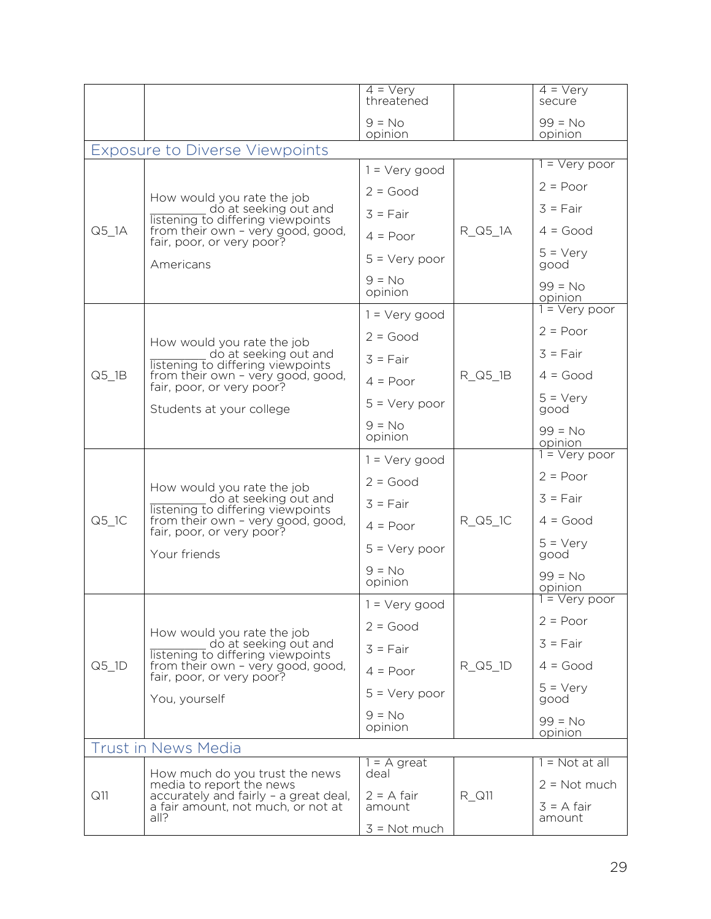|                     |                                                                                                                                                                                        | $4 = \sqrt{e}ry$<br>threatened |         | $\overline{4} = \overline{\text{Vey}}$<br>secure |
|---------------------|----------------------------------------------------------------------------------------------------------------------------------------------------------------------------------------|--------------------------------|---------|--------------------------------------------------|
|                     |                                                                                                                                                                                        | $9 = No$<br>opinion            |         | $99 = No$<br>opinion                             |
|                     | <b>Exposure to Diverse Viewpoints</b>                                                                                                                                                  |                                |         |                                                  |
|                     |                                                                                                                                                                                        | $1 = Very good$                |         | 1 = Very poor                                    |
|                     | How would you rate the job                                                                                                                                                             | $2 = Good$                     |         | $2 = Poor$                                       |
|                     | do at seeking out and<br>listening to differing viewpoints                                                                                                                             | $3 = Fair$                     |         | $3 = Fair$                                       |
| $Q5_lA$             | from their own - very good, good,<br>fair, poor, or very poor?                                                                                                                         | $4 = Poor$                     | R_Q5_1A | $4 = Good$                                       |
|                     | Americans                                                                                                                                                                              | $5 = \text{Very poor}$         |         | $5 = \text{Very}$<br>good                        |
|                     |                                                                                                                                                                                        | $9 = No$<br>opinion            |         | $99 = No$<br>opinion                             |
|                     |                                                                                                                                                                                        | $1 = Very good$                |         | $1 = \sqrt{e}$ ry poor                           |
|                     |                                                                                                                                                                                        | $2 = Good$                     |         | $2 = Poor$                                       |
|                     | How would you rate the job<br>do at seeking out and<br>listening to differing viewpoints<br>from their own - very good, good,<br>fair, poor, or very poor?<br>Students at your college | $3 = Fair$                     |         | $3 = Fair$                                       |
| $Q5$ <sup>1B</sup>  |                                                                                                                                                                                        | $4 = Poor$                     | R_Q5_1B | $4 = Good$                                       |
|                     |                                                                                                                                                                                        | $5 = Very poor$                |         | $5 = \text{Verv}$<br>good                        |
|                     |                                                                                                                                                                                        | $9 = No$<br>opinion            |         | $99 = No$<br><u>opinion</u>                      |
|                     | How would you rate the job<br>do at seeking out and<br>listening to differing viewpoints<br>from their own - very good, good,<br>fair, poor, or very poor?<br>Your friends             | $1 = Very good$                | R_Q5_1C | $1 = \text{Very poor}$                           |
|                     |                                                                                                                                                                                        | $2 = Good$                     |         | $2 = Poor$                                       |
|                     |                                                                                                                                                                                        | $3 = Fair$                     |         | $3 = Fair$                                       |
| $Q5$ <sup>1</sup> C |                                                                                                                                                                                        | $4 = Poor$                     |         | $4 = Good$                                       |
|                     |                                                                                                                                                                                        | $5 = Very poor$                |         | $5 = \text{Very}$<br>good                        |
|                     |                                                                                                                                                                                        | $9 = No$<br>opinion            |         | $99 = No$<br>opinion                             |
|                     |                                                                                                                                                                                        | = Very good                    |         | $1 = \sqrt{e}ry$ poor                            |
|                     | How would you rate the job                                                                                                                                                             | $2 = Good$                     |         | $2 = Poor$                                       |
|                     | do at seeking out and<br>listening to differing viewpoints                                                                                                                             | $3 = Fair$                     |         | $3 = Fair$                                       |
| $Q5$ <sup>1D</sup>  | from their own - very good, good,<br>fair, poor, or very poor?                                                                                                                         | $4 = Poor$                     | R_Q5_1D | $4 = Good$                                       |
|                     | You, yourself                                                                                                                                                                          | $5 = \text{Very poor}$         |         | $5 = \text{Very}$<br>good                        |
|                     |                                                                                                                                                                                        | $9 = No$<br>opinion            |         | $99 = No$<br>opinion                             |
|                     | <b>Trust in News Media</b>                                                                                                                                                             |                                |         |                                                  |
|                     | How much do you trust the news                                                                                                                                                         | = A great<br>deal              |         | 1 = Not at all                                   |
| Q11                 | media to report the news<br>accurately and fairly - a great deal,                                                                                                                      | $2 = A$ fair                   | R Q11   | $2 = Not much$                                   |
|                     | a fair amount, not much, or not at<br>all?                                                                                                                                             | amount                         |         | $3 = A$ fair<br>amount                           |
|                     |                                                                                                                                                                                        | $3 = Not much$                 |         |                                                  |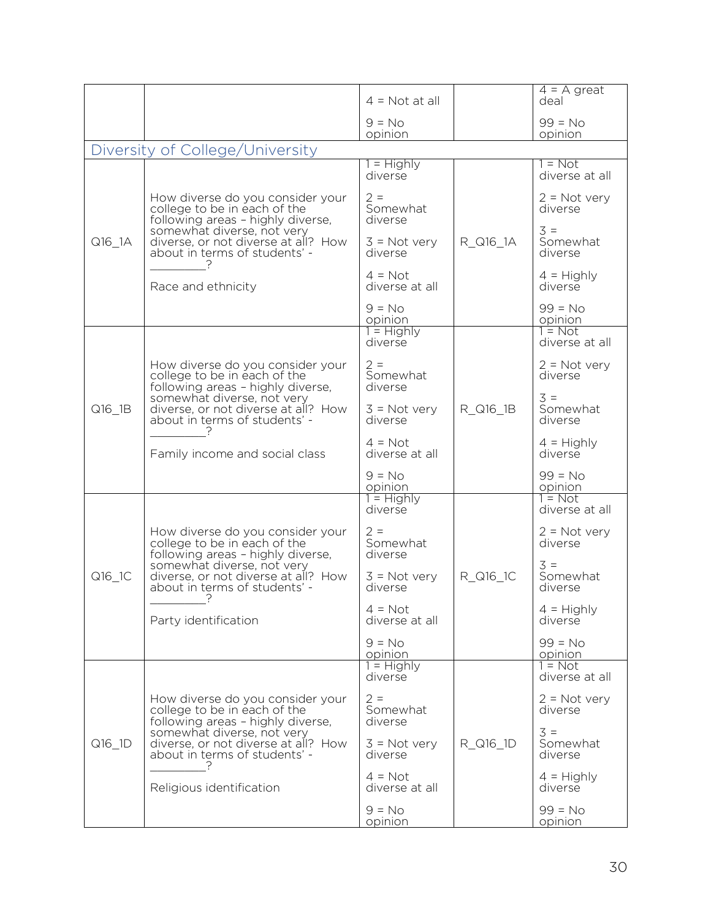|        |                                                                                                       | $4 = Not at all$             |          | $4 = A$ great<br>deal                   |
|--------|-------------------------------------------------------------------------------------------------------|------------------------------|----------|-----------------------------------------|
|        |                                                                                                       | $9 = No$<br>opinion          |          | $99 = No$<br>opinion                    |
|        | Diversity of College/University                                                                       |                              |          |                                         |
|        |                                                                                                       | 1 = Highly<br>diverse        |          | $1 = Not$<br>diverse at all             |
|        | How diverse do you consider your<br>college to be in each of the<br>following areas - highly diverse, | $2 =$<br>Somewhat<br>diverse |          | $2 = Not very$<br>diverse               |
| Q16_1A | somewhat diverse, not very<br>diverse, or not diverse at all? How<br>about in terms of students' -    | $3 = Not very$<br>diverse    | R_Q16_1A | $3 =$<br>Somewhat<br>diverse            |
|        | Race and ethnicity                                                                                    | $4 = Not$<br>diverse at all  |          | $4 =$ Highly<br>diverse                 |
|        |                                                                                                       | $9 = No$<br>opinion          |          | $99 = No$<br>opinion                    |
|        |                                                                                                       | $1 =$ Highly<br>diverse      |          | $1 = Not$<br>diverse at all             |
|        | How diverse do you consider your<br>college to be in each of the<br>following areas - highly diverse, | $2 =$<br>Somewhat<br>diverse |          | $2 = Not very$<br>diverse               |
| Q16 1B | somewhat diverse, not very<br>diverse, or not diverse at all? How<br>about in terms of students' -    | $3 = Not very$<br>diverse    | R_Q16_1B | $3 =$<br>Somewhat<br>diverse            |
|        | Family income and social class                                                                        | $4 = Not$<br>diverse at all  |          | $4 =$ Highly<br>diverse                 |
|        |                                                                                                       | $9 = No$<br>opinion          |          | $99 = No$<br>opinion                    |
|        |                                                                                                       | $1 =$ Highly<br>diverse      |          | $1 = Not$<br>diverse at all             |
|        | How diverse do you consider your<br>college to be in each of the<br>following areas - highly diverse, | $2 =$<br>Somewhat<br>diverse |          | $2 = Not very$<br>diverse               |
| Q16_1C | somewhat diverse, not very<br>diverse, or not diverse at all? How<br>about in terms of students' -    | $3 = Not very$<br>diverse    | R_Q16_1C | $\overline{3}$ =<br>Somewhat<br>diverse |
|        | Party identification                                                                                  | $4 = Not$<br>diverse at all  |          | $4 =$ Highly<br>diverse                 |
|        |                                                                                                       | $9 = No$<br>opinion          |          | $99 = No$<br>opinion                    |
|        |                                                                                                       | $1 = Highly$<br>diverse      |          | $1 = Not$<br>diverse at all             |
|        | How diverse do you consider your<br>college to be in each of the<br>following areas - highly diverse, | $2 =$<br>Somewhat<br>diverse |          | $2 = Not very$<br>diverse               |
| Q16_1D | somewhat diverse, not very<br>diverse, or not diverse at all? How<br>about in terms of students' -    | $3 = Not very$<br>diverse    | R_Q16_1D | $3 =$<br>Somewhat<br>diverse            |
|        | Religious identification                                                                              | $4 = Not$<br>diverse at all  |          | $4 =$ Highly<br>diverse                 |
|        |                                                                                                       | $9 = No$<br>opinion          |          | $99 = No$<br>opinion                    |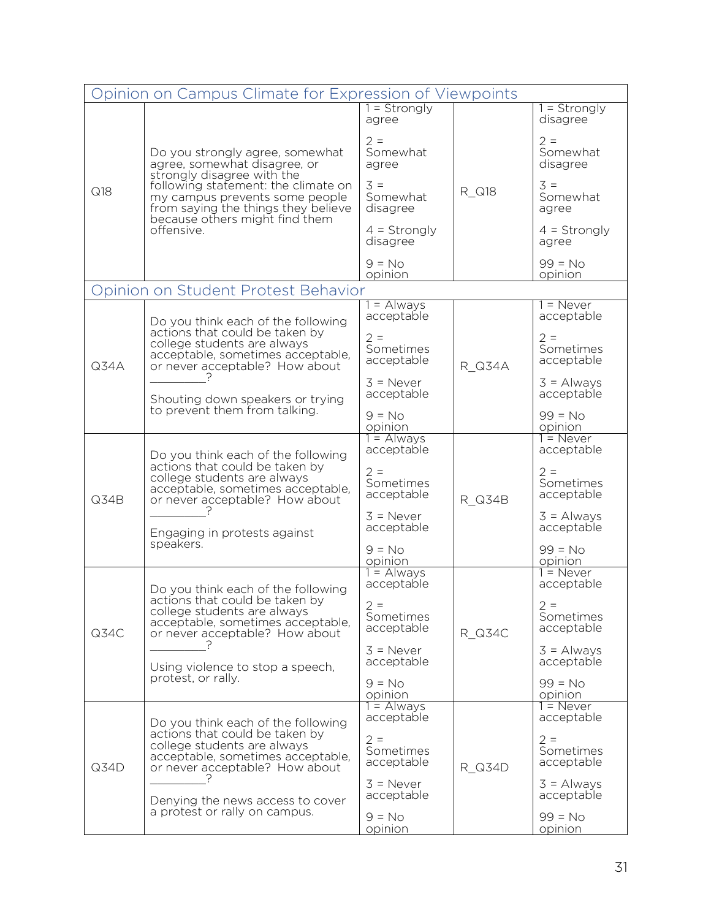|      | Opinion on Campus Climate for Expression of Viewpoints                                                                                                                                                        |                                   |               |                                      |  |
|------|---------------------------------------------------------------------------------------------------------------------------------------------------------------------------------------------------------------|-----------------------------------|---------------|--------------------------------------|--|
|      |                                                                                                                                                                                                               | 1 = Strongly<br>agree             |               | $=$ Strongly<br>disagree             |  |
|      | Do you strongly agree, somewhat<br>agree, somewhat disagree, or<br>strongly disagree with the<br>following statement: the climate on<br>my campus prevents some people<br>from saying the things they believe | $2 =$<br>Somewhat<br>agree        |               | $2 =$<br>Somewhat<br>disagree        |  |
| Q18  |                                                                                                                                                                                                               | $3 =$<br>Somewhat<br>disagree     | R_Q18         | $3 =$<br>Somewhat<br>agree           |  |
|      | because others might find them<br>offensive.                                                                                                                                                                  | $4 =$ Strongly<br>disagree        |               | $4 =$ Strongly<br>agree              |  |
|      |                                                                                                                                                                                                               | $9 = No$<br>opinion               |               | $99 = No$<br>opinion                 |  |
|      | Opinion on Student Protest Behavior                                                                                                                                                                           |                                   |               |                                      |  |
|      | Do you think each of the following<br>actions that could be taken by                                                                                                                                          | 1 = Always<br>acceptable<br>$2 =$ |               | l = Never<br>acceptable<br>$2 =$     |  |
| Q34A | college students are always<br>acceptable, sometimes acceptable,<br>or never acceptable? How about                                                                                                            | Sometimes<br>acceptable           | R Q34A        | Sometimes<br>acceptable              |  |
|      | Shouting down speakers or trying<br>to prevent them from talking.                                                                                                                                             | $3 =$ Never<br>acceptable         |               | $3 =$ Always<br>acceptable           |  |
|      |                                                                                                                                                                                                               | $9 = No$<br>opinion               |               | $99 = No$<br>opinion                 |  |
|      | Do you think each of the following<br>actions that could be taken by<br>college students are always<br>acceptable, sometimes acceptable,<br>or never acceptable? How about                                    | $1 =$ Always<br>acceptable        |               | $\overline{1}$ = Never<br>acceptable |  |
| Q34B |                                                                                                                                                                                                               | $2 =$<br>Sometimes<br>acceptable  | <b>R_Q34B</b> | $2 =$<br>Sometimes<br>acceptable     |  |
|      | Engaging in protests against<br>speakers.                                                                                                                                                                     | $3 =$ Never<br>acceptable         |               | $3 =$ Always<br>acceptable           |  |
|      |                                                                                                                                                                                                               | $9 = No$<br>opinion               |               | $99 = No$<br>opinion                 |  |
|      | Do you think each of the following                                                                                                                                                                            | $1 =$ Always<br>acceptable        |               | $1 =$ Never<br>acceptable            |  |
| Q34C | actions that could be taken by<br>college students are always<br>acceptable, sometimes acceptable,<br>or never acceptable? How about                                                                          | $2 =$<br>Sometimes<br>acceptable  | R Q34C        | $2 =$<br>Sometimes<br>acceptable     |  |
|      | Using violence to stop a speech,<br>protest, or rally.                                                                                                                                                        | $3 =$ Never<br>acceptable         |               | $3 =$ Always<br>acceptable           |  |
|      |                                                                                                                                                                                                               | $9 = No$<br>opinion               |               | $99 = No$<br>opinion                 |  |
|      | Do you think each of the following                                                                                                                                                                            | $1 =$ Always<br>acceptable        |               | $1 =$ Never<br>acceptable            |  |
| Q34D | actions that could be taken by<br>college students are always<br>acceptable, sometimes acceptable,<br>or never acceptable? How about                                                                          | $2 =$<br>Sometimes<br>acceptable  | R Q34D        | $2 =$<br>Sometimes<br>acceptable     |  |
|      | Denying the news access to cover                                                                                                                                                                              | $3 =$ Never<br>acceptable         |               | $3 =$ Always<br>acceptable           |  |
|      | a protest or rally on campus.                                                                                                                                                                                 | $9 = No$<br>opinion               |               | $99 = No$<br>opinion                 |  |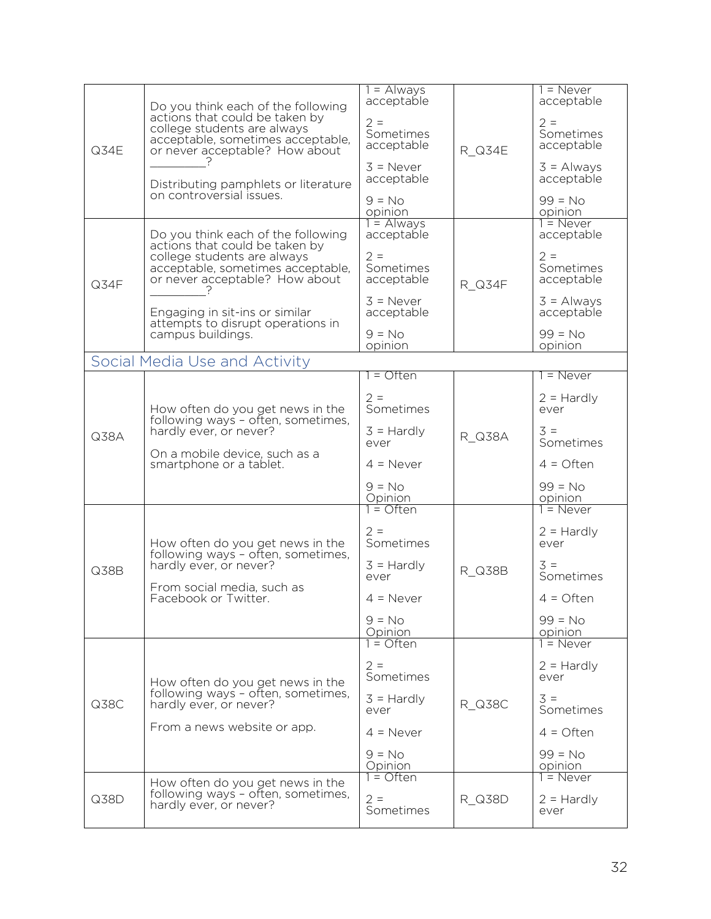|      |                                                                        | $1 =$ Always              |        | $1 =$ Never                |
|------|------------------------------------------------------------------------|---------------------------|--------|----------------------------|
|      | Do you think each of the following                                     | acceptable                |        | acceptable                 |
|      | actions that could be taken by                                         | $2 =$                     |        | $2 =$                      |
|      | college students are always                                            | Sometimes                 |        | Sometimes                  |
| Q34E | acceptable, sometimes acceptable,<br>or never acceptable? How about    | acceptable                | R Q34E | acceptable                 |
|      |                                                                        |                           |        |                            |
|      |                                                                        | $3 =$ Never<br>acceptable |        | $3 =$ Always<br>acceptable |
|      | Distributing pamphlets or literature<br>on controversial issues.       |                           |        |                            |
|      |                                                                        | $9 = No$                  |        | $99 = No$                  |
|      |                                                                        | opinion<br>$1 =$ Always   |        | opinion<br>$1 =$ Never     |
|      | Do you think each of the following                                     | acceptable                |        | acceptable                 |
|      | actions that could be taken by                                         |                           |        |                            |
|      | college students are always                                            | $2 =$                     |        | $2 =$                      |
|      | acceptable, sometimes acceptable,<br>or never acceptable? How about    | Sometimes<br>acceptable   |        | Sometimes<br>acceptable    |
| Q34F |                                                                        |                           | R Q34F |                            |
|      |                                                                        | $3 =$ Never               |        | $3 =$ Always               |
|      | Engaging in sit-ins or similar<br>attempts to disrupt operations in    | acceptable                |        | acceptable                 |
|      | campus buildings.                                                      | $9 = No$                  |        | $99 = No$                  |
|      |                                                                        | opinion                   |        | opinion                    |
|      | Social Media Use and Activity                                          |                           |        |                            |
|      |                                                                        | 1 = Often                 |        | $1 =$ Never                |
|      | How often do you get news in the<br>following ways - often, sometimes, | $2 =$                     |        | $2 =$ Hardly               |
|      |                                                                        | Sometimes                 |        | ever                       |
|      |                                                                        |                           |        |                            |
| Q38A | hardly ever, or never?                                                 | $3 =$ Hardly<br>ever      | R Q38A | $3 =$<br>Sometimes         |
|      | On a mobile device, such as a                                          |                           |        |                            |
|      | smartphone or a tablet.                                                | $4 =$ Never               |        | $4 =$ Often                |
|      |                                                                        | $9 = No$                  |        | $99 = No$                  |
|      |                                                                        | Opinion                   |        | opinion                    |
|      |                                                                        | $1 =$ Often               |        | $1 =$ Never                |
|      |                                                                        | $2 =$                     |        | $2 =$ Hardly               |
|      | How often do you get news in the                                       | Sometimes                 |        | ever                       |
|      | following ways - often, sometimes,<br>hardly ever, or never?           |                           |        | $3 =$                      |
| Q38B |                                                                        | $3 =$ Hardly<br>ever      | R Q38B | Sometimes                  |
|      | From social media, such as                                             |                           |        |                            |
|      | Facebook or Twitter.                                                   | $4 =$ Never               |        | $4 =$ Often                |
|      |                                                                        | $9 = No$                  |        | $99 = No$                  |
|      |                                                                        | Opinion<br>$1 =$ Often    |        | opinion<br>$1 =$ Never     |
|      |                                                                        |                           |        |                            |
|      |                                                                        | $2 =$                     |        | $2 =$ Hardly               |
|      | How often do you get news in the                                       | Sometimes                 |        | ever                       |
|      | following ways - often, sometimes,                                     | $3 =$ Hardly              |        | $3 =$                      |
| Q38C | hardly ever, or never?                                                 | ever                      | R Q38C | Sometimes                  |
|      | From a news website or app.                                            | $4 =$ Never               |        | $4 =$ Often                |
|      |                                                                        |                           |        |                            |
|      |                                                                        | $9 = No$                  |        | $99 = No$                  |
|      |                                                                        | Opinion<br>$1 =$ Often    |        | opinion<br>$1 =$ Never     |
|      | How often do you get news in the<br>following ways - often, sometimes, |                           |        |                            |
| Q38D | hardly ever, or never?                                                 | $2 =$                     | R Q38D | $2 =$ Hardly               |
|      |                                                                        | Sometimes                 |        | ever                       |
|      |                                                                        |                           |        |                            |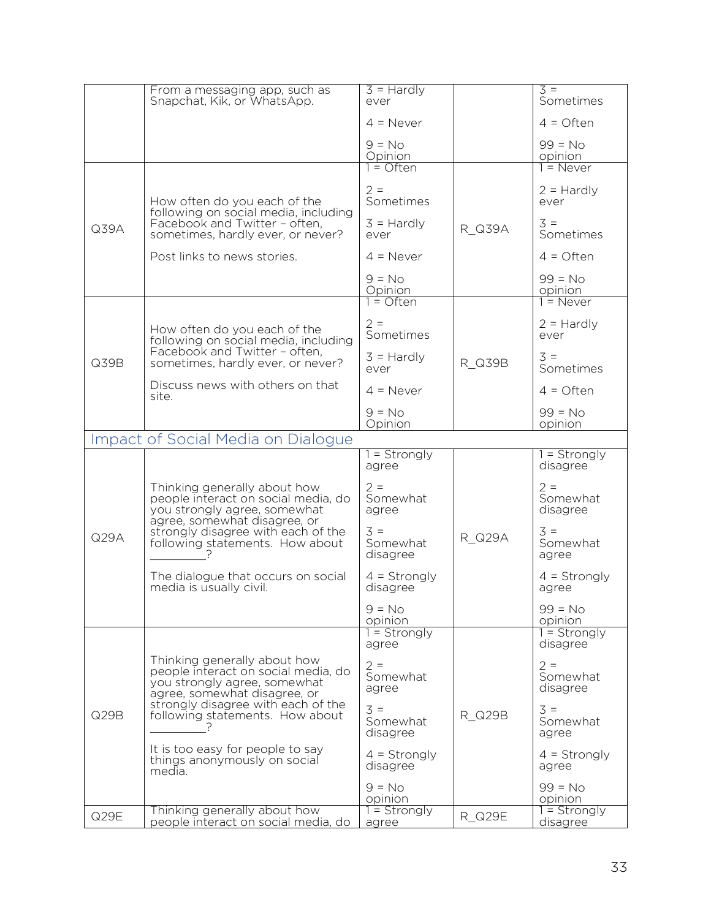|      | From a messaging app, such as<br>Snapchat, Kik, or WhatsApp.                                                                        | $3 =$ Hardly<br>ever                  |               | $3 =$<br>Sometimes            |
|------|-------------------------------------------------------------------------------------------------------------------------------------|---------------------------------------|---------------|-------------------------------|
|      |                                                                                                                                     | $4 =$ Never                           |               | $4 =$ Often                   |
|      |                                                                                                                                     | $9 = No$<br>Opinion                   |               | $99 = No$<br>opinion          |
|      |                                                                                                                                     | $1 =$ Often                           |               | $1 =$ Never                   |
|      | How often do you each of the<br>following on social media, including                                                                | $2 =$<br>Sometimes                    |               | $2 =$ Hardly<br>ever          |
| Q39A | Facebook and Twitter - often,<br>sometimes, hardly ever, or never?                                                                  | $3 =$ Hardly<br>ever                  | R Q39A        | $3 =$<br>Sometimes            |
|      | Post links to news stories.                                                                                                         | $4 =$ Never                           |               | $4 =$ Often                   |
|      |                                                                                                                                     | $9 = No$<br>Opinion                   |               | $99 = No$<br>opinion          |
|      |                                                                                                                                     | $1 =$ Often                           |               | $1 =$ Never                   |
|      | How often do you each of the<br>following on social media, including                                                                | $2 =$<br>Sometimes                    |               | $2 =$ Hardly<br>ever          |
| Q39B | Facebook and Twitter - often,<br>sometimes, hardly ever, or never?                                                                  | $3 =$ Hardly<br>ever                  | R Q39B        | $3 =$<br>Sometimes            |
|      | Discuss news with others on that<br>site.                                                                                           | $4 =$ Never                           |               | $4 =$ Often                   |
|      |                                                                                                                                     | $9 = No$<br>Opinion                   |               | $99 = No$<br>opinion          |
|      | Impact of Social Media on Dialogue                                                                                                  |                                       |               |                               |
|      |                                                                                                                                     | 1 = Strongly<br>agree                 |               | 1 = Strongly<br>disagree      |
|      | Thinking generally about how<br>people interact on social media, do<br>you strongly agree, somewhat<br>agree, somewhat disagree, or | $2 =$<br>Somewhat<br>agree            |               | $2 =$<br>Somewhat<br>disagree |
| Q29A | strongly disagree with each of the<br>following statements. How about                                                               | $3 =$<br>Somewhat<br>disagree         | R Q29A        | $3 =$<br>Somewhat<br>agree    |
|      | The dialogue that occurs on social<br>media is usually civil.                                                                       | $4 =$ Strongly<br>disagree            |               | $4 =$ Strongly<br>agree       |
|      |                                                                                                                                     | $9 = No$<br>opinion<br>$1 =$ Strongly |               | $99 = No$<br>opinion          |
|      |                                                                                                                                     | agree                                 |               | $1 =$ Strongly<br>disagree    |
|      | Thinking generally about how<br>people interact on social media, do<br>you strongly agree, somewhat<br>agree, somewhat disagree, or | $2 =$<br>Somewhat<br>agree            |               | $2 =$<br>Somewhat<br>disagree |
| Q29B | strongly disagree with each of the<br>following statements. How about                                                               | $3 =$<br>Somewhat<br>disagree         | R Q29B        | $3 =$<br>Somewhat<br>agree    |
|      | It is too easy for people to say<br>things anonymously on social<br>media.                                                          | $4 =$ Strongly<br>disagree            |               | $4 =$ Strongly<br>agree       |
|      |                                                                                                                                     | $9 = No$<br>opinion                   |               | $99 = No$<br>opinion          |
| Q29E | Thinking generally about how<br>people interact on social media, do                                                                 | $1 =$ Strongly<br>agree               | <b>R_Q29E</b> | $1 =$ Strongly<br>disagree    |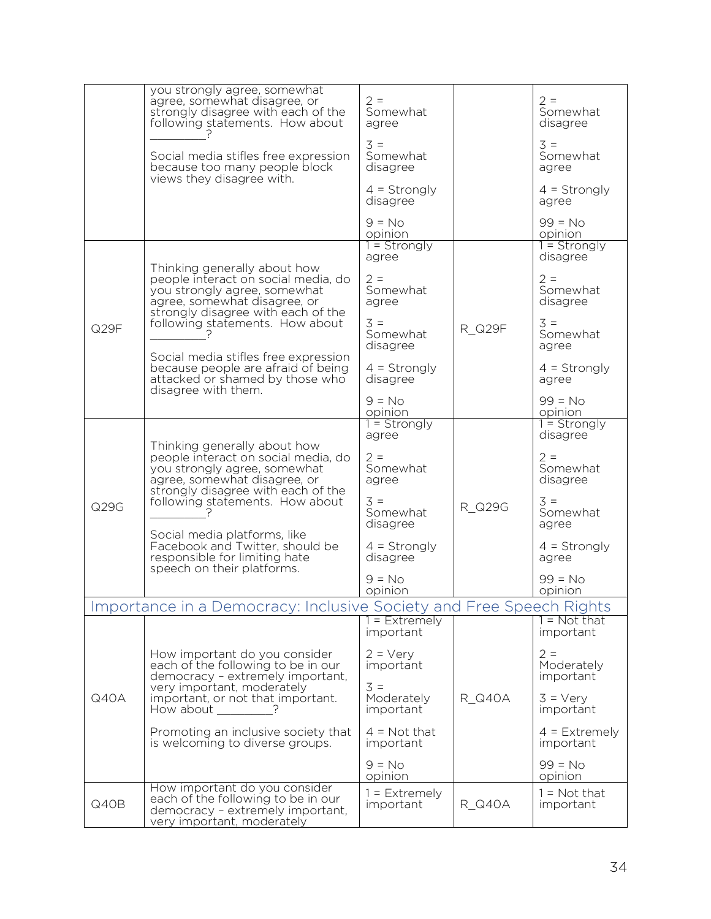|      | you strongly agree, somewhat<br>agree, somewhat disagree, or<br>strongly disagree with each of the<br>following statements. How about                                        | $2 =$<br>Somewhat<br>agree       |               | $2 =$<br>Somewhat<br>disagree    |
|------|------------------------------------------------------------------------------------------------------------------------------------------------------------------------------|----------------------------------|---------------|----------------------------------|
|      | Social media stifles free expression<br>because too many people block                                                                                                        | $3 =$<br>Somewhat<br>disagree    |               | $3 =$<br>Somewhat<br>agree       |
|      | views they disagree with.                                                                                                                                                    | $4 =$ Strongly<br>disagree       |               | $4 =$ Strongly<br>agree          |
|      |                                                                                                                                                                              | $9 = No$<br>opinion              |               | $99 = No$<br>opinion             |
|      | Thinking generally about how                                                                                                                                                 | $1 =$ Strongly<br>agree          |               | $1 =$ Strongly<br>disagree       |
|      | people interact on social media, do<br>you strongly agree, somewhat<br>agree, somewhat disagree, or                                                                          | $2 =$<br>Somewhat<br>agree       |               | $2 =$<br>Somewhat<br>disagree    |
| Q29F | strongly disagree with each of the<br>following statements. How about                                                                                                        | $3 =$<br>Somewhat<br>disagree    | R Q29F        | $3 =$<br>Somewhat<br>agree       |
|      | Social media stifles free expression<br>because people are afraid of being<br>attacked or shamed by those who<br>disagree with them.                                         | $4 =$ Strongly<br>disagree       |               | $4 =$ Strongly<br>agree          |
|      |                                                                                                                                                                              | $9 = No$<br>opinion              |               | $99 = No$<br>opinion             |
|      | Thinking generally about how                                                                                                                                                 | $1 =$ Strongly<br>agree          |               | $1 =$ Strongly<br>disagree       |
|      | people interact on social media, do<br>you strongly agree, somewhat<br>agree, somewhat disagree, or<br>strongly disagree with each of the<br>following statements. How about | $2 =$<br>Somewhat<br>agree       |               | $2 =$<br>Somewhat<br>disagree    |
| Q29G |                                                                                                                                                                              | $3 =$<br>Somewhat<br>disagree    | R Q29G        | $3 =$<br>Somewhat<br>agree       |
|      | Social media platforms, like<br>Facebook and Twitter, should be<br>responsible for limiting hate<br>speech on their platforms.                                               | $4 =$ Strongly<br>disagree       |               | $4 =$ Strongly<br>agree          |
|      |                                                                                                                                                                              | $9 = No$<br>opinion              |               | $99 = No$<br>opinion             |
|      | Importance in a Democracy: Inclusive Society and Free Speech Rights                                                                                                          |                                  |               |                                  |
|      |                                                                                                                                                                              | $1 =$ Extremely<br>important     |               | $1 = Not that$<br>important      |
|      | How important do you consider<br>each of the following to be in our<br>democracy - extremely important,                                                                      | $2 = \text{Very}$<br>important   |               | $2 =$<br>Moderately<br>important |
| Q40A | very important, moderately<br>important, or not that important.<br>How about<br>- ?                                                                                          | $3 =$<br>Moderately<br>important | R Q40A        | $3 = \text{Very}$<br>important   |
|      | Promoting an inclusive society that<br>is welcoming to diverse groups.                                                                                                       | $4 = Not that$<br>important      |               | $4$ = Extremely<br>important     |
|      |                                                                                                                                                                              | $9 = No$<br>opinion              |               | $99 = No$<br>opinion             |
| Q40B | How important do you consider<br>each of the following to be in our<br>democracy - extremely important,<br>very important, moderately                                        | $1 =$ Extremely<br>important     | <b>R_Q40A</b> | $1 = Not that$<br>important      |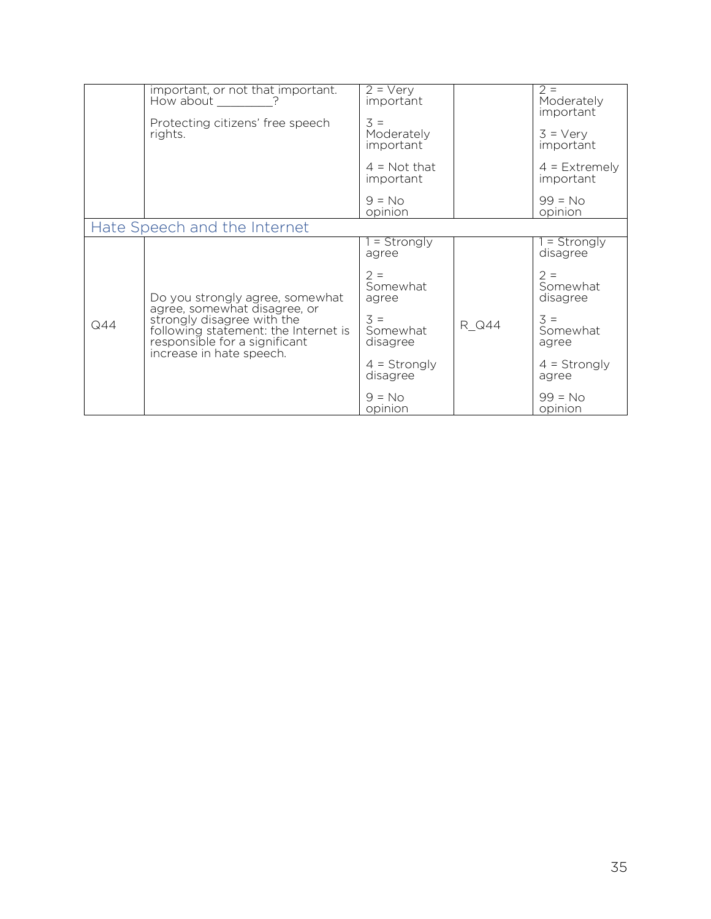|     | important, or not that important.<br>How about ?                                                                                                                | $2 = V$ ery<br>important                 |       | $2 =$<br>Moderately<br>important |
|-----|-----------------------------------------------------------------------------------------------------------------------------------------------------------------|------------------------------------------|-------|----------------------------------|
|     | Protecting citizens' free speech<br>rights.                                                                                                                     | $3 =$<br>Moderately<br>important         |       | $3 = \text{Very}$<br>important   |
|     |                                                                                                                                                                 | $4 = Not that$<br>important              |       | $4$ = Extremely<br>important     |
|     |                                                                                                                                                                 | $9 = No$<br>opinion                      |       | $99 = No$<br>opinion             |
|     | Hate Speech and the Internet                                                                                                                                    |                                          |       |                                  |
|     |                                                                                                                                                                 | $=$ Strongly<br>agree                    |       | $=$ Strongly<br>disagree         |
|     | Do you strongly agree, somewhat                                                                                                                                 | $2 =$<br>Somewhat<br>agree               |       | $2 =$<br>Somewhat<br>disagree    |
| Q44 | agree, somewhat disagree, or<br>strongly disagree with the<br>following statement: the Internet is<br>responsible for a significant<br>increase in hate speech. | $\overline{3}$ =<br>Somewhat<br>disagree | R Q44 | $3 =$<br>Somewhat<br>agree       |
|     |                                                                                                                                                                 | $4 =$ Strongly<br>disagree               |       | $4 =$ Strongly<br>agree          |
|     |                                                                                                                                                                 | $9 = No$<br>opinion                      |       | $99 = No$<br>opinion             |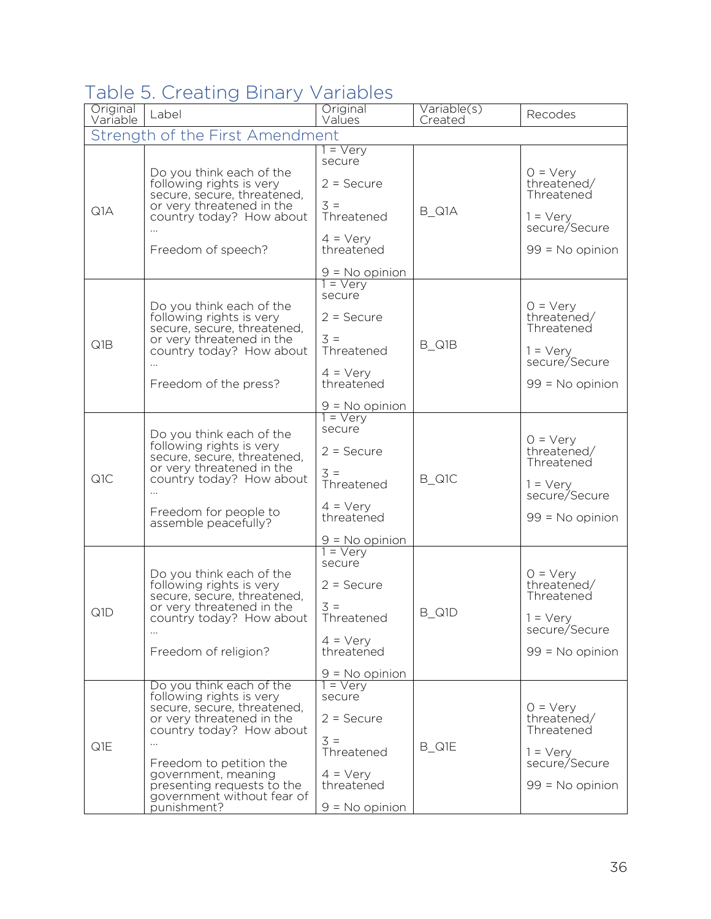## Table 5. Creating Binary Variables

| Original<br>Variable | Label                                                                                                                                                                                                                                                                                 | Original<br>Values                                                                                                                           | Variable(s)<br>Created | Recodes                                                                                                   |
|----------------------|---------------------------------------------------------------------------------------------------------------------------------------------------------------------------------------------------------------------------------------------------------------------------------------|----------------------------------------------------------------------------------------------------------------------------------------------|------------------------|-----------------------------------------------------------------------------------------------------------|
|                      | Strength of the First Amendment                                                                                                                                                                                                                                                       |                                                                                                                                              |                        |                                                                                                           |
| Q1A                  | Do you think each of the<br>following rights is very<br>secure, secure, threatened,<br>or very threatened in the<br>country today? How about<br>Freedom of speech?                                                                                                                    | $1 = \sqrt{e^{2}}$<br>secure<br>$2 =$ Secure<br>$3 =$<br>Threatened<br>$4 = \text{Very}$<br>threatened                                       | B_Q1A                  | $0 = \text{Very}$<br>threatened/<br>Threatened<br>$1 = \text{Very}$<br>secure/Secure<br>$99 = No$ opinion |
| Q1B                  | Do you think each of the<br>following rights is very<br>secure, secure, threatened,<br>or very threatened in the<br>country today? How about<br>Freedom of the press?                                                                                                                 | $9 = No$ opinion<br>$1 = \sqrt{e}ry$<br>secure<br>$2 =$ Secure<br>$3 =$<br>Threatened<br>$4 = \text{Verv}$<br>threatened<br>$9 = No$ opinion | B_Q1B                  | $0 = \text{Very}$<br>threatened/<br>Threatened<br>$1 = \text{Very}$<br>secure/Secure<br>$99 = No$ opinion |
| Q1C                  | Do you think each of the<br>following rights is very<br>secure, secure, threatened,<br>or very threatened in the<br>country today? How about<br>Freedom for people to<br>assemble peacefully?                                                                                         | $1 = \sqrt{e}$<br>secure<br>$2 =$ Secure<br>$\overline{3}$ =<br>Threatened<br>$4 = \text{Very}$<br>threatened<br><u>9 = No opinion</u>       | B_Q1C                  | $O = \text{Very}$<br>threatened/<br>Threatened<br>$1 = \text{Very}$<br>secure/Secure<br>$99 = No$ opinion |
| Q1D                  | Do you think each of the<br>following rights is very<br>secure, secure, threatened,<br>or very threatened in the<br>country today? How about<br>Freedom of religion?                                                                                                                  | $=$ Very<br>secure<br>$2 =$ Secure<br>$3 =$<br>Threatened<br>$4 = \text{Very}$<br>threatened<br>$9 = No$ opinion                             | <b>B_Q1D</b>           | $0 = \text{Very}$<br>threatened/<br>Threatened<br>$1 = \text{Very}$<br>secure/Secure<br>$99 = No$ opinion |
| Q1E                  | Do you think each of the<br>following rights is very<br>secure, secure, threatened,<br>or very threatened in the<br>country today? How about<br>$\ldots$<br>Freedom to petition the<br>government, meaning<br>presenting requests to the<br>government without fear of<br>punishment? | $1 = \text{Verv}$<br>secure<br>$2 =$ Secure<br>$3 =$<br>Threatened<br>$4 = \text{Very}$<br>threatened<br>$9 = No$ opinion                    | B_Q1E                  | $0 = \text{Very}$<br>threatened/<br>Threatened<br>$1 = \text{Very}$<br>secure/Secure<br>$99 = No$ opinion |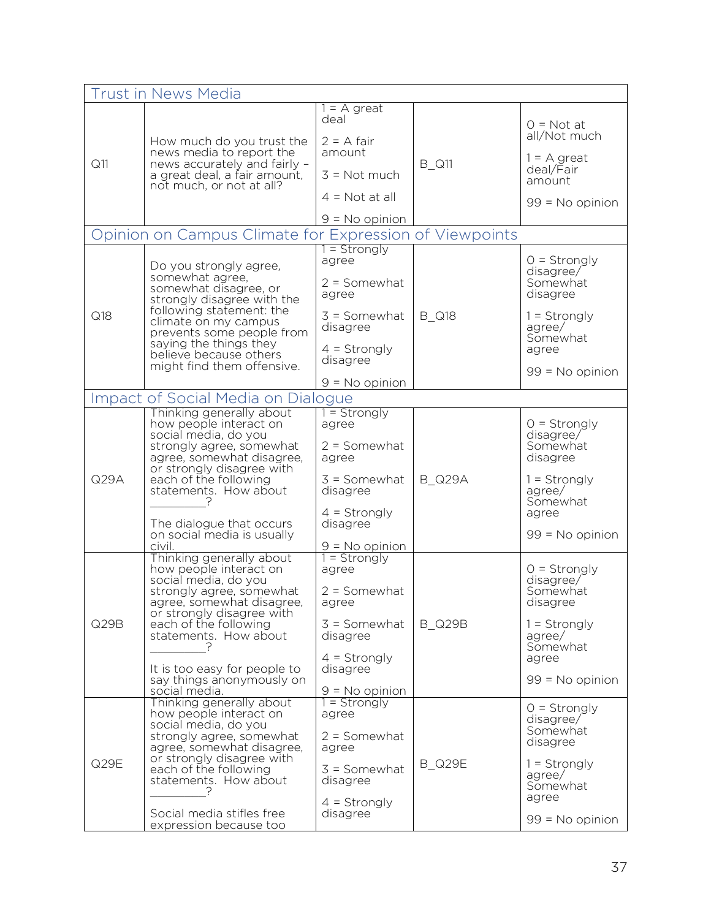|                                                                            | <b>Trust in News Media</b>                                                                                                                                                                                                                         |                                                                                                                |               |                                                                                                      |
|----------------------------------------------------------------------------|----------------------------------------------------------------------------------------------------------------------------------------------------------------------------------------------------------------------------------------------------|----------------------------------------------------------------------------------------------------------------|---------------|------------------------------------------------------------------------------------------------------|
|                                                                            |                                                                                                                                                                                                                                                    | $1 = A$ great                                                                                                  |               |                                                                                                      |
| Q11                                                                        | How much do you trust the<br>news media to report the<br>news accurately and fairly -<br>a great deal, a fair amount,<br>not much, or not at all?                                                                                                  | deal<br>$2 = A$ fair<br>amount<br>$3 = Not much$<br>$4 = Not at all$                                           | <b>B_Q11</b>  | $0 = Not at$<br>all/Not much<br>$1 = A$ great<br>deal/Fair<br>amount                                 |
|                                                                            |                                                                                                                                                                                                                                                    |                                                                                                                |               | $99 = No$ opinion                                                                                    |
| $9 = No$ opinion<br>Opinion on Campus Climate for Expression of Viewpoints |                                                                                                                                                                                                                                                    |                                                                                                                |               |                                                                                                      |
|                                                                            |                                                                                                                                                                                                                                                    | $=$ Strongly                                                                                                   |               |                                                                                                      |
|                                                                            | Do you strongly agree,<br>somewhat agree,<br>somewhat disagree, or<br>strongly disagree with the                                                                                                                                                   | agree<br>$2 =$ Somewhat<br>agree                                                                               |               | $O =$ Strongly<br>disagree/<br>Somewhat<br>disagree                                                  |
| Q18                                                                        | following statement: the<br>climate on my campus<br>prevents some people from<br>saying the things they<br>believe because others                                                                                                                  | $3 =$ Somewhat<br>disagree<br>$4 =$ Strongly<br>disagree                                                       | <b>B_Q18</b>  | $1 =$ Strongly<br>agree/<br>Somewhat<br>agree                                                        |
|                                                                            | might find them offensive.                                                                                                                                                                                                                         |                                                                                                                |               | $99 = No$ opinion                                                                                    |
|                                                                            | Impact of Social Media on Dialogue                                                                                                                                                                                                                 | $9 = No$ opinion                                                                                               |               |                                                                                                      |
|                                                                            | Thinking generally about                                                                                                                                                                                                                           | $1 =$ Strongly                                                                                                 |               |                                                                                                      |
| Q29A                                                                       | how people interact on<br>social media, do you<br>strongly agree, somewhat<br>agree, somewhat disagree,<br>or strongly disagree with<br>each of the following<br>statements. How about                                                             | agree<br>$2 =$ Somewhat<br>agree<br>$3 =$ Somewhat<br>disagree                                                 | <b>B_Q29A</b> | $0 =$ Strongly<br>disagree/<br>Somewhat<br>disagree<br>$1 =$ Strongly<br>agree/                      |
|                                                                            | The dialogue that occurs<br>on social media is usually<br>civil.                                                                                                                                                                                   | $4 =$ Strongly<br>disagree<br>$9 = No$ opinion                                                                 |               | Somewhat<br>agree<br>99 = No opinion                                                                 |
| Q29B                                                                       | Thinking generally about<br>how people interact on<br>social media, do you<br>strongly agree, somewhat<br>agree, somewhat disagree,<br>or strongly disagree with<br>each of the following<br>statements. How about<br>It is too easy for people to | $1 =$ Strongly<br>agree<br>$2 =$ Somewhat<br>agree<br>$3 =$ Somewhat<br>disagree<br>$4 =$ Strongly<br>disagree | <b>B_Q29B</b> | $0 =$ Strongly<br>disagree/<br>Somewhat<br>disagree<br>$1 =$ Strongly<br>agree/<br>Somewhat<br>agree |
|                                                                            | say things anonymously on<br>social media.                                                                                                                                                                                                         | $9 = No$ opinion                                                                                               |               | 99 = No opinion                                                                                      |
| Q29E                                                                       | Thinking generally about<br>how people interact on<br>social media, do you<br>strongly agree, somewhat<br>agree, somewhat disagree,<br>or strongly disagree with<br>each of the following<br>statements. How about                                 | $1 =$ Strongly<br>agree<br>$2 =$ Somewhat<br>agree<br>$3 =$ Somewhat<br>disagree                               | <b>B_Q29E</b> | $0 =$ Strongly<br>disagree/<br>Somewhat<br>disagree<br>$1 =$ Strongly<br>agree/<br>Somewhat          |
|                                                                            | Social media stifles free<br>expression because too                                                                                                                                                                                                | $4 =$ Strongly<br>disagree                                                                                     |               | agree<br>99 = No opinion                                                                             |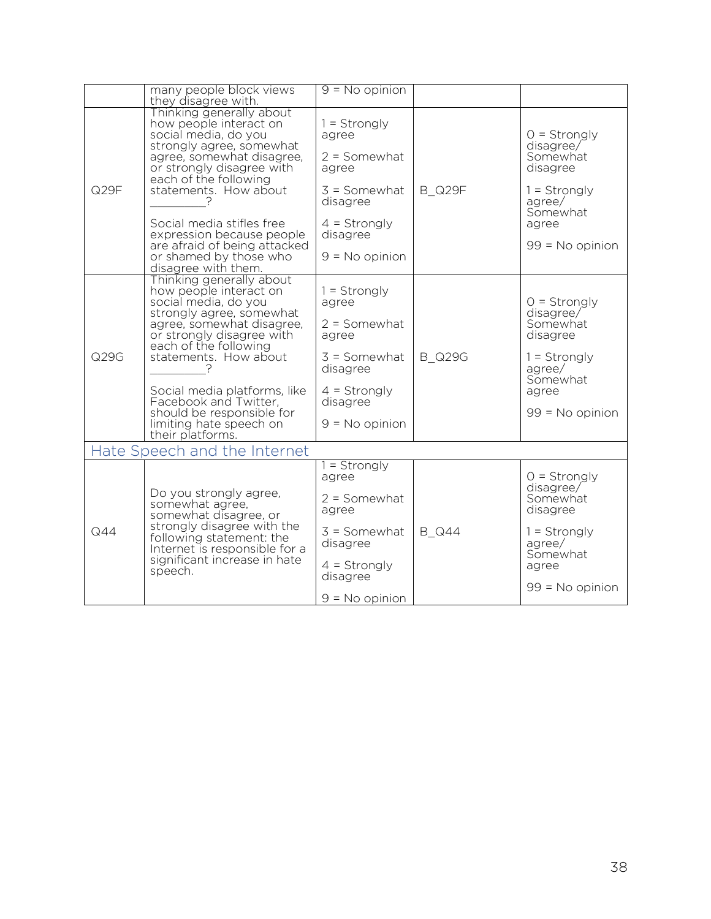|                              | many people block views<br>they disagree with.                                                                                                                                                                                                                                                                                                                | $9 = No$ opinion                                                                                                                   |               |                                                                                                                           |  |
|------------------------------|---------------------------------------------------------------------------------------------------------------------------------------------------------------------------------------------------------------------------------------------------------------------------------------------------------------------------------------------------------------|------------------------------------------------------------------------------------------------------------------------------------|---------------|---------------------------------------------------------------------------------------------------------------------------|--|
| Q29F                         | Thinking generally about<br>how people interact on<br>social media, do you<br>strongly agree, somewhat<br>agree, somewhat disagree,<br>or strongly disagree with<br>each of the following<br>statements. How about<br>Social media stifles free<br>expression because people<br>are afraid of being attacked<br>or shamed by those who<br>disagree with them. | $1 =$ Strongly<br>agree<br>$2 =$ Somewhat<br>agree<br>$3 =$ Somewhat<br>disagree<br>$4 =$ Strongly<br>disagree<br>$9 = No$ opinion | <b>B_Q29F</b> | $0 =$ Strongly<br>disagree/<br>Somewhat<br>disagree<br>$1 =$ Strongly<br>agree/<br>Somewhat<br>agree<br>$99 = No$ opinion |  |
| Q29G                         | Thinking generally about<br>how people interact on<br>social media, do you<br>strongly agree, somewhat<br>agree, somewhat disagree,<br>or strongly disagree with<br>each of the following<br>statements. How about<br>Social media platforms, like<br>Facebook and Twitter,<br>should be responsible for<br>limiting hate speech on<br>their platforms.       | $1 =$ Strongly<br>agree<br>$2 =$ Somewhat<br>agree<br>$3 =$ Somewhat<br>disagree<br>$4 =$ Strongly<br>disagree<br>$9 = No$ opinion | <b>B</b> Q29G | $0 =$ Strongly<br>disagree/<br>Somewhat<br>disagree<br>$1 =$ Strongly<br>agree/<br>Somewhat<br>agree<br>$99 = No$ opinion |  |
| Hate Speech and the Internet |                                                                                                                                                                                                                                                                                                                                                               |                                                                                                                                    |               |                                                                                                                           |  |
| Q44                          | Do you strongly agree,<br>somewhat agree,<br>somewhat disagree, or<br>strongly disagree with the<br>following statement: the<br>Internet is responsible for a<br>significant increase in hate<br>speech.                                                                                                                                                      | $=$ Strongly<br>agree<br>$2 =$ Somewhat<br>agree<br>$3 =$ Somewhat<br>disagree<br>$4 =$ Strongly<br>disagree<br>$9 = No$ opinion   | <b>B</b> Q44  | $0 =$ Strongly<br>disagree/<br>Somewhat<br>disagree<br>$1 =$ Strongly<br>agree/<br>Somewhat<br>agree<br>$99 = No$ opinion |  |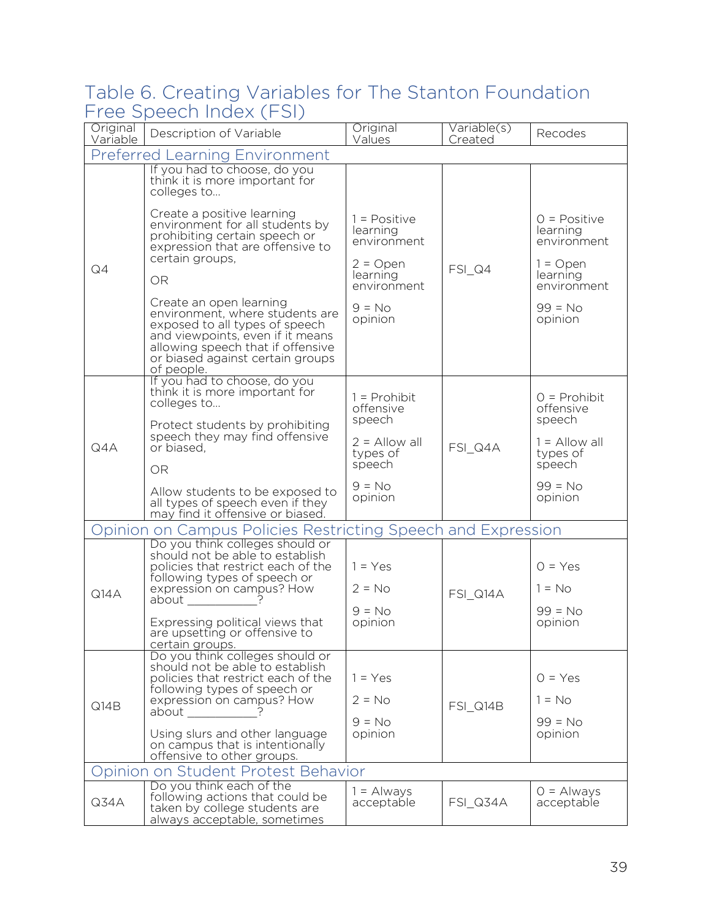#### Table 6. Creating Variables for The Stanton Foundation Free Speech Index (FSI)

| Original<br>Variable                  | Description of Variable                                                                                                                                                                                                                                                                                                                                                                                                                                                                                     | Original<br>Values                                                                                        | Variable(s)<br>Created | Recodes                                                                                                    |  |
|---------------------------------------|-------------------------------------------------------------------------------------------------------------------------------------------------------------------------------------------------------------------------------------------------------------------------------------------------------------------------------------------------------------------------------------------------------------------------------------------------------------------------------------------------------------|-----------------------------------------------------------------------------------------------------------|------------------------|------------------------------------------------------------------------------------------------------------|--|
| <b>Preferred Learning Environment</b> |                                                                                                                                                                                                                                                                                                                                                                                                                                                                                                             |                                                                                                           |                        |                                                                                                            |  |
| Q4                                    | If you had to choose, do you<br>think it is more important for<br>colleges to<br>Create a positive learning<br>environment for all students by<br>prohibiting certain speech or<br>expression that are offensive to<br>certain groups,<br><b>OR</b><br>Create an open learning<br>environment, where students are<br>exposed to all types of speech<br>and viewpoints, even if it means<br>allowing speech that if offensive                                                                                | $1 = Positive$<br>learning<br>environment<br>$2 = Open$<br>learning<br>environment<br>$9 = No$<br>opinion | $FSI_Q4$               | $O = Positive$<br>learning<br>environment<br>$1 =$ Open<br>learning<br>environment<br>$99 = No$<br>opinion |  |
|                                       | or biased against certain groups<br>of people.                                                                                                                                                                                                                                                                                                                                                                                                                                                              |                                                                                                           |                        |                                                                                                            |  |
| Q4A                                   | If you had to choose, do you<br>think it is more important for<br>colleges to<br>Protect students by prohibiting<br>speech they may find offensive<br>or biased,<br>OR<br>Allow students to be exposed to                                                                                                                                                                                                                                                                                                   | $1 =$ Prohibit<br>offensive<br>speech<br>$2 =$ Allow all<br>types of<br>speech<br>$9 = No$                | FSI Q4A                | $O =$ Prohibit<br>offensive<br>speech<br>$1 =$ Allow all<br>types of<br>speech<br>$99 = No$                |  |
|                                       | all types of speech even if they<br>may find it offensive or biased.                                                                                                                                                                                                                                                                                                                                                                                                                                        | opinion                                                                                                   |                        | opinion                                                                                                    |  |
|                                       | Opinion on Campus Policies Restricting Speech and Expression                                                                                                                                                                                                                                                                                                                                                                                                                                                |                                                                                                           |                        |                                                                                                            |  |
| Q14A                                  | Do you think colleges should or<br>should not be able to establish<br>policies that restrict each of the<br>following types of speech or<br>expression on campus? How<br>about<br>Expressing political views that<br>are upsetting or offensive to<br>certain groups.                                                                                                                                                                                                                                       | $1 = Yes$<br>$2 = No$<br>$9 = No$<br>opinion                                                              | FSI_Q14A               | $O = Yes$<br>$1 = No$<br>$99 = No$<br>opinion                                                              |  |
| Q14B                                  | Do you think colleges should or<br>should not be able to establish<br>policies that restrict each of the<br>following types of speech or<br>expression on campus? How<br>about and a state of the state of the state of the state of the state of the state of the state of the state of the state of the state of the state of the state of the state of the state of the state of the state of the sta<br>Using slurs and other language<br>on campus that is intentionally<br>offensive to other groups. | $1 = Yes$<br>$2 = No$<br>$9 = No$<br>opinion                                                              | FSI_Q14B               | $O = Yes$<br>$1 = No$<br>$99 = No$<br>opinion                                                              |  |
| Opinion on Student Protest Behavior   |                                                                                                                                                                                                                                                                                                                                                                                                                                                                                                             |                                                                                                           |                        |                                                                                                            |  |
| Q34A                                  | Do you think each of the<br>following actions that could be<br>taken by college students are<br>always acceptable, sometimes                                                                                                                                                                                                                                                                                                                                                                                | $1 =$ Always<br>acceptable                                                                                | <b>FSI_Q34A</b>        | $O =$ Always<br>acceptable                                                                                 |  |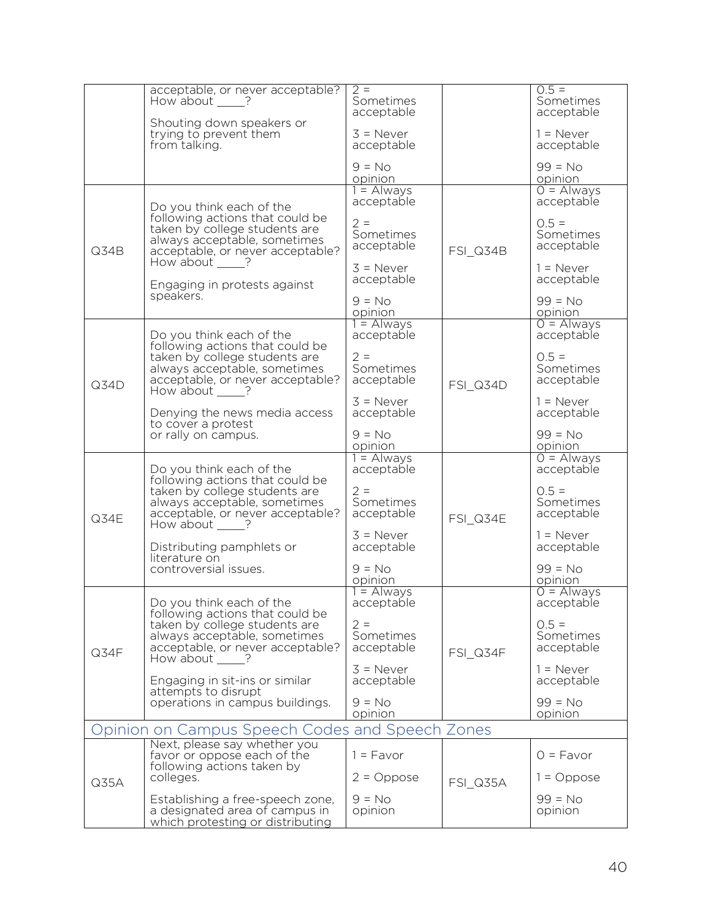|                                                 | acceptable, or never acceptable?<br>How about ?                                                                                                                                                                                      | $2 =$<br>Sometimes                                             |                 | $0.5 =$<br>Sometimes                                                        |
|-------------------------------------------------|--------------------------------------------------------------------------------------------------------------------------------------------------------------------------------------------------------------------------------------|----------------------------------------------------------------|-----------------|-----------------------------------------------------------------------------|
|                                                 | Shouting down speakers or                                                                                                                                                                                                            | acceptable                                                     |                 | acceptable                                                                  |
|                                                 | trying to prevent them<br>from talking.                                                                                                                                                                                              | $3 =$ Never<br>acceptable                                      |                 | $1 =$ Never<br>acceptable                                                   |
|                                                 |                                                                                                                                                                                                                                      | $9 = No$<br>opinion                                            |                 | $99 = No$<br>opinion                                                        |
| Q34B                                            | Do you think each of the<br>following actions that could be<br>taken by college students are<br>always acceptable, sometimes<br>acceptable, or never acceptable?<br>How about $\_\_\$ ?<br>Engaging in protests against<br>speakers. | $1 =$ Always<br>acceptable                                     | <b>FSI_Q34B</b> | $0 =$ Always<br>acceptable                                                  |
|                                                 |                                                                                                                                                                                                                                      | $2 =$<br>Sometimes<br>acceptable                               |                 | $0.5 =$<br>Sometimes<br>acceptable                                          |
|                                                 |                                                                                                                                                                                                                                      | $3 =$ Never<br>acceptable                                      |                 | $1 =$ Never<br>acceptable                                                   |
|                                                 |                                                                                                                                                                                                                                      | $9 = No$<br>opinion                                            |                 | $99 = No$<br>opinion                                                        |
|                                                 | Do you think each of the<br>following actions that could be                                                                                                                                                                          | $1 =$ Always<br>acceptable                                     |                 | $O =$ Always<br>acceptable                                                  |
| Q34D                                            | taken by college students are<br>always acceptable, sometimes<br>acceptable, or never acceptable?<br>How about $\_\_\$ ?                                                                                                             | $2 =$<br>Sometimes<br>acceptable                               | FSI Q34D        | $0.5 =$<br>Sometimes<br>acceptable                                          |
|                                                 | Denying the news media access<br>to cover a protest<br>or rally on campus.                                                                                                                                                           | $3 =$ Never<br>acceptable                                      |                 | $1 =$ Never<br>acceptable                                                   |
|                                                 |                                                                                                                                                                                                                                      | $9 = No$<br>opinion                                            |                 | $99 = No$<br>opinion                                                        |
| Q34E                                            | Do you think each of the<br>following actions that could be<br>taken by college students are<br>always acceptable, sometimes<br>acceptable, or never acceptable?<br>How about ?                                                      | $1 =$ Always<br>acceptable<br>$2 =$<br>Sometimes<br>acceptable | FSI Q34E        | $\overline{O}$ = Always<br>acceptable<br>$0.5 =$<br>Sometimes<br>acceptable |
|                                                 | Distributing pamphlets or<br>literature on<br>controversial issues.                                                                                                                                                                  | $3 =$ Never<br>acceptable<br>$9 = No$                          |                 | $1 =$ Never<br>acceptable<br>$99 = No$                                      |
|                                                 |                                                                                                                                                                                                                                      | opinion                                                        |                 | opinion                                                                     |
|                                                 | Do you think each of the<br>following actions that could be<br>taken by college students are<br>always acceptable, sometimes<br>acceptable, or never acceptable?<br>How about ?                                                      | $1 =$ Always<br>acceptable                                     |                 | $O =$ Always<br>acceptable                                                  |
| Q34F                                            |                                                                                                                                                                                                                                      | $2 =$<br>Sometimes<br>acceptable                               | FSI Q34F        | $0.5 =$<br>Sometimes<br>acceptable                                          |
|                                                 | Engaging in sit-ins or similar<br>attempts to disrupt                                                                                                                                                                                | $3$ = Never<br>acceptable                                      |                 | $1 =$ Never<br>acceptable                                                   |
|                                                 | operations in campus buildings.                                                                                                                                                                                                      | $9 = No$<br>opinion                                            |                 | $99 = No$<br>opinion                                                        |
| Opinion on Campus Speech Codes and Speech Zones |                                                                                                                                                                                                                                      |                                                                |                 |                                                                             |
| Q35A                                            | Next, please say whether you<br>favor or oppose each of the<br>following actions taken by                                                                                                                                            | $1 = Favor$                                                    |                 | $0 = \text{Favor}$                                                          |
|                                                 | colleges.                                                                                                                                                                                                                            | $2 = Oppose$                                                   | FSI Q35A        | $1 =$ Oppose                                                                |
|                                                 | Establishing a free-speech zone,<br>a designated area of campus in<br>which protesting or distributing                                                                                                                               | $9 = No$<br>opinion                                            |                 | $99 = No$<br>opinion                                                        |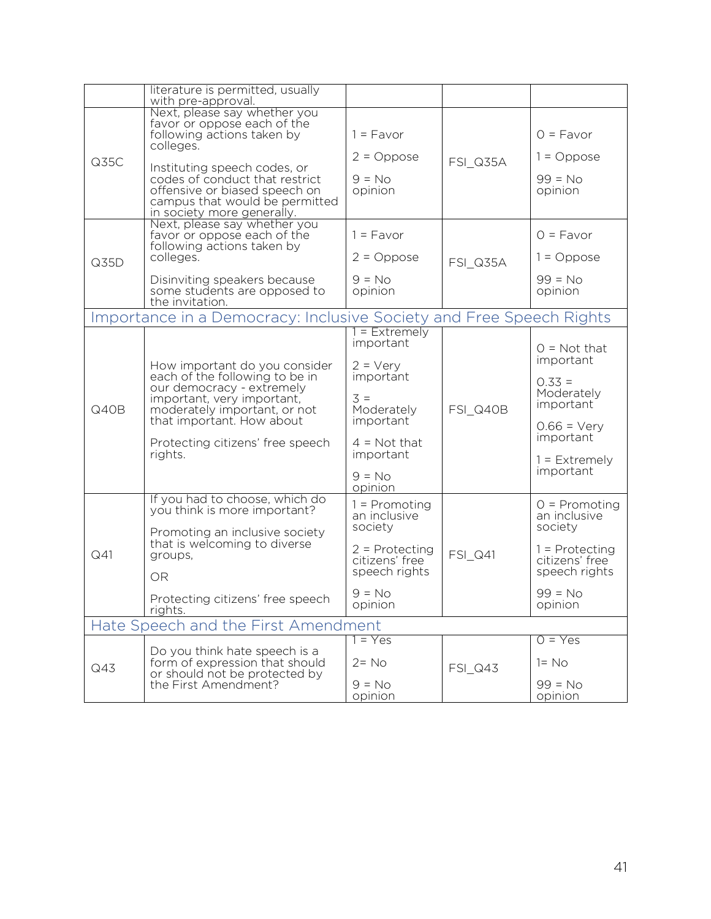|                                                                     | literature is permitted, usually<br>with pre-approval.                                                                                                                                                                                                                    |                                                                                                                                                                   |                |                                                                                                                                         |
|---------------------------------------------------------------------|---------------------------------------------------------------------------------------------------------------------------------------------------------------------------------------------------------------------------------------------------------------------------|-------------------------------------------------------------------------------------------------------------------------------------------------------------------|----------------|-----------------------------------------------------------------------------------------------------------------------------------------|
| Q35C                                                                | Next, please say whether you<br>favor or oppose each of the<br>following actions taken by<br>colleges.<br>Instituting speech codes, or<br>codes of conduct that restrict<br>offensive or biased speech on<br>campus that would be permitted<br>in society more generally. | $1 = Favor$<br>$2 = Oppose$<br>$9 = No$<br>opinion                                                                                                                | FSI Q35A       | $O = Favor$<br>$1 = Oppose$<br>$99 = No$<br>opinion                                                                                     |
| Q35D                                                                | Next, please say whether you<br>favor or oppose each of the<br>following actions taken by<br>colleges.<br>Disinviting speakers because<br>some students are opposed to<br>the invitation.                                                                                 | $1 =$ Favor<br>$2 = Oppose$<br>$9 = No$<br>opinion                                                                                                                | FSI Q35A       | $O = Favor$<br>$1 = Oppose$<br>$99 = No$<br>opinion                                                                                     |
| Importance in a Democracy: Inclusive Society and Free Speech Rights |                                                                                                                                                                                                                                                                           |                                                                                                                                                                   |                |                                                                                                                                         |
| Q40B                                                                | How important do you consider<br>each of the following to be in<br>our democracy - extremely<br>important, very important,<br>moderately important, or not<br>that important. How about<br>Protecting citizens' free speech<br>rights.                                    | $=$ Extremely<br>important<br>$2 = \text{Very}$<br>important<br>$\overline{3}$ =<br>Moderately<br>important<br>$4 = Not that$<br>important<br>$9 = No$<br>opinion | FSI Q40B       | $O = Not that$<br>important<br>$0.33 =$<br>Moderately<br>important<br>$0.66 = \text{Very}$<br>important<br>$1 =$ Extremely<br>important |
| Q41                                                                 | If you had to choose, which do<br>you think is more important?<br>Promoting an inclusive society<br>that is welcoming to diverse<br>groups,<br><b>OR</b><br>Protecting citizens' free speech<br>rights.                                                                   | $1 =$ Promoting<br>an inclusive<br>society<br>$2$ = Protecting<br>citizens' free<br>speech rights<br>$9 = No$<br>opinion                                          | FSI_Q41        | $0 =$ Promoting<br>an inclusive<br>society<br>$1 =$ Protecting<br>citizens' free<br>speech rights<br>$99 = No$<br>opinion               |
| Hate Speech and the First Amendment                                 |                                                                                                                                                                                                                                                                           |                                                                                                                                                                   |                |                                                                                                                                         |
| Q43                                                                 | Do you think hate speech is a<br>form of expression that should<br>or should not be protected by<br>the First Amendment?                                                                                                                                                  | 1 = Yes<br>$2 = No$<br>$9 = No$<br>opinion                                                                                                                        | <b>FSI_Q43</b> | $0 = Yes$<br>$1 = No$<br>$99 = No$<br>opinion                                                                                           |